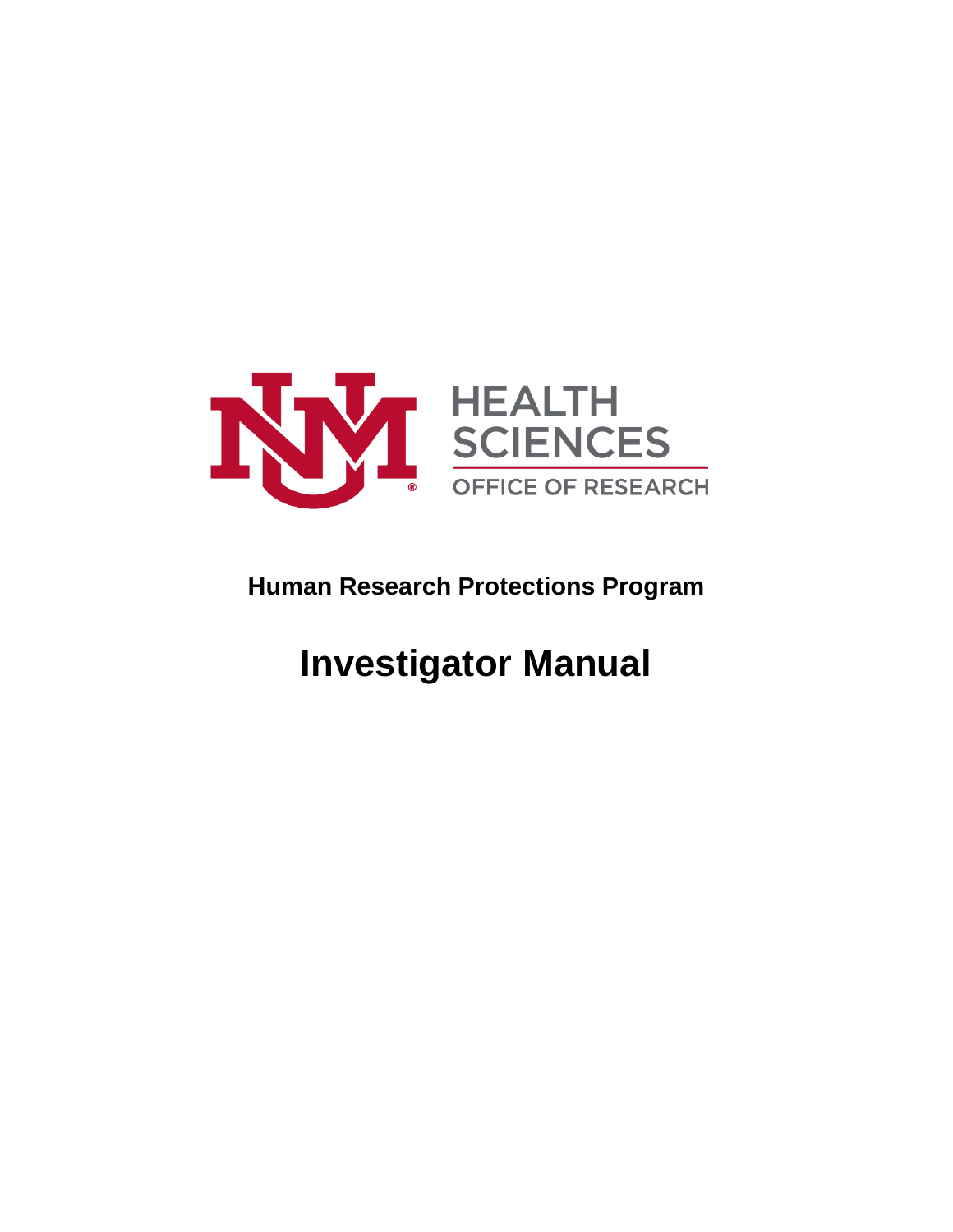

# **Human Research Protections Program**

# **Investigator Manual**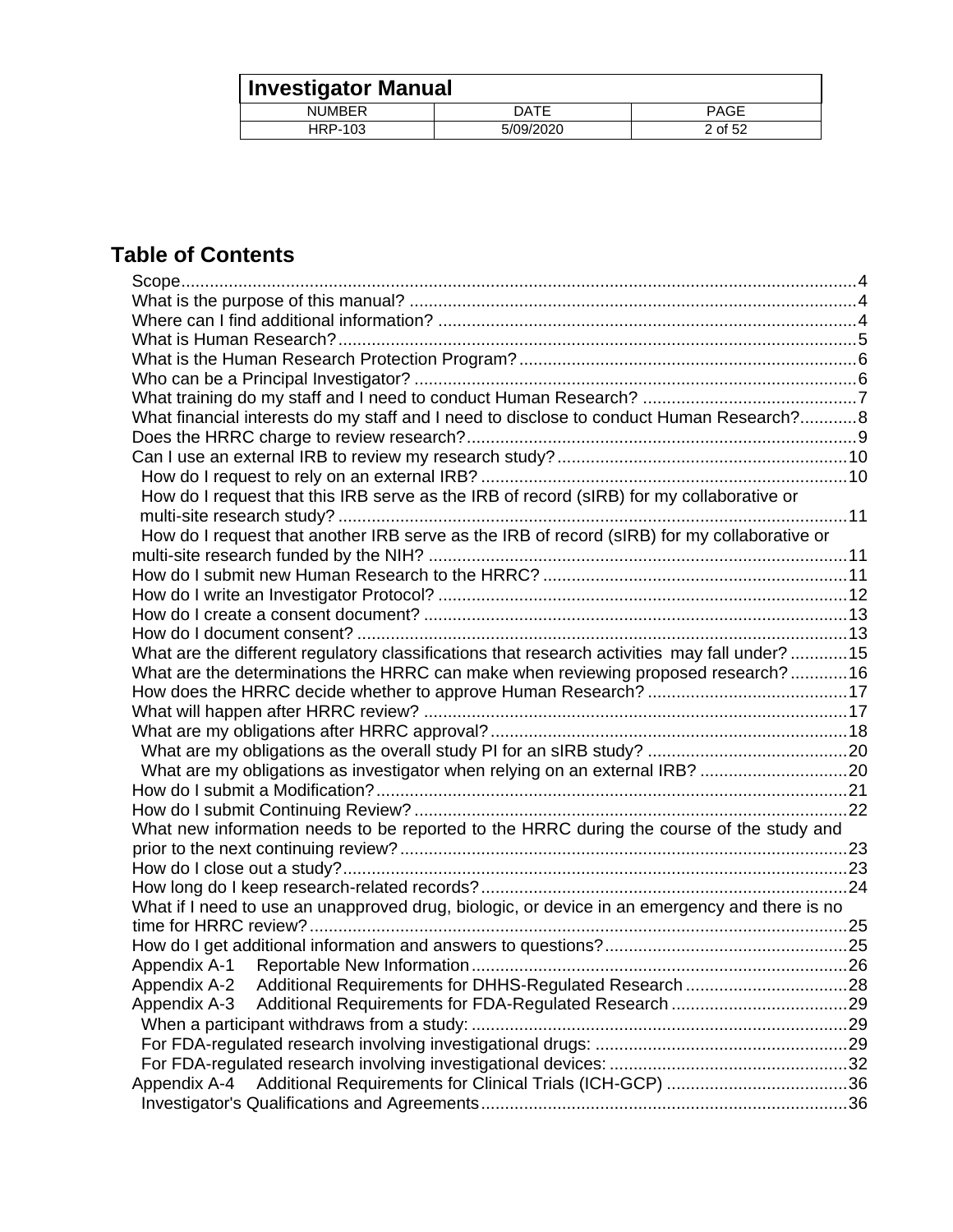| Investigator Manual |           |         |
|---------------------|-----------|---------|
| <b>NUMBER</b>       | DATE      | PAGE    |
| HRP-103             | 5/09/2020 | 2 of 52 |

## **Table of Contents**

| What financial interests do my staff and I need to disclose to conduct Human Research?8       |  |
|-----------------------------------------------------------------------------------------------|--|
|                                                                                               |  |
|                                                                                               |  |
|                                                                                               |  |
| How do I request that this IRB serve as the IRB of record (sIRB) for my collaborative or      |  |
|                                                                                               |  |
| How do I request that another IRB serve as the IRB of record (sIRB) for my collaborative or   |  |
|                                                                                               |  |
|                                                                                               |  |
|                                                                                               |  |
|                                                                                               |  |
|                                                                                               |  |
| What are the different regulatory classifications that research activities may fall under? 15 |  |
| What are the determinations the HRRC can make when reviewing proposed research?16             |  |
|                                                                                               |  |
|                                                                                               |  |
|                                                                                               |  |
|                                                                                               |  |
| What are my obligations as investigator when relying on an external IRB? 20                   |  |
|                                                                                               |  |
|                                                                                               |  |
| What new information needs to be reported to the HRRC during the course of the study and      |  |
|                                                                                               |  |
|                                                                                               |  |
|                                                                                               |  |
| What if I need to use an unapproved drug, biologic, or device in an emergency and there is no |  |
|                                                                                               |  |
|                                                                                               |  |
|                                                                                               |  |
| Additional Requirements for DHHS-Regulated Research 28<br>Appendix A-2                        |  |
| Appendix A-3                                                                                  |  |
|                                                                                               |  |
|                                                                                               |  |
|                                                                                               |  |
| Appendix A-4                                                                                  |  |
|                                                                                               |  |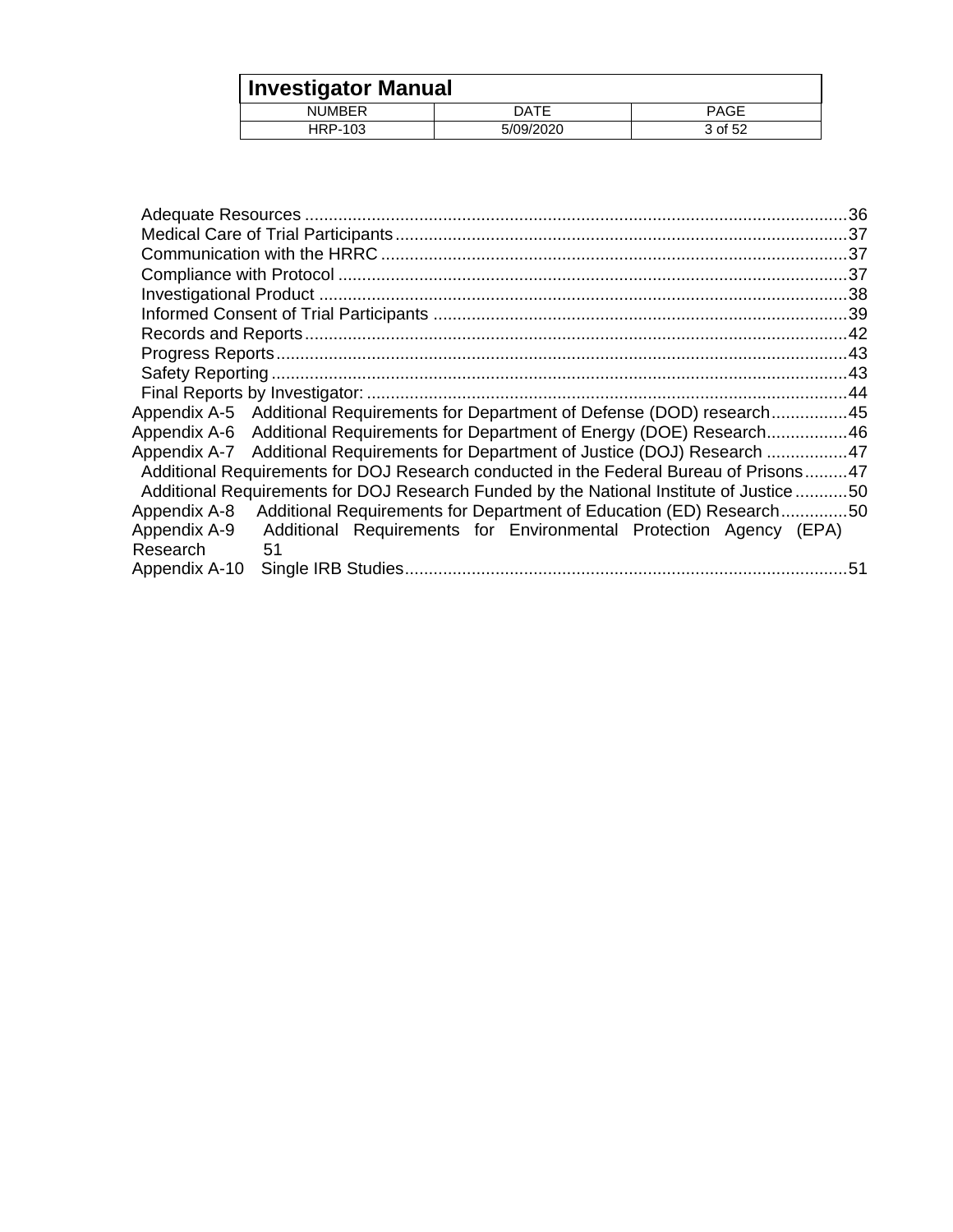| <b>Investigator Manual</b> |           |         |
|----------------------------|-----------|---------|
| <b>NUMBER</b>              | DATE      | PAGE    |
| <b>HRP-103</b>             | 5/09/2020 | 3 of 52 |

| Appendix A-5 Additional Requirements for Department of Defense (DOD) research45         |  |
|-----------------------------------------------------------------------------------------|--|
| Appendix A-6 Additional Requirements for Department of Energy (DOE) Research46          |  |
| Appendix A-7 Additional Requirements for Department of Justice (DOJ) Research 47        |  |
| Additional Requirements for DOJ Research conducted in the Federal Bureau of Prisons47   |  |
| Additional Requirements for DOJ Research Funded by the National Institute of Justice 50 |  |
| Additional Requirements for Department of Education (ED) Research50<br>Appendix A-8     |  |
| Appendix A-9<br>Additional Requirements for Environmental Protection Agency (EPA)       |  |
| Research<br>-51                                                                         |  |
| Appendix A-10                                                                           |  |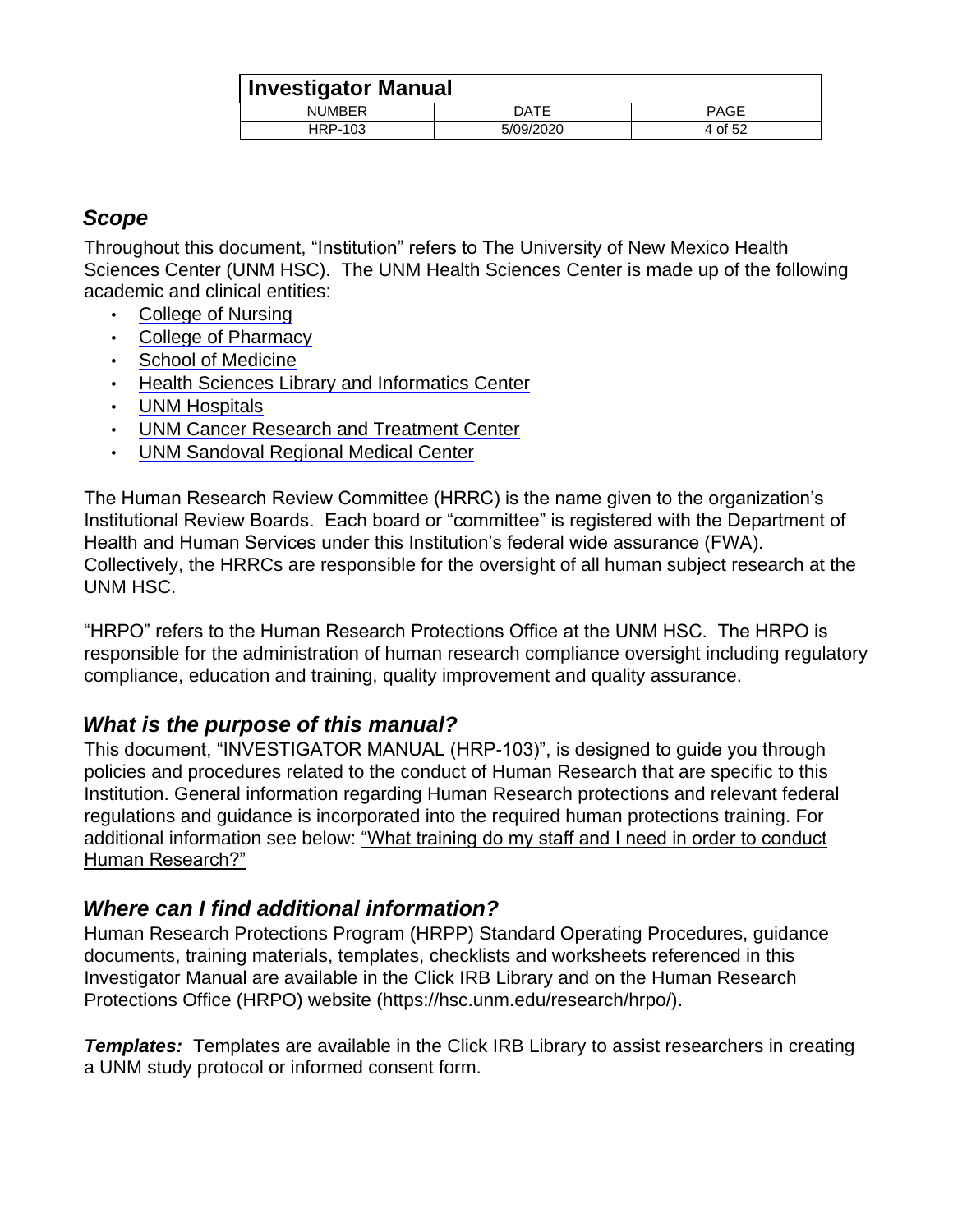| <b>Investigator Manual</b> |           |             |
|----------------------------|-----------|-------------|
| <b>NUMBER</b>              | DATE      | <b>PAGE</b> |
| HRP-103                    | 5/09/2020 | 4 of 52     |

## <span id="page-3-0"></span>*Scope*

Throughout this document, "Institution" refers to The University of New Mexico Health Sciences Center (UNM HSC). The UNM Health Sciences Center is made up of the following academic and clinical entities:

- [College of Nursing](http://nursing.unm.edu/)
- [College of Pharmacy](http://hsc.unm.edu/pharmacy)
- [School of Medicine](http://som.unm.edu/)
- [Health Sciences Library and Informatics Center](http://hslic.unm.edu/)
- [UNM Hospitals](http://hospitals.unm.edu/)
- [UNM Cancer Research and Treatment Center](http://cancer.unm.edu/)
- [UNM Sandoval Regional Medical Center](http://www.unmsrmc.org/)

The Human Research Review Committee (HRRC) is the name given to the organization's Institutional Review Boards. Each board or "committee" is registered with the Department of Health and Human Services under this Institution's federal wide assurance (FWA). Collectively, the HRRCs are responsible for the oversight of all human subject research at the UNM HSC.

"HRPO" refers to the Human Research Protections Office at the UNM HSC. The HRPO is responsible for the administration of human research compliance oversight including regulatory compliance, education and training, quality improvement and quality assurance.

## <span id="page-3-1"></span>*What is the purpose of this manual?*

This document, "INVESTIGATOR MANUAL (HRP-103)", is designed to guide you through policies and procedures related to the conduct of Human Research that are specific to this Institution. General information regarding Human Research protections and relevant federal regulations and guidance is incorporated into the required human protections training. For additional information see below: "What training do my staff and I need in order to conduct Human Research?"

## <span id="page-3-2"></span>*Where can I find additional information?*

Human Research Protections Program (HRPP) Standard Operating Procedures, guidance documents, training materials, templates, checklists and worksheets referenced in this Investigator Manual are available in the Click IRB Library and on the Human Research Protections Office (HRPO) website (https://hsc.unm.edu/research/hrpo/).

**Templates:** Templates are available in the Click IRB Library to assist researchers in creating a UNM study protocol or informed consent form.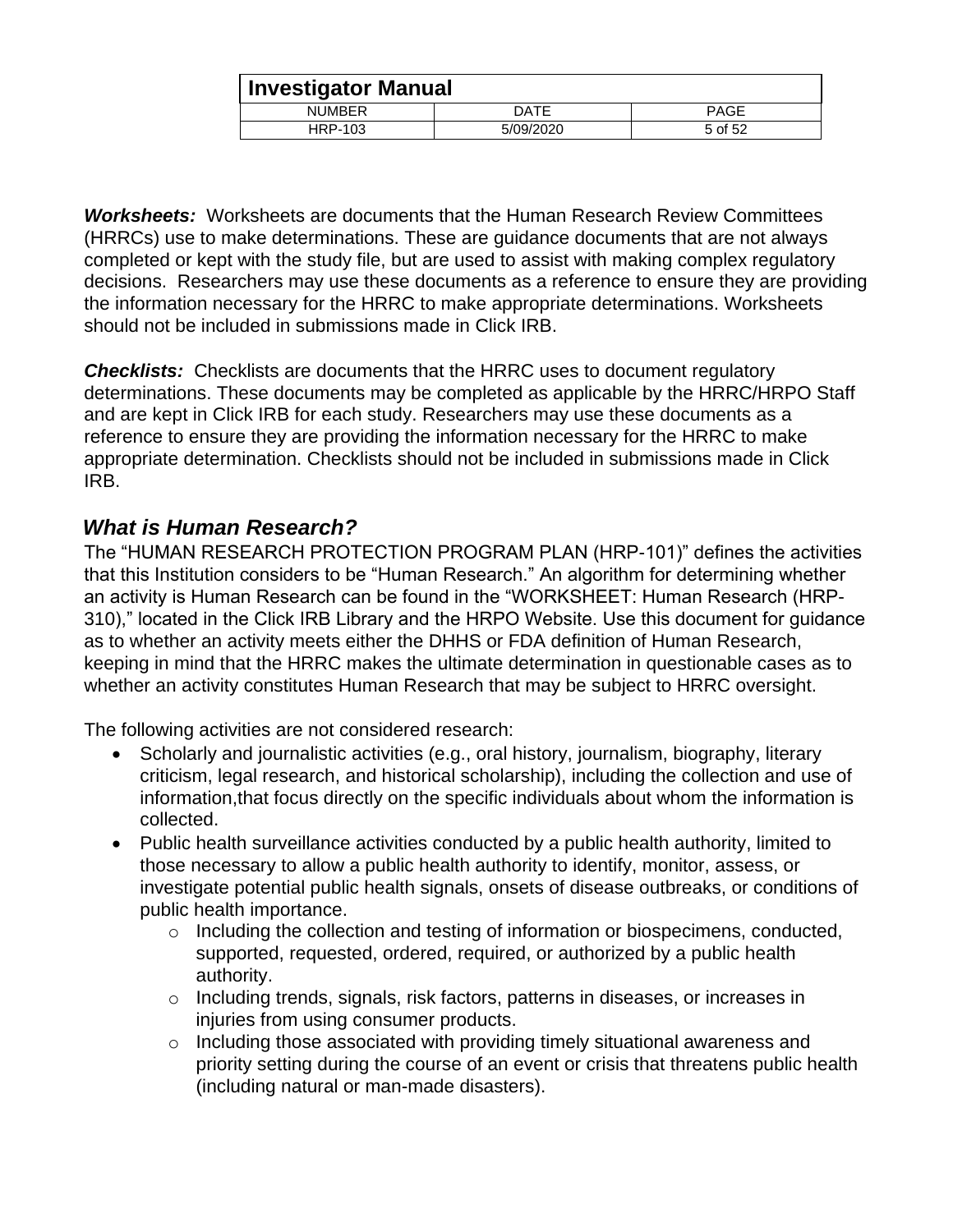|               | <b>Investigator Manual</b> |             |  |
|---------------|----------------------------|-------------|--|
| <b>NUMBER</b> | DATE                       | <b>PAGE</b> |  |
| HRP-103       | 5/09/2020                  | 5 of 52     |  |

*Worksheets:* Worksheets are documents that the Human Research Review Committees (HRRCs) use to make determinations. These are guidance documents that are not always completed or kept with the study file, but are used to assist with making complex regulatory decisions. Researchers may use these documents as a reference to ensure they are providing the information necessary for the HRRC to make appropriate determinations. Worksheets should not be included in submissions made in Click IRB.

*Checklists:* Checklists are documents that the HRRC uses to document regulatory determinations. These documents may be completed as applicable by the HRRC/HRPO Staff and are kept in Click IRB for each study. Researchers may use these documents as a reference to ensure they are providing the information necessary for the HRRC to make appropriate determination. Checklists should not be included in submissions made in Click IRB.

## <span id="page-4-0"></span>*What is Human Research?*

The "HUMAN RESEARCH PROTECTION PROGRAM PLAN (HRP-101)" defines the activities that this Institution considers to be "Human Research." An algorithm for determining whether an activity is Human Research can be found in the "WORKSHEET: Human Research (HRP-310)," located in the Click IRB Library and the HRPO Website. Use this document for guidance as to whether an activity meets either the DHHS or FDA definition of Human Research, keeping in mind that the HRRC makes the ultimate determination in questionable cases as to whether an activity constitutes Human Research that may be subject to HRRC oversight.

The following activities are not considered research:

- Scholarly and journalistic activities (e.g., oral history, journalism, biography, literary criticism, legal research, and historical scholarship), including the collection and use of information,that focus directly on the specific individuals about whom the information is collected.
- Public health surveillance activities conducted by a public health authority, limited to those necessary to allow a public health authority to identify, monitor, assess, or investigate potential public health signals, onsets of disease outbreaks, or conditions of public health importance.
	- o Including the collection and testing of information or biospecimens, conducted, supported, requested, ordered, required, or authorized by a public health authority.
	- o Including trends, signals, risk factors, patterns in diseases, or increases in injuries from using consumer products.
	- o Including those associated with providing timely situational awareness and priority setting during the course of an event or crisis that threatens public health (including natural or man-made disasters).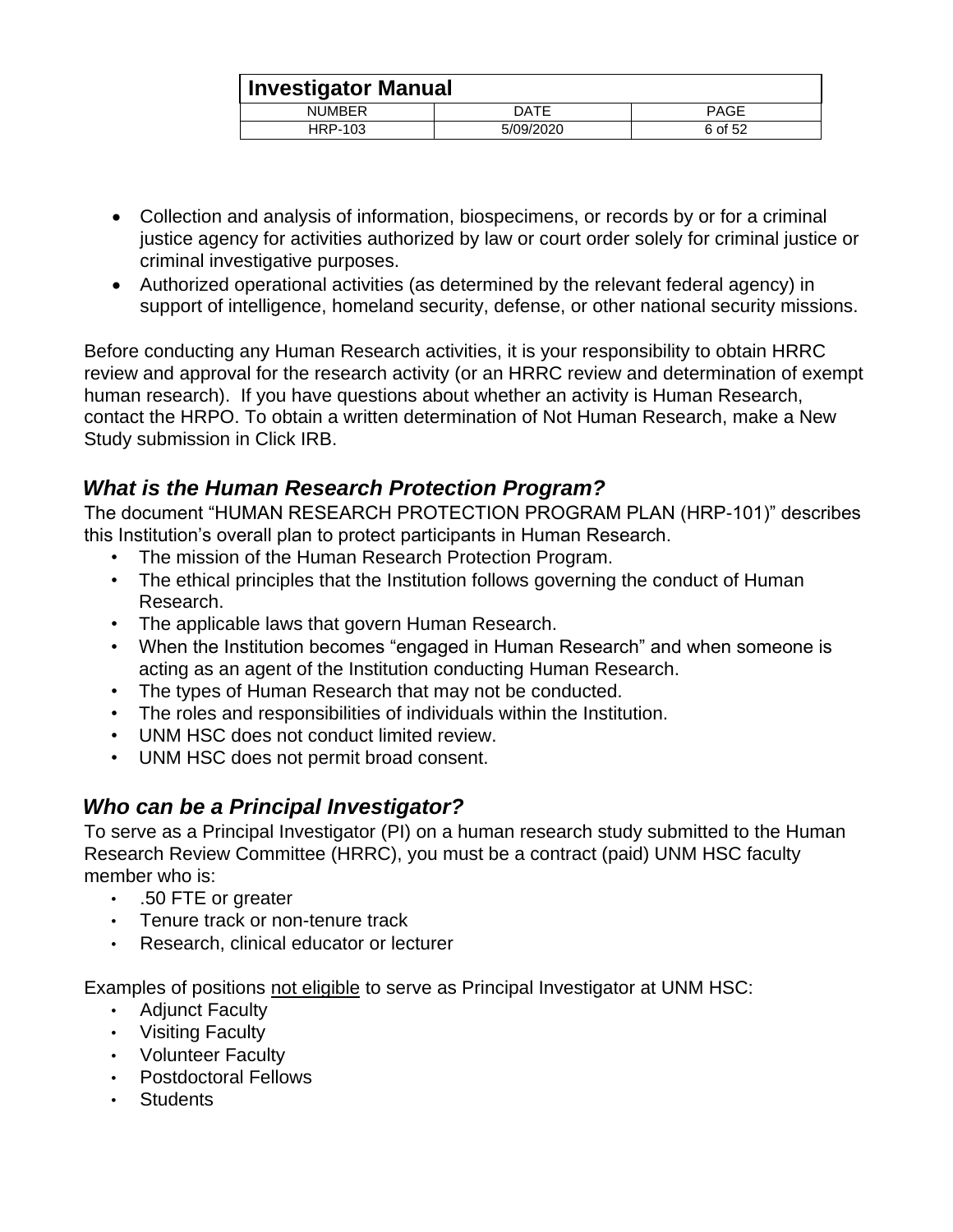| <b>Investigator Manual</b> |           |             |
|----------------------------|-----------|-------------|
| <b>NUMBER</b>              | DATE      | <b>PAGE</b> |
| HRP-103                    | 5/09/2020 | 6 of 52     |

- Collection and analysis of information, biospecimens, or records by or for a criminal justice agency for activities authorized by law or court order solely for criminal justice or criminal investigative purposes.
- Authorized operational activities (as determined by the relevant federal agency) in support of intelligence, homeland security, defense, or other national security missions.

Before conducting any Human Research activities, it is your responsibility to obtain HRRC review and approval for the research activity (or an HRRC review and determination of exempt human research). If you have questions about whether an activity is Human Research, contact the HRPO. To obtain a written determination of Not Human Research, make a New Study submission in Click IRB.

## <span id="page-5-0"></span>*What is the Human Research Protection Program?*

The document "HUMAN RESEARCH PROTECTION PROGRAM PLAN (HRP-101)" describes this Institution's overall plan to protect participants in Human Research.

- The mission of the Human Research Protection Program.
- The ethical principles that the Institution follows governing the conduct of Human Research.
- The applicable laws that govern Human Research.
- When the Institution becomes "engaged in Human Research" and when someone is acting as an agent of the Institution conducting Human Research.
- The types of Human Research that may not be conducted.
- The roles and responsibilities of individuals within the Institution.
- UNM HSC does not conduct limited review.
- UNM HSC does not permit broad consent.

## <span id="page-5-1"></span>*Who can be a Principal Investigator?*

To serve as a Principal Investigator (PI) on a human research study submitted to the Human Research Review Committee (HRRC), you must be a contract (paid) UNM HSC faculty member who is:

- .50 FTE or greater
- Tenure track or non-tenure track
- Research, clinical educator or lecturer

Examples of positions not eligible to serve as Principal Investigator at UNM HSC:

- Adjunct Faculty
- Visiting Faculty
- Volunteer Faculty
- Postdoctoral Fellows
- Students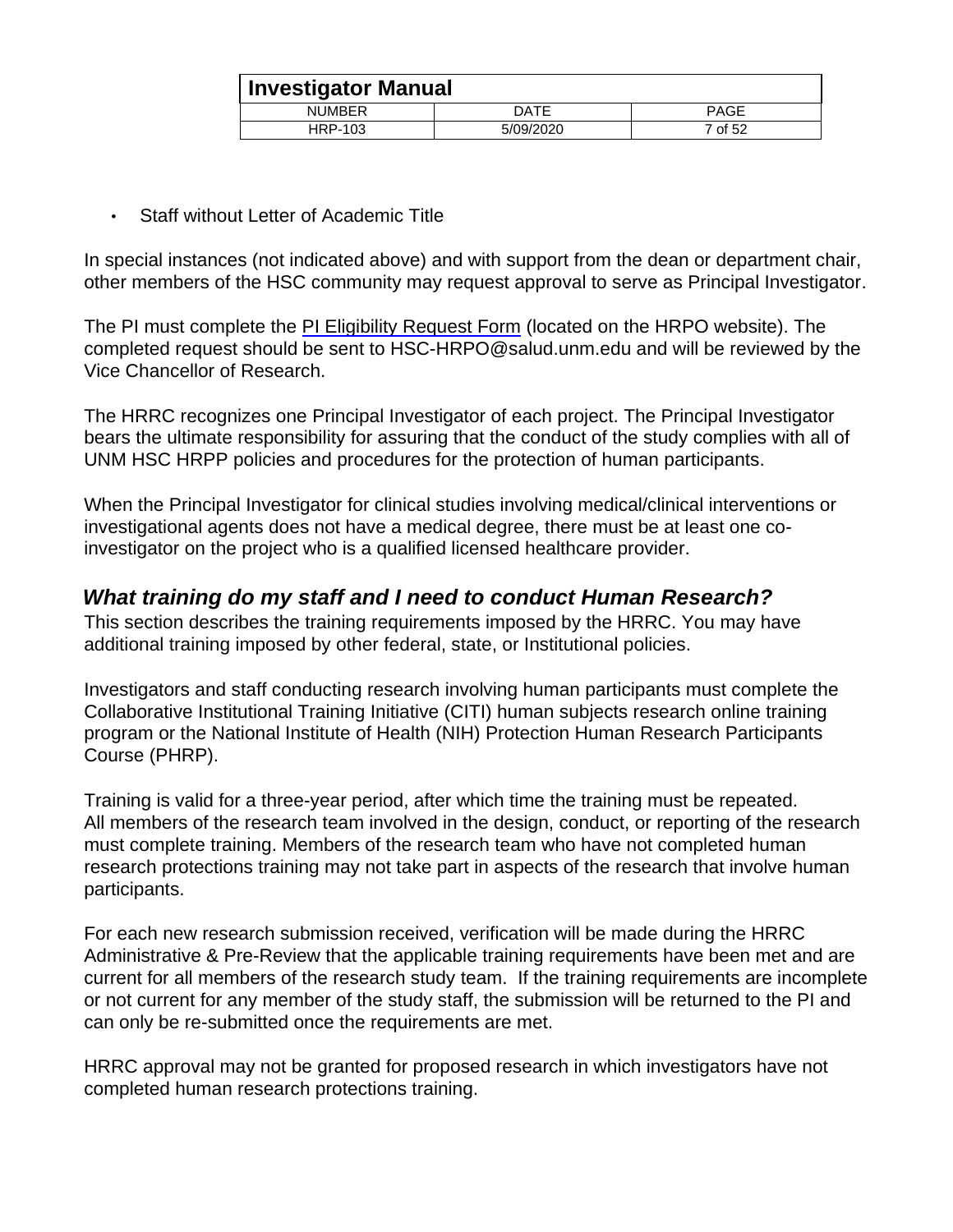| Investigator Manual |           |         |
|---------------------|-----------|---------|
| <b>NUMBER</b>       | DATE      | PAGE    |
| HRP-103             | 5/09/2020 | 7 of 52 |

• Staff without Letter of Academic Title

In special instances (not indicated above) and with support from the dean or department chair, other members of the HSC community may request approval to serve as Principal Investigator.

The PI must complete the [PI Eligibility Request Form](http://hsc.unm.edu/research/hrpo/docs/PI_Eligibility_Request(1).doc) (located on the HRPO website). The completed request should be sent to HSC-HRPO@salud.unm.edu and will be reviewed by the Vice Chancellor of Research.

The HRRC recognizes one Principal Investigator of each project. The Principal Investigator bears the ultimate responsibility for assuring that the conduct of the study complies with all of UNM HSC HRPP policies and procedures for the protection of human participants.

When the Principal Investigator for clinical studies involving medical/clinical interventions or investigational agents does not have a medical degree, there must be at least one coinvestigator on the project who is a qualified licensed healthcare provider.

## <span id="page-6-0"></span>*What training do my staff and I need to conduct Human Research?*

This section describes the training requirements imposed by the HRRC. You may have additional training imposed by other federal, state, or Institutional policies.

Investigators and staff conducting research involving human participants must complete the Collaborative Institutional Training Initiative (CITI) human subjects research online training program or the National Institute of Health (NIH) Protection Human Research Participants Course (PHRP).

Training is valid for a three-year period, after which time the training must be repeated. All members of the research team involved in the design, conduct, or reporting of the research must complete training. Members of the research team who have not completed human research protections training may not take part in aspects of the research that involve human participants.

For each new research submission received, verification will be made during the HRRC Administrative & Pre-Review that the applicable training requirements have been met and are current for all members of the research study team. If the training requirements are incomplete or not current for any member of the study staff, the submission will be returned to the PI and can only be re-submitted once the requirements are met.

HRRC approval may not be granted for proposed research in which investigators have not completed human research protections training.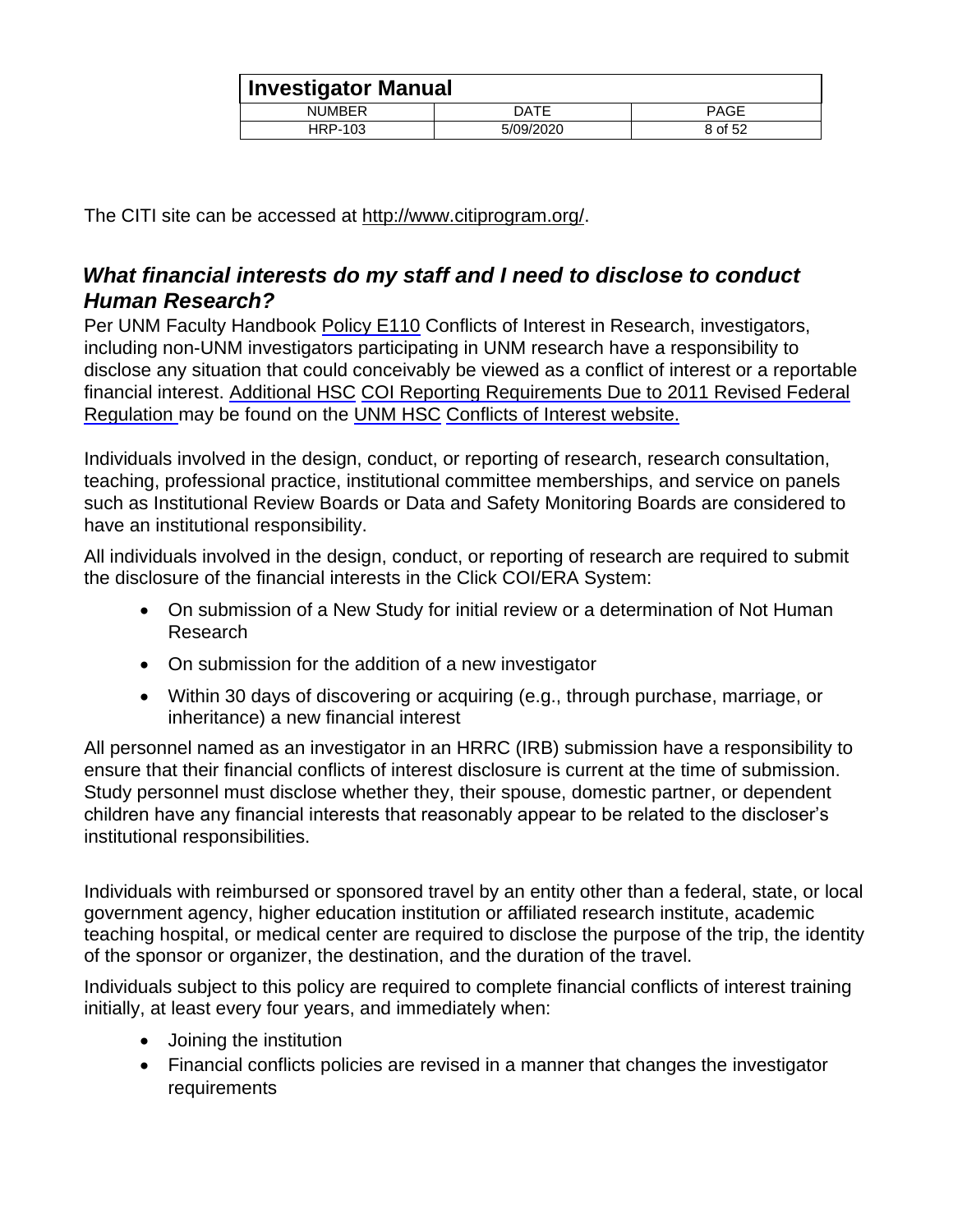| <b>Investigator Manual</b> |           |             |  |
|----------------------------|-----------|-------------|--|
| <b>NUMBER</b>              | DATE      | <b>PAGE</b> |  |
| HRP-103                    | 5/09/2020 | 8 of 52     |  |

The CITI site can be accessed at [http://www.citiprogram.org/.](http://www.citiprogram.org/)

## <span id="page-7-0"></span>*What financial interests do my staff and I need to disclose to conduct Human Research?*

Per UNM Faculty Handbook [Policy E110](http://handbook.unm.edu/section-e/e110.html) [C](http://handbook.unm.edu/section-e/e110.html)onflicts of Interest in Research, investigators, including non-UNM investigators participating in UNM research have a responsibility to disclose any situation that could conceivably be viewed as a conflict of interest or a reportable financial interest. [Additional HSC](http://hsc.unm.edu/research/coi/docs/Additional_COI_reporting_req_3-12-12.pdf) [COI Reporting Requirements Due to 2011 Revised Federal](http://hsc.unm.edu/research/coi/docs/Additional_COI_reporting_req_3-12-12.pdf)  [Regulation](http://hsc.unm.edu/research/coi/docs/Additional_COI_reporting_req_3-12-12.pdf) may be found on the [UNM HSC](http://hsc.unm.edu/research/coi/) [Conflicts of Interest website.](http://hsc.unm.edu/research/coi/)

Individuals involved in the design, conduct, or reporting of research, research consultation, teaching, professional practice, institutional committee memberships, and service on panels such as Institutional Review Boards or Data and Safety Monitoring Boards are considered to have an institutional responsibility.

All individuals involved in the design, conduct, or reporting of research are required to submit the disclosure of the financial interests in the Click COI/ERA System:

- On submission of a New Study for initial review or a determination of Not Human Research
- On submission for the addition of a new investigator
- Within 30 days of discovering or acquiring (e.g., through purchase, marriage, or inheritance) a new financial interest

All personnel named as an investigator in an HRRC (IRB) submission have a responsibility to ensure that their financial conflicts of interest disclosure is current at the time of submission. Study personnel must disclose whether they, their spouse, domestic partner, or dependent children have any financial interests that reasonably appear to be related to the discloser's institutional responsibilities.

Individuals with reimbursed or sponsored travel by an entity other than a federal, state, or local government agency, higher education institution or affiliated research institute, academic teaching hospital, or medical center are required to disclose the purpose of the trip, the identity of the sponsor or organizer, the destination, and the duration of the travel.

Individuals subject to this policy are required to complete financial conflicts of interest training initially, at least every four years, and immediately when:

- Joining the institution
- Financial conflicts policies are revised in a manner that changes the investigator requirements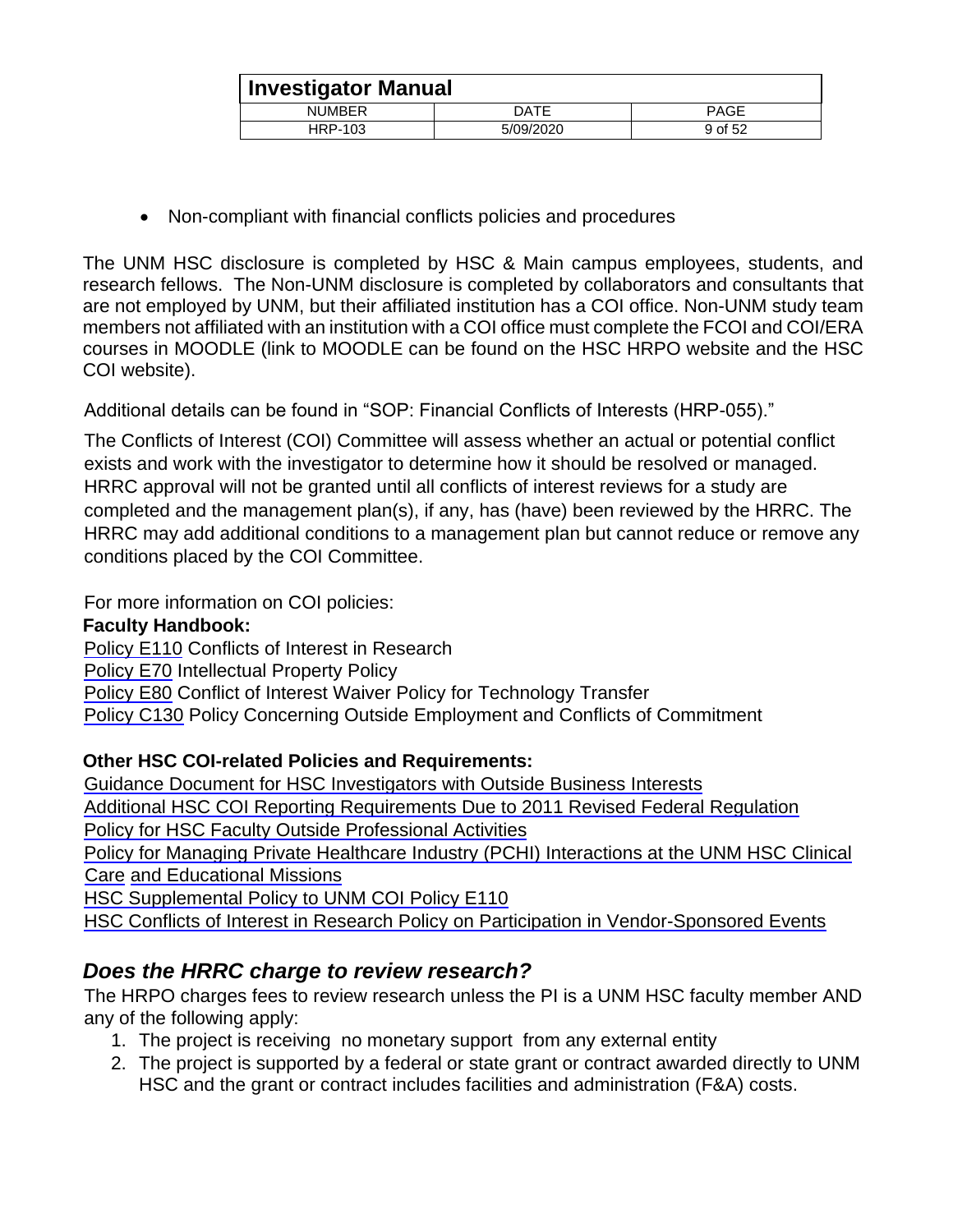| <b>Investigator Manual</b> |           |             |  |
|----------------------------|-----------|-------------|--|
| <b>NUMBER</b>              | DATE      | <b>PAGE</b> |  |
| HRP-103                    | 5/09/2020 | 9 of 52     |  |

Non-compliant with financial conflicts policies and procedures

The UNM HSC disclosure is completed by HSC & Main campus employees, students, and research fellows. The Non-UNM disclosure is completed by collaborators and consultants that are not employed by UNM, but their affiliated institution has a COI office. Non-UNM study team members not affiliated with an institution with a COI office must complete the FCOI and COI/ERA courses in MOODLE (link to MOODLE can be found on the HSC HRPO website and the HSC COI website).

Additional details can be found in "SOP: Financial Conflicts of Interests (HRP-055)."

The Conflicts of Interest (COI) Committee will assess whether an actual or potential conflict exists and work with the investigator to determine how it should be resolved or managed. HRRC approval will not be granted until all conflicts of interest reviews for a study are completed and the management plan(s), if any, has (have) been reviewed by the HRRC. The HRRC may add additional conditions to a management plan but cannot reduce or remove any conditions placed by the COI Committee.

For more information on COI policies:

#### **Faculty Handbook:**

[Policy E110](http://handbook.unm.edu/section-e/e110.html) Conflicts of Interest in Research

[Policy E70](http://handbook.unm.edu/section-e/e70.html) Intellectual Property Policy

[Policy E80](http://handbook.unm.edu/section-e/e80.html) Conflict of Interest Waiver Policy for Technology Transfer

[Policy C130](http://handbook.unm.edu/section-c/c130.html) [P](http://handbook.unm.edu/section-c/c130.html)olicy Concerning Outside Employment and Conflicts of Commitment

#### **Other HSC COI-related Policies and Requirements:**

[Guidance Document for HSC Investigators with Outside Business Interests](http://hsc.unm.edu/research/coi/docs/Guidance_doc_for_HSC_investigators_with_outside_business_1-8-14.pdf) [Additional HSC COI Reporting Requirements Due to 2011 Revised Federal Regulation](http://hsc.unm.edu/research/coi/docs/Additional_COI_reporting_req_3-12-12.pdf) [Policy for HSC Faculty Outside Professional Activities](http://hsc.unm.edu/research/coi/docs/HSC_Faculty_Outside_Activities_Policy_10nov30.pdf) [Policy for Managing Private Healthcare Industry \(PCHI\) Interactions at the UNM HSC Clinical](http://hsc.unm.edu/research/coi/docs/COI_PHCI_Interactions.pdf)  [Care](http://hsc.unm.edu/research/coi/docs/COI_PHCI_Interactions.pdf) [and Educational Missions](http://hsc.unm.edu/research/coi/docs/COI_PHCI_Interactions.pdf) [HSC Supplemental Policy to UNM COI Policy E110](http://hsc.unm.edu/research/coi/docs/COI_Supplemental_Policy_for_HSC_11-15-10.pdf)

#### [HSC Conflicts of Interest in Research Policy on Participation in Vendor-Sponsored Events](http://hsc.unm.edu/research/coi/docs/Vendor-Sponsored_Events_11.15.10.pdf)

## <span id="page-8-0"></span>*Does the HRRC charge to review research?*

The HRPO charges fees to review research unless the PI is a UNM HSC faculty member AND any of the following apply:

- 1. The project is receiving no monetary support from any external entity
- 2. The project is supported by a federal or state grant or contract awarded directly to UNM HSC and the grant or contract includes facilities and administration (F&A) costs.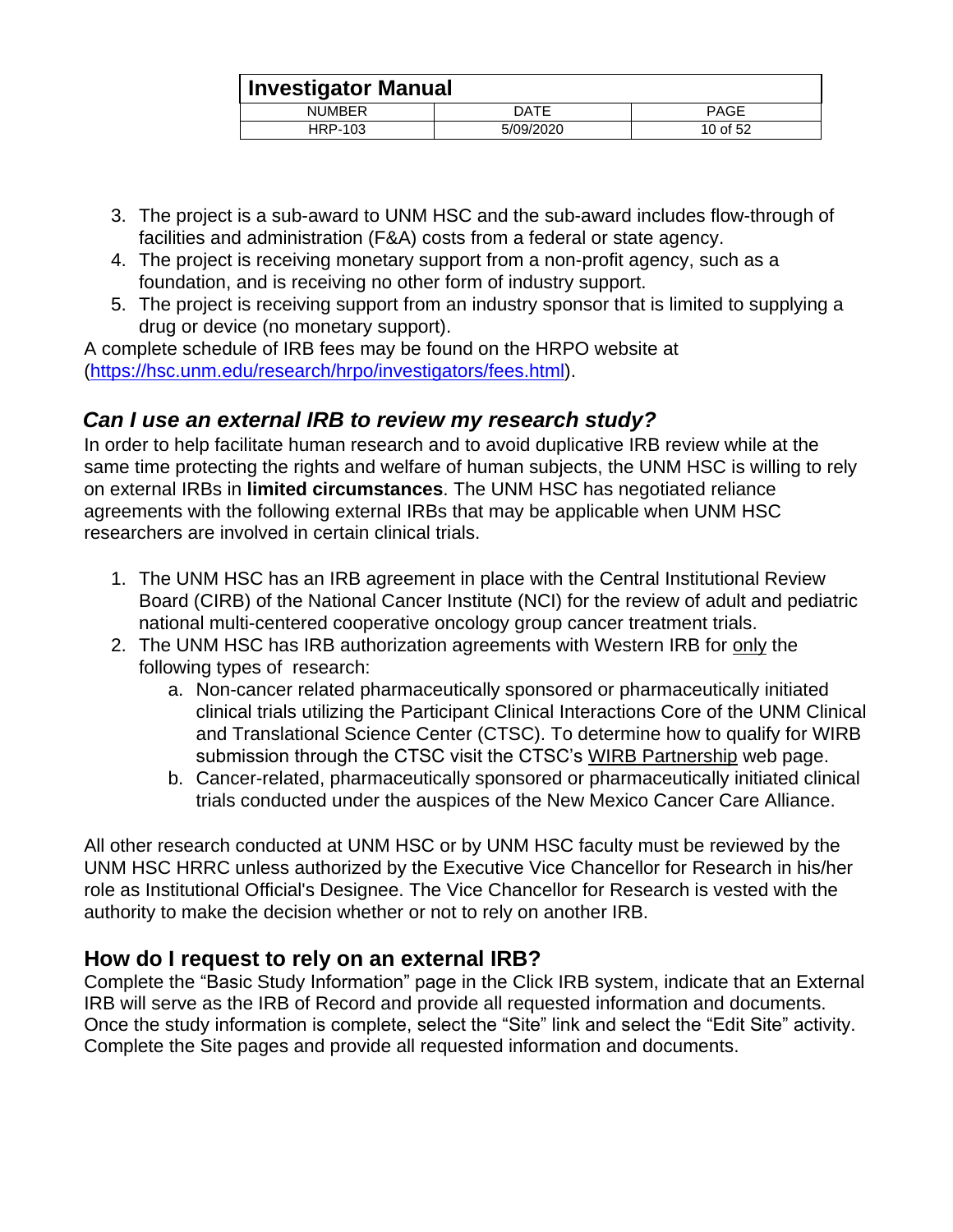| <b>Investigator Manual</b> |           |             |
|----------------------------|-----------|-------------|
| <b>NUMBER</b>              | DATE      | <b>PAGE</b> |
| HRP-103                    | 5/09/2020 | 10 of 52    |

- 3. The project is a sub-award to UNM HSC and the sub-award includes flow-through of facilities and administration (F&A) costs from a federal or state agency.
- 4. The project is receiving monetary support from a non-profit agency, such as a foundation, and is receiving no other form of industry support.
- 5. The project is receiving support from an industry sponsor that is limited to supplying a drug or device (no monetary support).

A complete schedule of IRB fees may be found on the HRPO website at [\(https://hsc.unm.edu/research/hrpo/investigators/fees.html\).](http://hsc.unm.edu/research/hrpo/investigators/fees.html)

## <span id="page-9-0"></span>*Can I use an external IRB to review my research study?*

In order to help facilitate human research and to avoid duplicative IRB review while at the same time protecting the rights and welfare of human subjects, the UNM HSC is willing to rely on external IRBs in **limited circumstances**. The UNM HSC has negotiated reliance agreements with the following external IRBs that may be applicable when UNM HSC researchers are involved in certain clinical trials.

- 1. The UNM HSC has an IRB agreement in place with the Central Institutional Review Board (CIRB) of the National Cancer Institute (NCI) for the review of adult and pediatric national multi-centered cooperative oncology group cancer treatment trials.
- 2. The UNM HSC has IRB authorization agreements with Western IRB for only the following types of research:
	- a. Non-cancer related pharmaceutically sponsored or pharmaceutically initiated clinical trials utilizing the Participant Clinical Interactions Core of the UNM Clinical and Translational Science Center (CTSC). To determine how to qualify for WIRB [s](http://hsc.unm.edu/research/ctsc/RSU/WIRB.shtml)ubmission through the CTSC visit the CTSC's [WIRB Partnership](http://hsc.unm.edu/research/ctsc/RSU/WIRB.shtml) [w](http://hsc.unm.edu/research/ctsc/RSU/WIRB.shtml)eb page.
	- b. Cancer-related, pharmaceutically sponsored or pharmaceutically initiated clinical trials conducted under the auspices of the New Mexico Cancer Care Alliance.

All other research conducted at UNM HSC or by UNM HSC faculty must be reviewed by the UNM HSC HRRC unless authorized by the Executive Vice Chancellor for Research in his/her role as Institutional Official's Designee. The Vice Chancellor for Research is vested with the authority to make the decision whether or not to rely on another IRB.

#### <span id="page-9-1"></span>**How do I request to rely on an external IRB?**

Complete the "Basic Study Information" page in the Click IRB system, indicate that an External IRB will serve as the IRB of Record and provide all requested information and documents. Once the study information is complete, select the "Site" link and select the "Edit Site" activity. Complete the Site pages and provide all requested information and documents.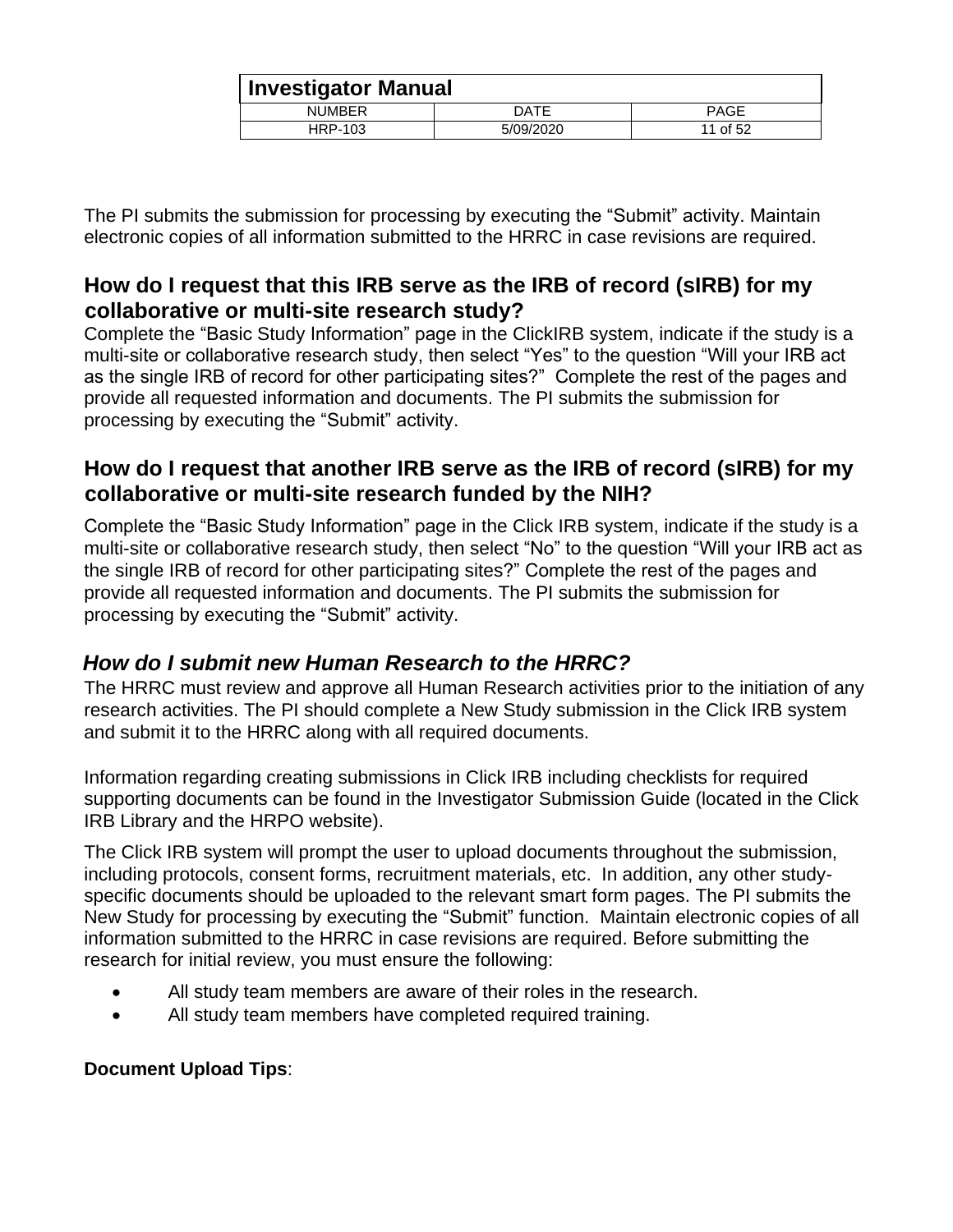| <b>Investigator Manual</b> |           |             |
|----------------------------|-----------|-------------|
| <b>NUMBER</b>              | DATE      | <b>PAGE</b> |
| HRP-103                    | 5/09/2020 | 11 of 52    |

The PI submits the submission for processing by executing the "Submit" activity. Maintain electronic copies of all information submitted to the HRRC in case revisions are required.

## <span id="page-10-0"></span>**How do I request that this IRB serve as the IRB of record (sIRB) for my collaborative or multi-site research study?**

Complete the "Basic Study Information" page in the ClickIRB system, indicate if the study is a multi-site or collaborative research study, then select "Yes" to the question "Will your IRB act as the single IRB of record for other participating sites?" Complete the rest of the pages and provide all requested information and documents. The PI submits the submission for processing by executing the "Submit" activity.

## <span id="page-10-1"></span>**How do I request that another IRB serve as the IRB of record (sIRB) for my collaborative or multi-site research funded by the NIH?**

Complete the "Basic Study Information" page in the Click IRB system, indicate if the study is a multi-site or collaborative research study, then select "No" to the question "Will your IRB act as the single IRB of record for other participating sites?" Complete the rest of the pages and provide all requested information and documents. The PI submits the submission for processing by executing the "Submit" activity.

## <span id="page-10-2"></span>*How do I submit new Human Research to the HRRC?*

The HRRC must review and approve all Human Research activities prior to the initiation of any research activities. The PI should complete a New Study submission in the Click IRB system and submit it to the HRRC along with all required documents.

Information regarding creating submissions in Click IRB including checklists for required supporting documents can be found in the Investigator Submission Guide (located in the Click IRB Library and the HRPO website).

The Click IRB system will prompt the user to upload documents throughout the submission, including protocols, consent forms, recruitment materials, etc. In addition, any other studyspecific documents should be uploaded to the relevant smart form pages. The PI submits the New Study for processing by executing the "Submit" function. Maintain electronic copies of all information submitted to the HRRC in case revisions are required. Before submitting the research for initial review, you must ensure the following:

- All study team members are aware of their roles in the research.
- All study team members have completed required training.

#### **Document Upload Tips**: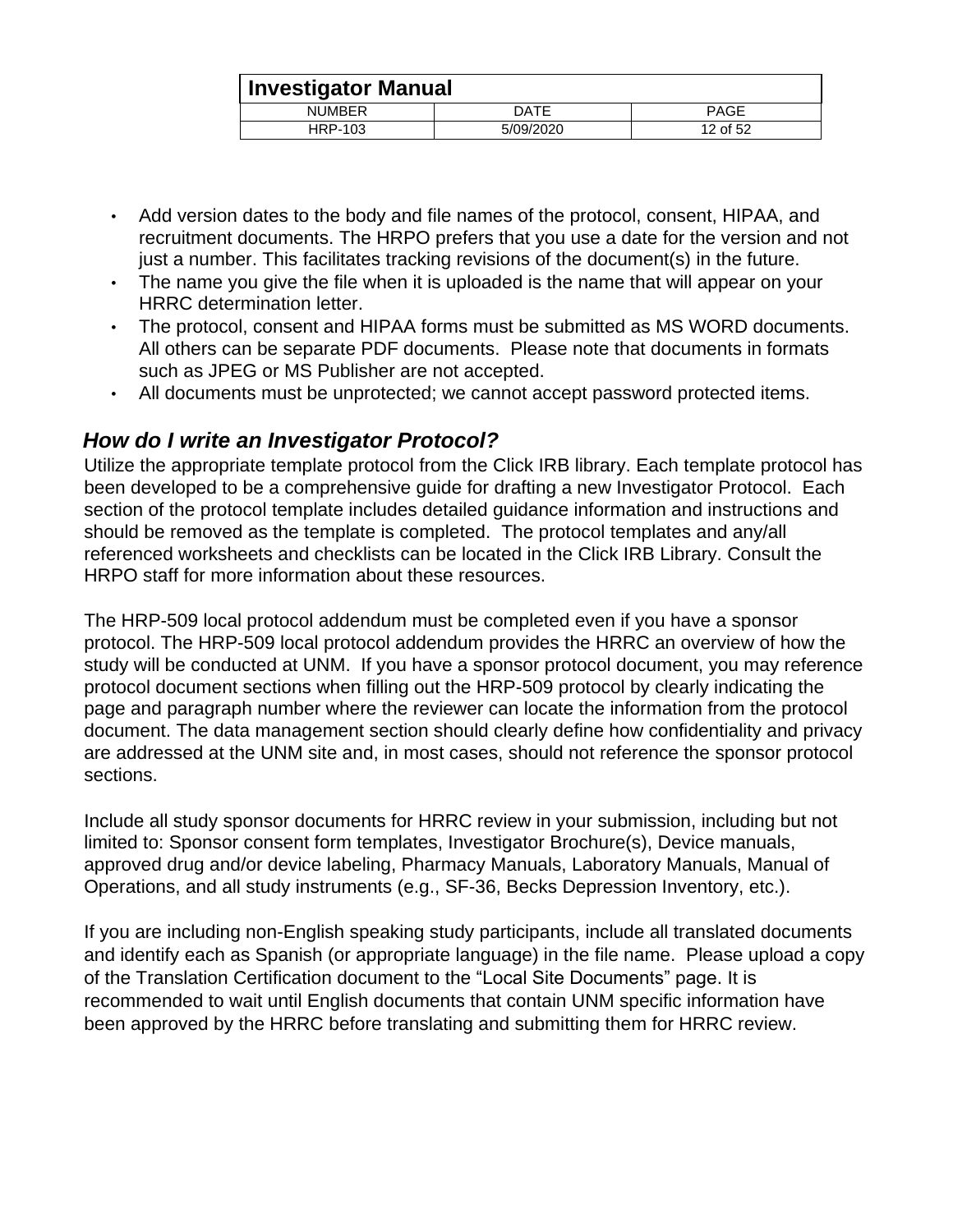|               | <b>Investigator Manual</b> |             |  |
|---------------|----------------------------|-------------|--|
| <b>NUMBER</b> | DATE                       | <b>PAGE</b> |  |
| HRP-103       | 5/09/2020                  | 12 of 52    |  |

- Add version dates to the body and file names of the protocol, consent, HIPAA, and recruitment documents. The HRPO prefers that you use a date for the version and not just a number. This facilitates tracking revisions of the document(s) in the future.
- The name you give the file when it is uploaded is the name that will appear on your HRRC determination letter.
- The protocol, consent and HIPAA forms must be submitted as MS WORD documents. All others can be separate PDF documents. Please note that documents in formats such as JPEG or MS Publisher are not accepted.
- All documents must be unprotected; we cannot accept password protected items.

#### <span id="page-11-0"></span>*How do I write an Investigator Protocol?*

Utilize the appropriate template protocol from the Click IRB library. Each template protocol has been developed to be a comprehensive guide for drafting a new Investigator Protocol. Each section of the protocol template includes detailed guidance information and instructions and should be removed as the template is completed. The protocol templates and any/all referenced worksheets and checklists can be located in the Click IRB Library. Consult the HRPO staff for more information about these resources.

The HRP-509 local protocol addendum must be completed even if you have a sponsor protocol. The HRP-509 local protocol addendum provides the HRRC an overview of how the study will be conducted at UNM. If you have a sponsor protocol document, you may reference protocol document sections when filling out the HRP-509 protocol by clearly indicating the page and paragraph number where the reviewer can locate the information from the protocol document. The data management section should clearly define how confidentiality and privacy are addressed at the UNM site and, in most cases, should not reference the sponsor protocol sections.

Include all study sponsor documents for HRRC review in your submission, including but not limited to: Sponsor consent form templates, Investigator Brochure(s), Device manuals, approved drug and/or device labeling, Pharmacy Manuals, Laboratory Manuals, Manual of Operations, and all study instruments (e.g., SF-36, Becks Depression Inventory, etc.).

If you are including non-English speaking study participants, include all translated documents and identify each as Spanish (or appropriate language) in the file name. Please upload a copy of the Translation Certification document to the "Local Site Documents" page. It is recommended to wait until English documents that contain UNM specific information have been approved by the HRRC before translating and submitting them for HRRC review.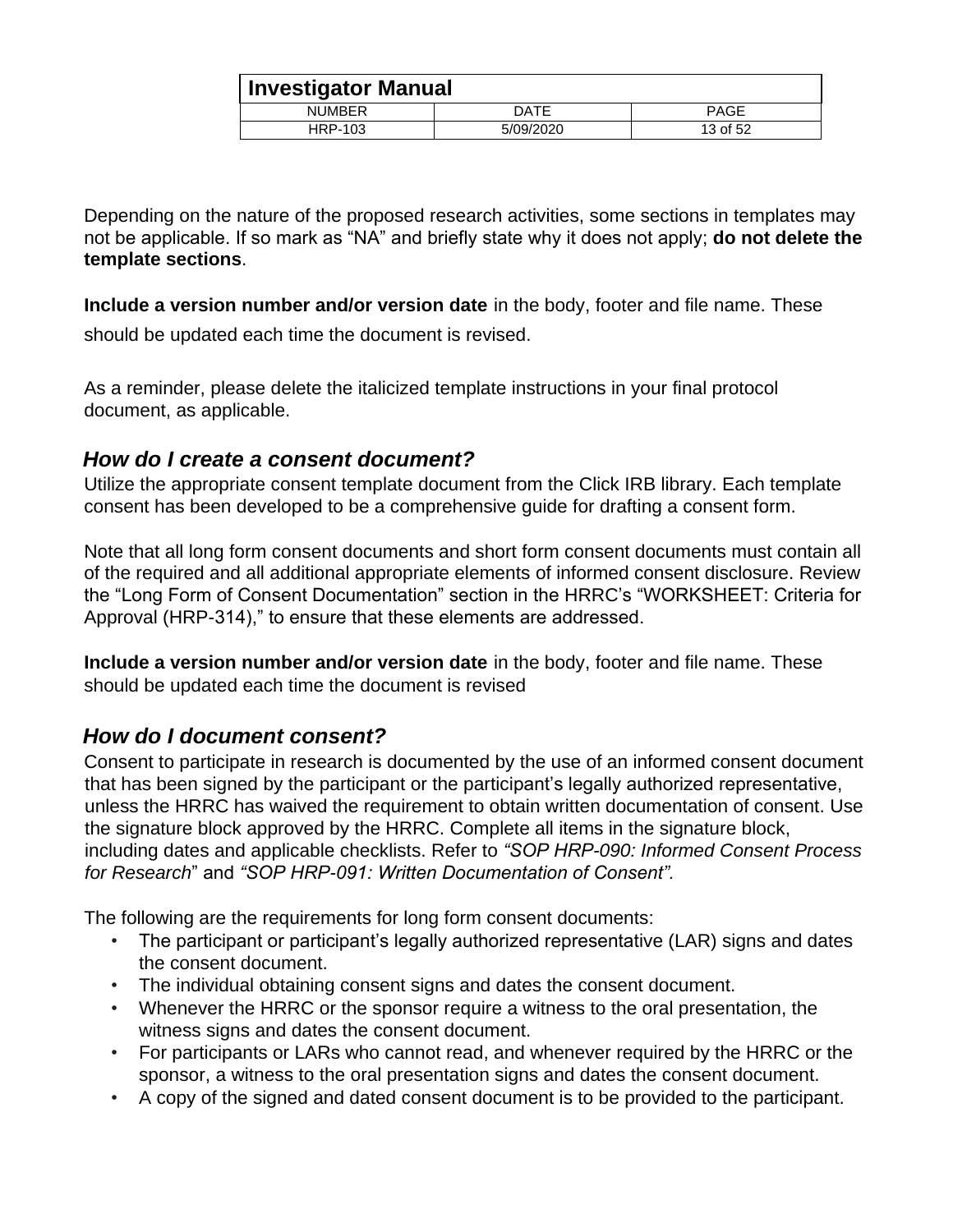|               | Investigator Manual |             |  |
|---------------|---------------------|-------------|--|
| <b>NUMBER</b> | DATE                | <b>PAGE</b> |  |
| HRP-103       | 5/09/2020           | 13 of 52    |  |

Depending on the nature of the proposed research activities, some sections in templates may not be applicable. If so mark as "NA" and briefly state why it does not apply; **do not delete the template sections**.

**Include a version number and/or version date** in the body, footer and file name. These

should be updated each time the document is revised.

As a reminder, please delete the italicized template instructions in your final protocol document, as applicable.

#### <span id="page-12-0"></span>*How do I create a consent document?*

Utilize the appropriate consent template document from the Click IRB library. Each template consent has been developed to be a comprehensive guide for drafting a consent form.

Note that all long form consent documents and short form consent documents must contain all of the required and all additional appropriate elements of informed consent disclosure. Review the "Long Form of Consent Documentation" section in the HRRC's "WORKSHEET: Criteria for Approval (HRP-314)," to ensure that these elements are addressed.

**Include a version number and/or version date** in the body, footer and file name. These should be updated each time the document is revised

#### <span id="page-12-1"></span>*How do I document consent?*

Consent to participate in research is documented by the use of an informed consent document that has been signed by the participant or the participant's legally authorized representative, unless the HRRC has waived the requirement to obtain written documentation of consent. Use the signature block approved by the HRRC. Complete all items in the signature block, including dates and applicable checklists. Refer to *"SOP HRP-090: Informed Consent Process for Research*" and *"SOP HRP-091: Written Documentation of Consent".* 

The following are the requirements for long form consent documents:

- The participant or participant's legally authorized representative (LAR) signs and dates the consent document.
- The individual obtaining consent signs and dates the consent document.
- Whenever the HRRC or the sponsor require a witness to the oral presentation, the witness signs and dates the consent document.
- For participants or LARs who cannot read, and whenever required by the HRRC or the sponsor, a witness to the oral presentation signs and dates the consent document.
- A copy of the signed and dated consent document is to be provided to the participant.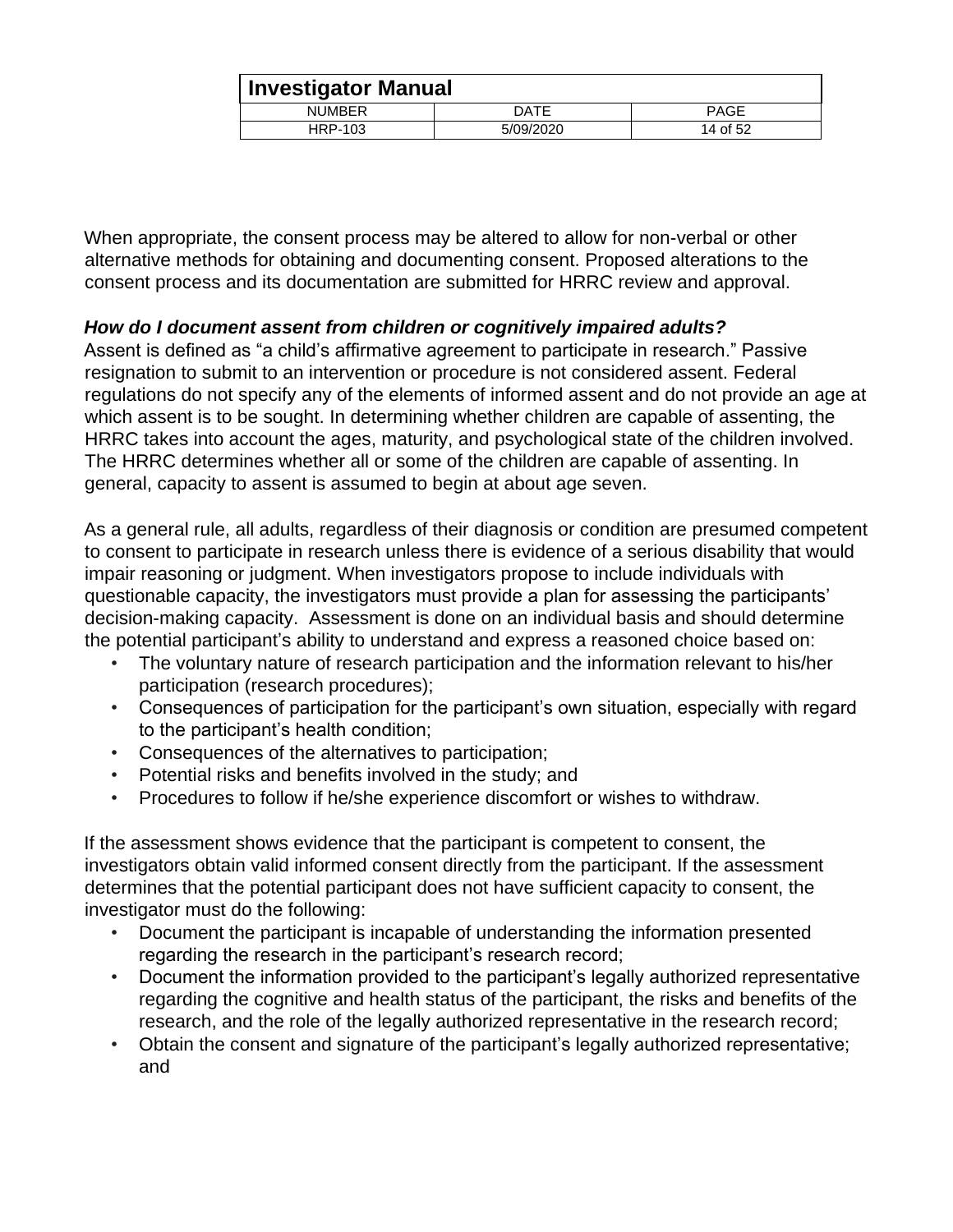|               | <b>Investigator Manual</b> |             |  |
|---------------|----------------------------|-------------|--|
| <b>NUMBER</b> | DATE                       | <b>PAGE</b> |  |
| HRP-103       | 5/09/2020                  | 14 of 52    |  |

When appropriate, the consent process may be altered to allow for non-verbal or other alternative methods for obtaining and documenting consent. Proposed alterations to the consent process and its documentation are submitted for HRRC review and approval.

#### *How do I document assent from children or cognitively impaired adults?*

Assent is defined as "a child's affirmative agreement to participate in research." Passive resignation to submit to an intervention or procedure is not considered assent. Federal regulations do not specify any of the elements of informed assent and do not provide an age at which assent is to be sought. In determining whether children are capable of assenting, the HRRC takes into account the ages, maturity, and psychological state of the children involved. The HRRC determines whether all or some of the children are capable of assenting. In general, capacity to assent is assumed to begin at about age seven.

As a general rule, all adults, regardless of their diagnosis or condition are presumed competent to consent to participate in research unless there is evidence of a serious disability that would impair reasoning or judgment. When investigators propose to include individuals with questionable capacity, the investigators must provide a plan for assessing the participants' decision-making capacity. Assessment is done on an individual basis and should determine the potential participant's ability to understand and express a reasoned choice based on:

- The voluntary nature of research participation and the information relevant to his/her participation (research procedures);
- Consequences of participation for the participant's own situation, especially with regard to the participant's health condition;
- Consequences of the alternatives to participation;
- Potential risks and benefits involved in the study; and
- Procedures to follow if he/she experience discomfort or wishes to withdraw.

If the assessment shows evidence that the participant is competent to consent, the investigators obtain valid informed consent directly from the participant. If the assessment determines that the potential participant does not have sufficient capacity to consent, the investigator must do the following:

- Document the participant is incapable of understanding the information presented regarding the research in the participant's research record;
- Document the information provided to the participant's legally authorized representative regarding the cognitive and health status of the participant, the risks and benefits of the research, and the role of the legally authorized representative in the research record;
- Obtain the consent and signature of the participant's legally authorized representative; and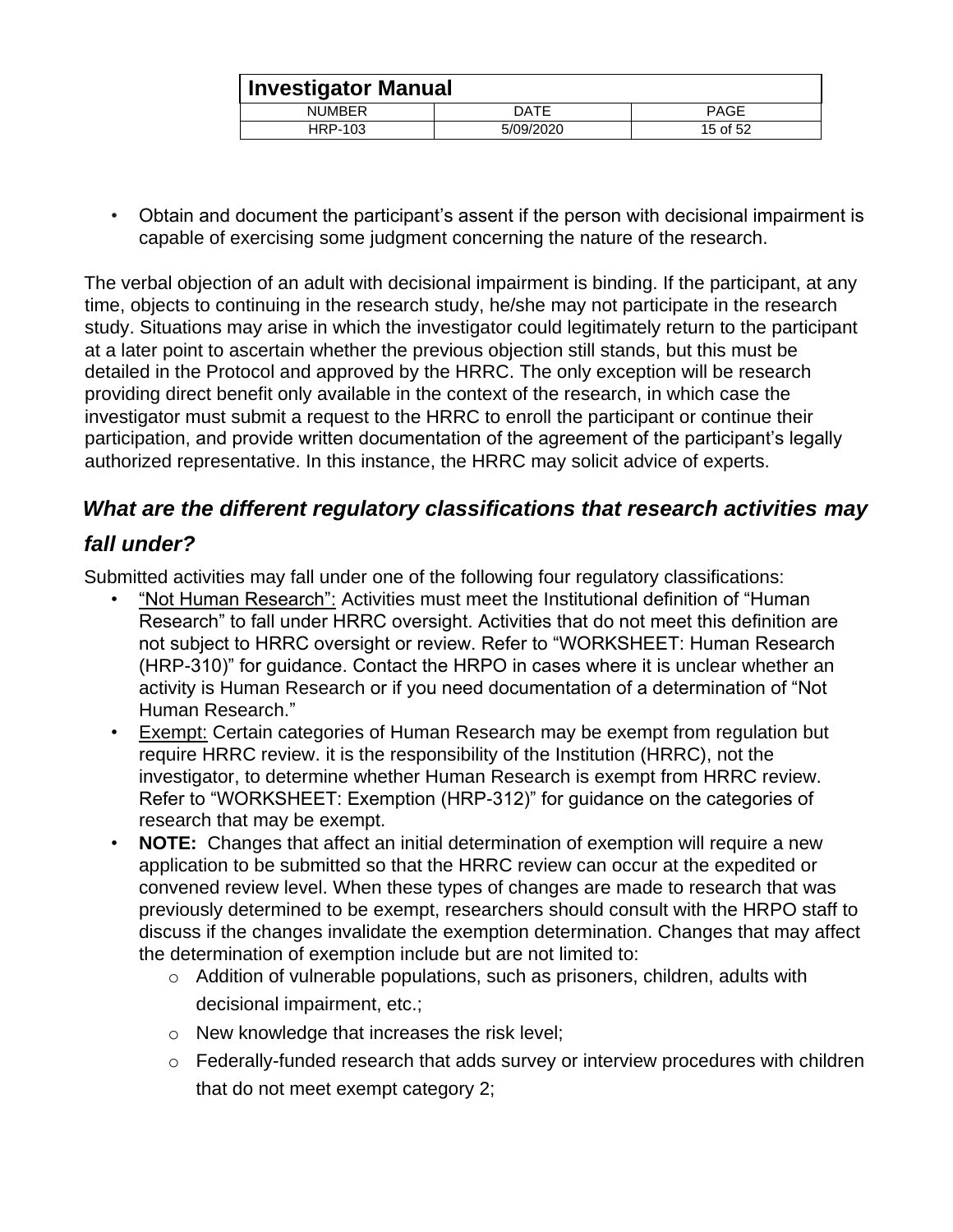| Investigator Manual |           |          |
|---------------------|-----------|----------|
| <b>NUMBER</b>       | DATE      | PAGE     |
| HRP-103             | 5/09/2020 | 15 of 52 |

• Obtain and document the participant's assent if the person with decisional impairment is capable of exercising some judgment concerning the nature of the research.

The verbal objection of an adult with decisional impairment is binding. If the participant, at any time, objects to continuing in the research study, he/she may not participate in the research study. Situations may arise in which the investigator could legitimately return to the participant at a later point to ascertain whether the previous objection still stands, but this must be detailed in the Protocol and approved by the HRRC. The only exception will be research providing direct benefit only available in the context of the research, in which case the investigator must submit a request to the HRRC to enroll the participant or continue their participation, and provide written documentation of the agreement of the participant's legally authorized representative. In this instance, the HRRC may solicit advice of experts.

## <span id="page-14-0"></span>*What are the different regulatory classifications that research activities may*

## *fall under?*

Submitted activities may fall under one of the following four regulatory classifications:

- "Not Human Research": Activities must meet the Institutional definition of "Human Research" to fall under HRRC oversight. Activities that do not meet this definition are not subject to HRRC oversight or review. Refer to "WORKSHEET: Human Research (HRP-310)" for guidance. Contact the HRPO in cases where it is unclear whether an activity is Human Research or if you need documentation of a determination of "Not Human Research."
- Exempt: Certain categories of Human Research may be exempt from regulation but require HRRC review. it is the responsibility of the Institution (HRRC), not the investigator, to determine whether Human Research is exempt from HRRC review. Refer to "WORKSHEET: Exemption (HRP-312)" for guidance on the categories of research that may be exempt.
- **NOTE:** Changes that affect an initial determination of exemption will require a new application to be submitted so that the HRRC review can occur at the expedited or convened review level. When these types of changes are made to research that was previously determined to be exempt, researchers should consult with the HRPO staff to discuss if the changes invalidate the exemption determination. Changes that may affect the determination of exemption include but are not limited to:
	- o Addition of vulnerable populations, such as prisoners, children, adults with decisional impairment, etc.;
	- o New knowledge that increases the risk level;
	- o Federally-funded research that adds survey or interview procedures with children that do not meet exempt category 2;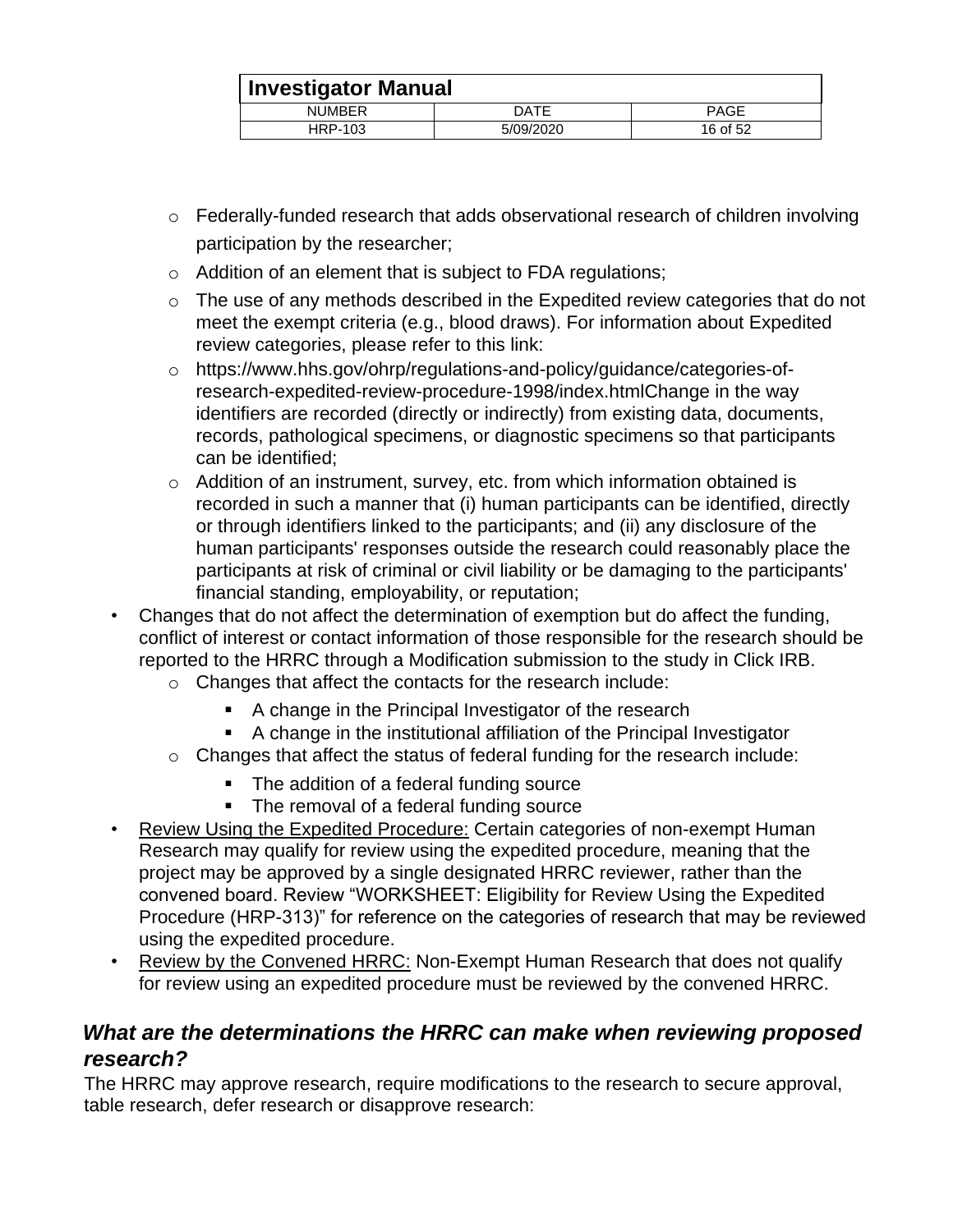|               | <b>Investigator Manual</b> |             |  |
|---------------|----------------------------|-------------|--|
| <b>NUMBER</b> | DATE                       | <b>PAGE</b> |  |
| HRP-103       | 5/09/2020                  | 16 of 52    |  |

- o Federally-funded research that adds observational research of children involving participation by the researcher;
- o Addition of an element that is subject to FDA regulations;
- o The use of any methods described in the Expedited review categories that do not meet the exempt criteria (e.g., blood draws). For information about Expedited review categories, please refer to this link:
- o https://www.hhs.gov/ohrp/regulations-and-policy/guidance/categories-ofresearch-expedited-review-procedure-1998/index.htmlChange in the way identifiers are recorded (directly or indirectly) from existing data, documents, records, pathological specimens, or diagnostic specimens so that participants can be identified;
- o Addition of an instrument, survey, etc. from which information obtained is recorded in such a manner that (i) human participants can be identified, directly or through identifiers linked to the participants; and (ii) any disclosure of the human participants' responses outside the research could reasonably place the participants at risk of criminal or civil liability or be damaging to the participants' financial standing, employability, or reputation;
- Changes that do not affect the determination of exemption but do affect the funding, conflict of interest or contact information of those responsible for the research should be reported to the HRRC through a Modification submission to the study in Click IRB.
	- o Changes that affect the contacts for the research include:
		- A change in the Principal Investigator of the research
		- A change in the institutional affiliation of the Principal Investigator
	- $\circ$  Changes that affect the status of federal funding for the research include:
		- The addition of a federal funding source
		- The removal of a federal funding source
- Review Using the Expedited Procedure: Certain categories of non-exempt Human Research may qualify for review using the expedited procedure, meaning that the project may be approved by a single designated HRRC reviewer, rather than the convened board. Review "WORKSHEET: Eligibility for Review Using the Expedited Procedure (HRP-313)" for reference on the categories of research that may be reviewed using the expedited procedure.
- Review by the Convened HRRC: Non-Exempt Human Research that does not qualify for review using an expedited procedure must be reviewed by the convened HRRC.

## <span id="page-15-0"></span>*What are the determinations the HRRC can make when reviewing proposed research?*

The HRRC may approve research, require modifications to the research to secure approval, table research, defer research or disapprove research: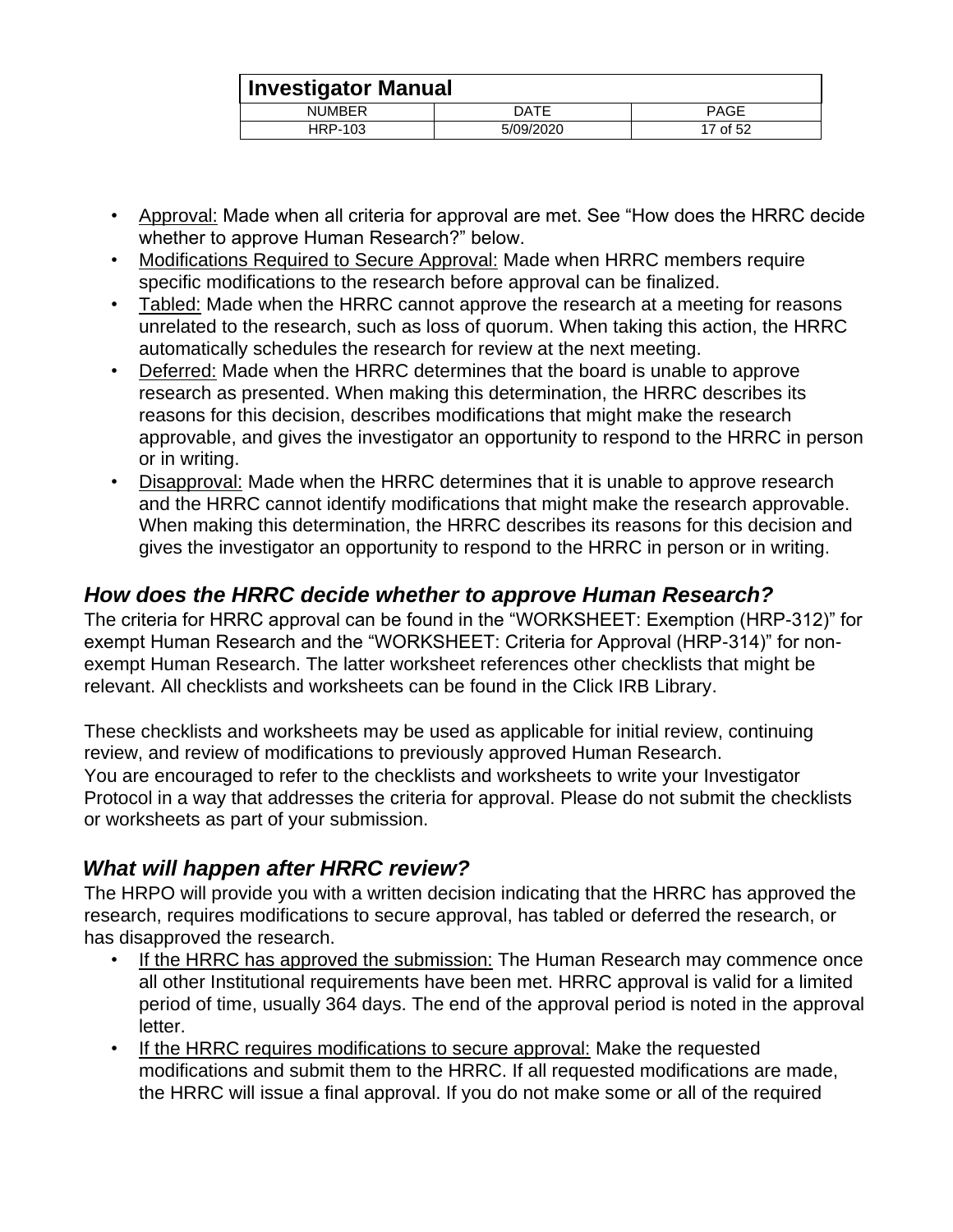|               | Investigator Manual |          |  |
|---------------|---------------------|----------|--|
| <b>NUMBER</b> | DATE                | PAGE     |  |
| HRP-103       | 5/09/2020           | 17 of 52 |  |

- Approval: Made when all criteria for approval are met. See "How does the HRRC decide whether to approve Human Research?" below.
- Modifications Required to Secure Approval: Made when HRRC members require specific modifications to the research before approval can be finalized.
- Tabled: Made when the HRRC cannot approve the research at a meeting for reasons unrelated to the research, such as loss of quorum. When taking this action, the HRRC automatically schedules the research for review at the next meeting.
- Deferred: Made when the HRRC determines that the board is unable to approve research as presented. When making this determination, the HRRC describes its reasons for this decision, describes modifications that might make the research approvable, and gives the investigator an opportunity to respond to the HRRC in person or in writing.
- Disapproval: Made when the HRRC determines that it is unable to approve research and the HRRC cannot identify modifications that might make the research approvable. When making this determination, the HRRC describes its reasons for this decision and gives the investigator an opportunity to respond to the HRRC in person or in writing.

## <span id="page-16-0"></span>*How does the HRRC decide whether to approve Human Research?*

The criteria for HRRC approval can be found in the "WORKSHEET: Exemption (HRP-312)" for exempt Human Research and the "WORKSHEET: Criteria for Approval (HRP-314)" for nonexempt Human Research. The latter worksheet references other checklists that might be relevant. All checklists and worksheets can be found in the Click IRB Library.

These checklists and worksheets may be used as applicable for initial review, continuing review, and review of modifications to previously approved Human Research. You are encouraged to refer to the checklists and worksheets to write your Investigator Protocol in a way that addresses the criteria for approval. Please do not submit the checklists or worksheets as part of your submission.

## <span id="page-16-1"></span>*What will happen after HRRC review?*

The HRPO will provide you with a written decision indicating that the HRRC has approved the research, requires modifications to secure approval, has tabled or deferred the research, or has disapproved the research.

- If the HRRC has approved the submission: The Human Research may commence once all other Institutional requirements have been met. HRRC approval is valid for a limited period of time, usually 364 days. The end of the approval period is noted in the approval letter.
- If the HRRC requires modifications to secure approval: Make the requested modifications and submit them to the HRRC. If all requested modifications are made, the HRRC will issue a final approval. If you do not make some or all of the required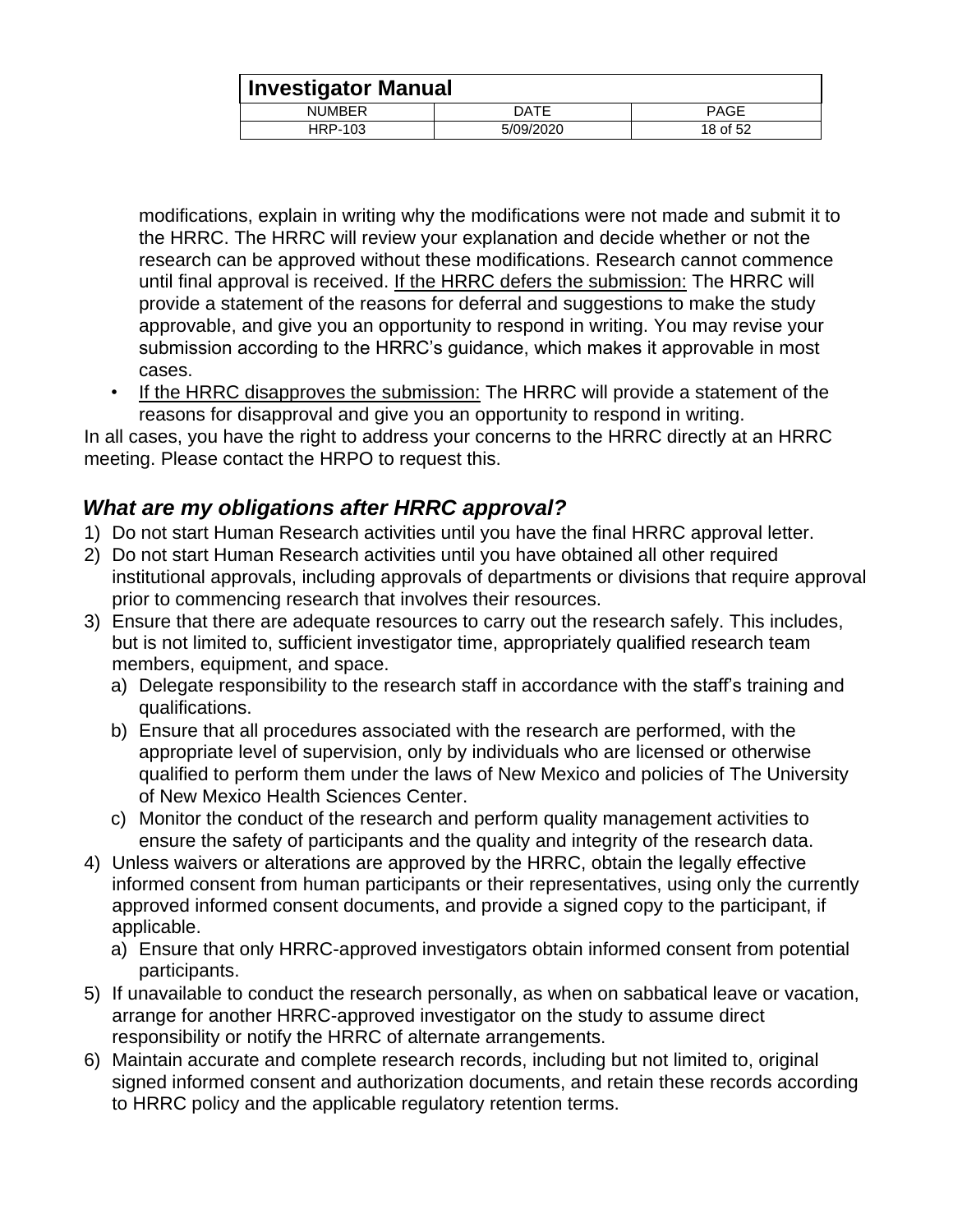|               | <b>Investigator Manual</b> |             |  |
|---------------|----------------------------|-------------|--|
| <b>NUMBER</b> | DATE                       | <b>PAGE</b> |  |
| HRP-103       | 5/09/2020                  | 18 of 52    |  |

modifications, explain in writing why the modifications were not made and submit it to the HRRC. The HRRC will review your explanation and decide whether or not the research can be approved without these modifications. Research cannot commence until final approval is received. If the HRRC defers the submission: The HRRC will provide a statement of the reasons for deferral and suggestions to make the study approvable, and give you an opportunity to respond in writing. You may revise your submission according to the HRRC's guidance, which makes it approvable in most cases.

• If the HRRC disapproves the submission: The HRRC will provide a statement of the reasons for disapproval and give you an opportunity to respond in writing.

In all cases, you have the right to address your concerns to the HRRC directly at an HRRC meeting. Please contact the HRPO to request this.

## <span id="page-17-0"></span>*What are my obligations after HRRC approval?*

- 1) Do not start Human Research activities until you have the final HRRC approval letter.
- 2) Do not start Human Research activities until you have obtained all other required institutional approvals, including approvals of departments or divisions that require approval prior to commencing research that involves their resources.
- 3) Ensure that there are adequate resources to carry out the research safely. This includes, but is not limited to, sufficient investigator time, appropriately qualified research team members, equipment, and space.
	- a) Delegate responsibility to the research staff in accordance with the staff's training and qualifications.
	- b) Ensure that all procedures associated with the research are performed, with the appropriate level of supervision, only by individuals who are licensed or otherwise qualified to perform them under the laws of New Mexico and policies of The University of New Mexico Health Sciences Center.
	- c) Monitor the conduct of the research and perform quality management activities to ensure the safety of participants and the quality and integrity of the research data.
- 4) Unless waivers or alterations are approved by the HRRC, obtain the legally effective informed consent from human participants or their representatives, using only the currently approved informed consent documents, and provide a signed copy to the participant, if applicable.
	- a) Ensure that only HRRC-approved investigators obtain informed consent from potential participants.
- 5) If unavailable to conduct the research personally, as when on sabbatical leave or vacation, arrange for another HRRC-approved investigator on the study to assume direct responsibility or notify the HRRC of alternate arrangements.
- 6) Maintain accurate and complete research records, including but not limited to, original signed informed consent and authorization documents, and retain these records according to HRRC policy and the applicable regulatory retention terms.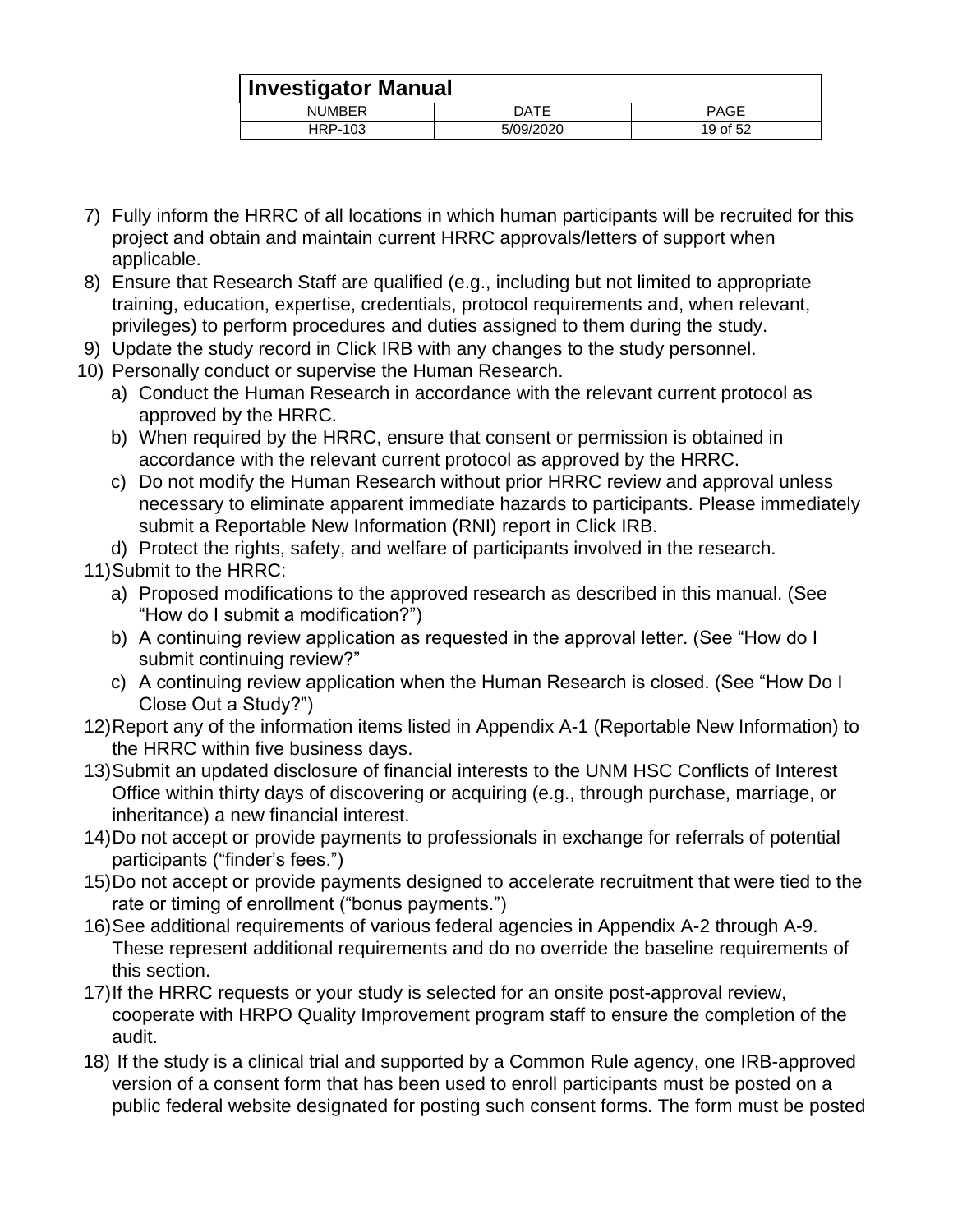|               | Investigator Manual |             |  |
|---------------|---------------------|-------------|--|
| <b>NUMBER</b> | DATE                | <b>PAGE</b> |  |
| HRP-103       | 5/09/2020           | 19 of 52    |  |

- 7) Fully inform the HRRC of all locations in which human participants will be recruited for this project and obtain and maintain current HRRC approvals/letters of support when applicable.
- 8) Ensure that Research Staff are qualified (e.g., including but not limited to appropriate training, education, expertise, credentials, protocol requirements and, when relevant, privileges) to perform procedures and duties assigned to them during the study.
- 9) Update the study record in Click IRB with any changes to the study personnel.
- 10) Personally conduct or supervise the Human Research.
	- a) Conduct the Human Research in accordance with the relevant current protocol as approved by the HRRC.
	- b) When required by the HRRC, ensure that consent or permission is obtained in accordance with the relevant current protocol as approved by the HRRC.
	- c) Do not modify the Human Research without prior HRRC review and approval unless necessary to eliminate apparent immediate hazards to participants. Please immediately submit a Reportable New Information (RNI) report in Click IRB.
	- d) Protect the rights, safety, and welfare of participants involved in the research.

#### 11)Submit to the HRRC:

- a) Proposed modifications to the approved research as described in this manual. (See "How do I submit a modification?")
- b) A continuing review application as requested in the approval letter. (See "How do I submit continuing review?"
- c) A continuing review application when the Human Research is closed. (See "How Do I Close Out a Study?")
- 12)Report any of the information items listed in Appendix A-1 (Reportable New Information) to the HRRC within five business days.
- 13)Submit an updated disclosure of financial interests to the UNM HSC Conflicts of Interest Office within thirty days of discovering or acquiring (e.g., through purchase, marriage, or inheritance) a new financial interest.
- 14)Do not accept or provide payments to professionals in exchange for referrals of potential participants ("finder's fees.")
- 15)Do not accept or provide payments designed to accelerate recruitment that were tied to the rate or timing of enrollment ("bonus payments.")
- 16)See additional requirements of various federal agencies in Appendix A-2 through A-9. These represent additional requirements and do no override the baseline requirements of this section.
- 17)If the HRRC requests or your study is selected for an onsite post-approval review, cooperate with HRPO Quality Improvement program staff to ensure the completion of the audit.
- 18) If the study is a clinical trial and supported by a Common Rule agency, one IRB-approved version of a consent form that has been used to enroll participants must be posted on a public federal website designated for posting such consent forms. The form must be posted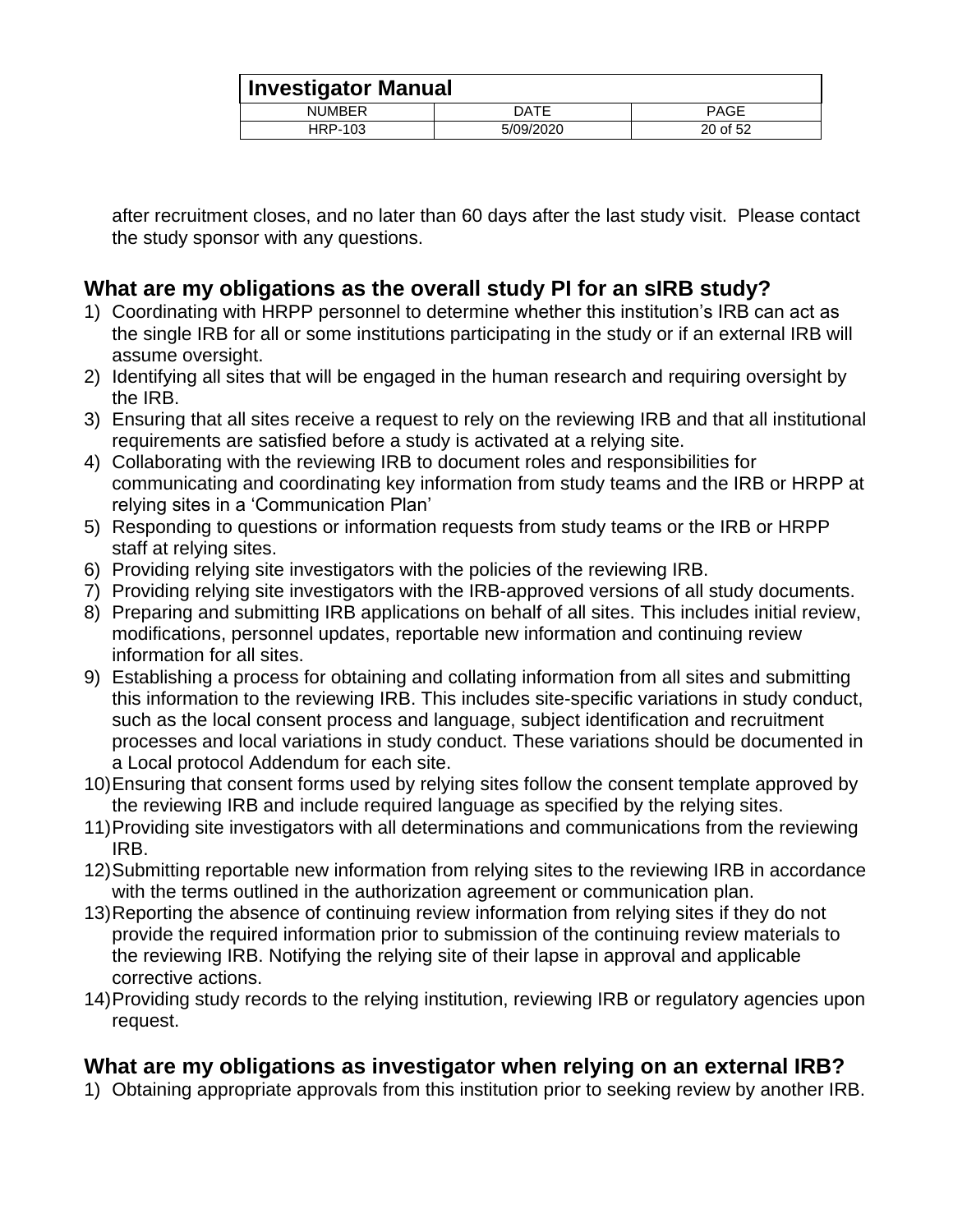|               | <b>Investigator Manual</b> |             |  |
|---------------|----------------------------|-------------|--|
| <b>NUMBER</b> | DATE                       | <b>PAGE</b> |  |
| HRP-103       | 5/09/2020                  | 20 of 52    |  |

after recruitment closes, and no later than 60 days after the last study visit. Please contact the study sponsor with any questions.

## <span id="page-19-0"></span>**What are my obligations as the overall study PI for an sIRB study?**

- 1) Coordinating with HRPP personnel to determine whether this institution's IRB can act as the single IRB for all or some institutions participating in the study or if an external IRB will assume oversight.
- 2) Identifying all sites that will be engaged in the human research and requiring oversight by the IRB.
- 3) Ensuring that all sites receive a request to rely on the reviewing IRB and that all institutional requirements are satisfied before a study is activated at a relying site.
- 4) Collaborating with the reviewing IRB to document roles and responsibilities for communicating and coordinating key information from study teams and the IRB or HRPP at relying sites in a 'Communication Plan'
- 5) Responding to questions or information requests from study teams or the IRB or HRPP staff at relying sites.
- 6) Providing relying site investigators with the policies of the reviewing IRB.
- 7) Providing relying site investigators with the IRB-approved versions of all study documents.
- 8) Preparing and submitting IRB applications on behalf of all sites. This includes initial review, modifications, personnel updates, reportable new information and continuing review information for all sites.
- 9) Establishing a process for obtaining and collating information from all sites and submitting this information to the reviewing IRB. This includes site-specific variations in study conduct, such as the local consent process and language, subject identification and recruitment processes and local variations in study conduct. These variations should be documented in a Local protocol Addendum for each site.
- 10)Ensuring that consent forms used by relying sites follow the consent template approved by the reviewing IRB and include required language as specified by the relying sites.
- 11)Providing site investigators with all determinations and communications from the reviewing IRB.
- 12)Submitting reportable new information from relying sites to the reviewing IRB in accordance with the terms outlined in the authorization agreement or communication plan.
- 13)Reporting the absence of continuing review information from relying sites if they do not provide the required information prior to submission of the continuing review materials to the reviewing IRB. Notifying the relying site of their lapse in approval and applicable corrective actions.
- 14)Providing study records to the relying institution, reviewing IRB or regulatory agencies upon request.

#### <span id="page-19-1"></span>**What are my obligations as investigator when relying on an external IRB?**

1) Obtaining appropriate approvals from this institution prior to seeking review by another IRB.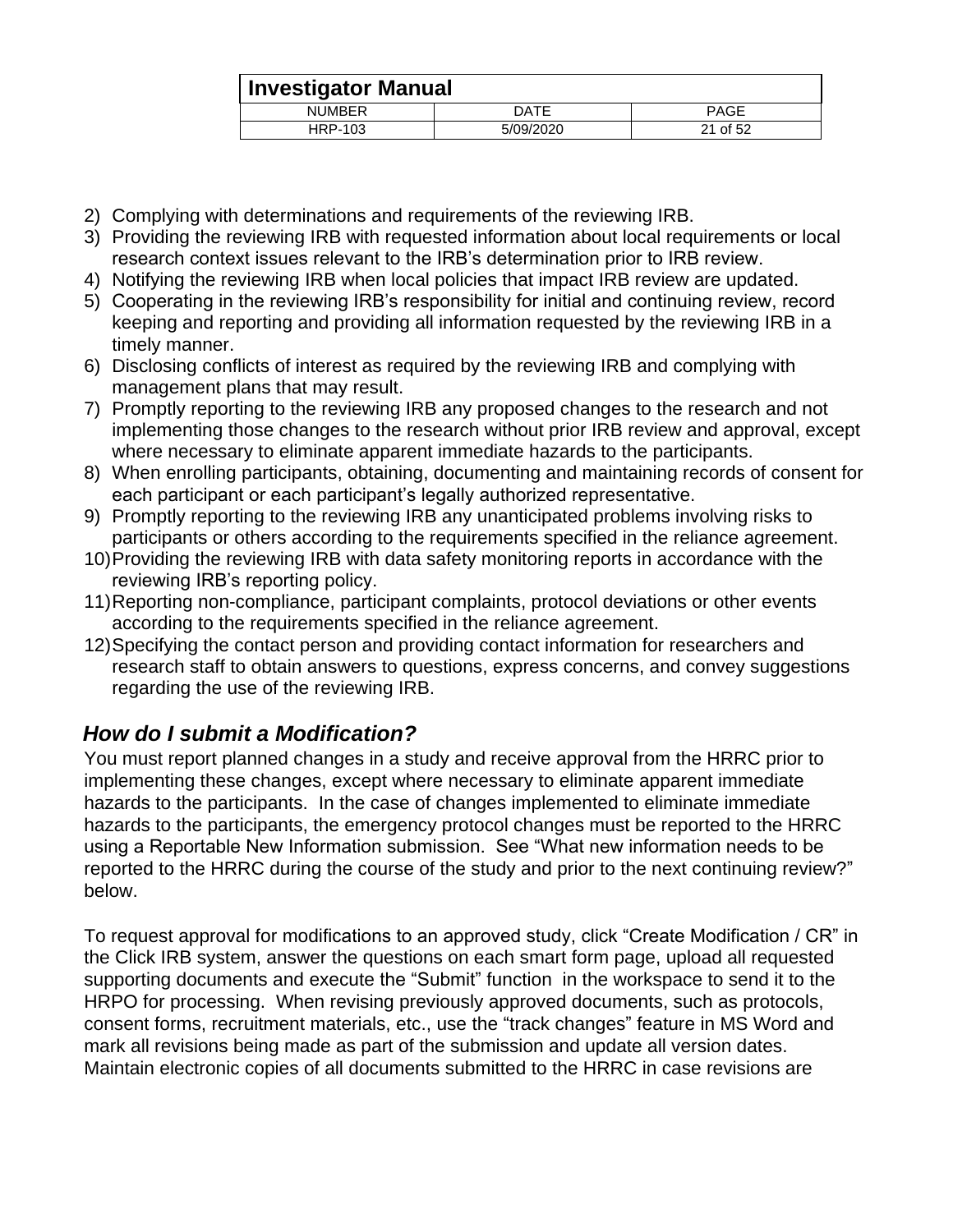|               | <b>Investigator Manual</b> |             |  |
|---------------|----------------------------|-------------|--|
| <b>NUMBER</b> | DATE                       | <b>PAGE</b> |  |
| HRP-103       | 5/09/2020                  | 21 of 52    |  |

- 2) Complying with determinations and requirements of the reviewing IRB.
- 3) Providing the reviewing IRB with requested information about local requirements or local research context issues relevant to the IRB's determination prior to IRB review.
- 4) Notifying the reviewing IRB when local policies that impact IRB review are updated.
- 5) Cooperating in the reviewing IRB's responsibility for initial and continuing review, record keeping and reporting and providing all information requested by the reviewing IRB in a timely manner.
- 6) Disclosing conflicts of interest as required by the reviewing IRB and complying with management plans that may result.
- 7) Promptly reporting to the reviewing IRB any proposed changes to the research and not implementing those changes to the research without prior IRB review and approval, except where necessary to eliminate apparent immediate hazards to the participants.
- 8) When enrolling participants, obtaining, documenting and maintaining records of consent for each participant or each participant's legally authorized representative.
- 9) Promptly reporting to the reviewing IRB any unanticipated problems involving risks to participants or others according to the requirements specified in the reliance agreement.
- 10)Providing the reviewing IRB with data safety monitoring reports in accordance with the reviewing IRB's reporting policy.
- 11)Reporting non-compliance, participant complaints, protocol deviations or other events according to the requirements specified in the reliance agreement.
- 12)Specifying the contact person and providing contact information for researchers and research staff to obtain answers to questions, express concerns, and convey suggestions regarding the use of the reviewing IRB.

## <span id="page-20-0"></span>*How do I submit a Modification?*

You must report planned changes in a study and receive approval from the HRRC prior to implementing these changes, except where necessary to eliminate apparent immediate hazards to the participants. In the case of changes implemented to eliminate immediate hazards to the participants, the emergency protocol changes must be reported to the HRRC using a Reportable New Information submission. See "What new information needs to be reported to the HRRC during the course of the study and prior to the next continuing review?" below.

To request approval for modifications to an approved study, click "Create Modification / CR" in the Click IRB system, answer the questions on each smart form page, upload all requested supporting documents and execute the "Submit" function in the workspace to send it to the HRPO for processing. When revising previously approved documents, such as protocols, consent forms, recruitment materials, etc., use the "track changes" feature in MS Word and mark all revisions being made as part of the submission and update all version dates. Maintain electronic copies of all documents submitted to the HRRC in case revisions are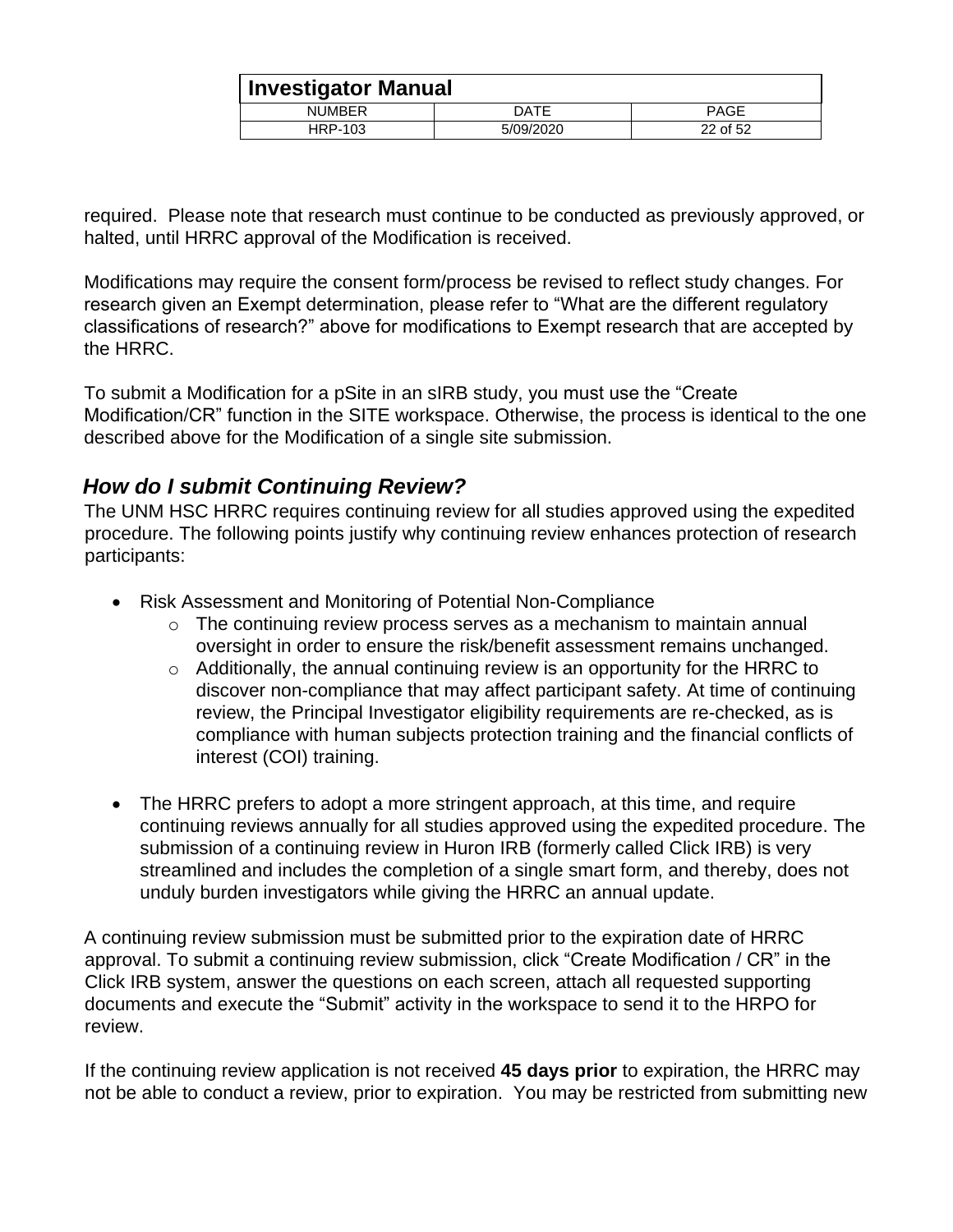| <b>! Investigator Manual</b> |           |          |
|------------------------------|-----------|----------|
| <b>NUMBER</b>                | DATE      | PAGE     |
| HRP-103                      | 5/09/2020 | 22 of 52 |

required. Please note that research must continue to be conducted as previously approved, or halted, until HRRC approval of the Modification is received.

Modifications may require the consent form/process be revised to reflect study changes. For research given an Exempt determination, please refer to "What are the different regulatory classifications of research?" above for modifications to Exempt research that are accepted by the HRRC.

To submit a Modification for a pSite in an sIRB study, you must use the "Create Modification/CR" function in the SITE workspace. Otherwise, the process is identical to the one described above for the Modification of a single site submission.

## <span id="page-21-0"></span>*How do I submit Continuing Review?*

The UNM HSC HRRC requires continuing review for all studies approved using the expedited procedure. The following points justify why continuing review enhances protection of research participants:

- Risk Assessment and Monitoring of Potential Non-Compliance
	- o The continuing review process serves as a mechanism to maintain annual oversight in order to ensure the risk/benefit assessment remains unchanged.
	- $\circ$  Additionally, the annual continuing review is an opportunity for the HRRC to discover non-compliance that may affect participant safety. At time of continuing review, the Principal Investigator eligibility requirements are re-checked, as is compliance with human subjects protection training and the financial conflicts of interest (COI) training.
- The HRRC prefers to adopt a more stringent approach, at this time, and require continuing reviews annually for all studies approved using the expedited procedure. The submission of a continuing review in Huron IRB (formerly called Click IRB) is very streamlined and includes the completion of a single smart form, and thereby, does not unduly burden investigators while giving the HRRC an annual update.

A continuing review submission must be submitted prior to the expiration date of HRRC approval. To submit a continuing review submission, click "Create Modification / CR" in the Click IRB system, answer the questions on each screen, attach all requested supporting documents and execute the "Submit" activity in the workspace to send it to the HRPO for review.

If the continuing review application is not received **45 days prior** to expiration, the HRRC may not be able to conduct a review, prior to expiration. You may be restricted from submitting new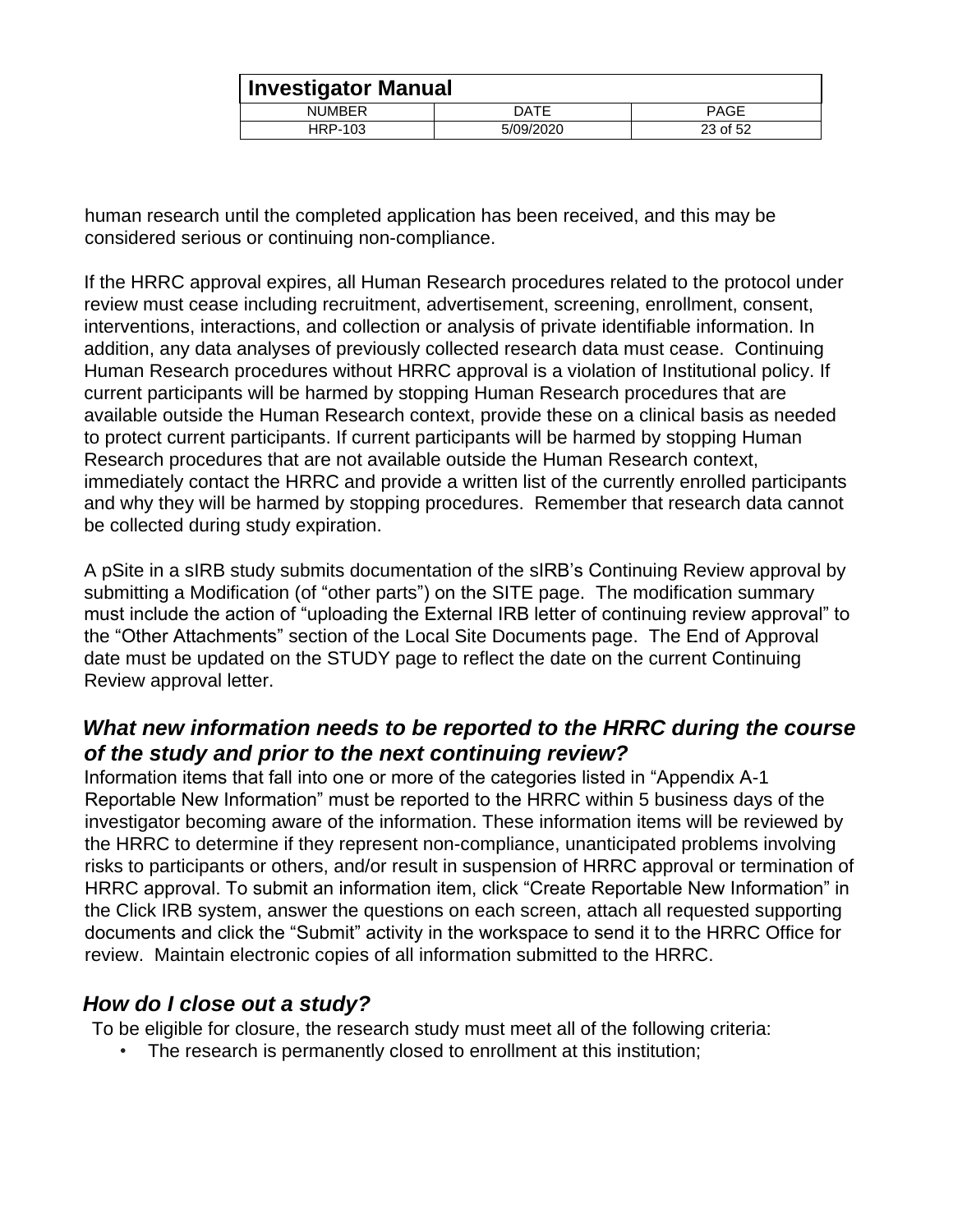|               | <b>Investigator Manual</b> |             |  |
|---------------|----------------------------|-------------|--|
| <b>NUMBER</b> | DATE                       | <b>PAGE</b> |  |
| HRP-103       | 5/09/2020                  | 23 of 52    |  |

human research until the completed application has been received, and this may be considered serious or continuing non-compliance.

If the HRRC approval expires, all Human Research procedures related to the protocol under review must cease including recruitment, advertisement, screening, enrollment, consent, interventions, interactions, and collection or analysis of private identifiable information. In addition, any data analyses of previously collected research data must cease. Continuing Human Research procedures without HRRC approval is a violation of Institutional policy. If current participants will be harmed by stopping Human Research procedures that are available outside the Human Research context, provide these on a clinical basis as needed to protect current participants. If current participants will be harmed by stopping Human Research procedures that are not available outside the Human Research context, immediately contact the HRRC and provide a written list of the currently enrolled participants and why they will be harmed by stopping procedures. Remember that research data cannot be collected during study expiration.

A pSite in a sIRB study submits documentation of the sIRB's Continuing Review approval by submitting a Modification (of "other parts") on the SITE page. The modification summary must include the action of "uploading the External IRB letter of continuing review approval" to the "Other Attachments" section of the Local Site Documents page. The End of Approval date must be updated on the STUDY page to reflect the date on the current Continuing Review approval letter.

#### <span id="page-22-0"></span>*What new information needs to be reported to the HRRC during the course of the study and prior to the next continuing review?*

Information items that fall into one or more of the categories listed in "Appendix A-1 Reportable New Information" must be reported to the HRRC within 5 business days of the investigator becoming aware of the information. These information items will be reviewed by the HRRC to determine if they represent non-compliance, unanticipated problems involving risks to participants or others, and/or result in suspension of HRRC approval or termination of HRRC approval. To submit an information item, click "Create Reportable New Information" in the Click IRB system, answer the questions on each screen, attach all requested supporting documents and click the "Submit" activity in the workspace to send it to the HRRC Office for review. Maintain electronic copies of all information submitted to the HRRC.

#### <span id="page-22-1"></span>*How do I close out a study?*

To be eligible for closure, the research study must meet all of the following criteria:

• The research is permanently closed to enrollment at this institution;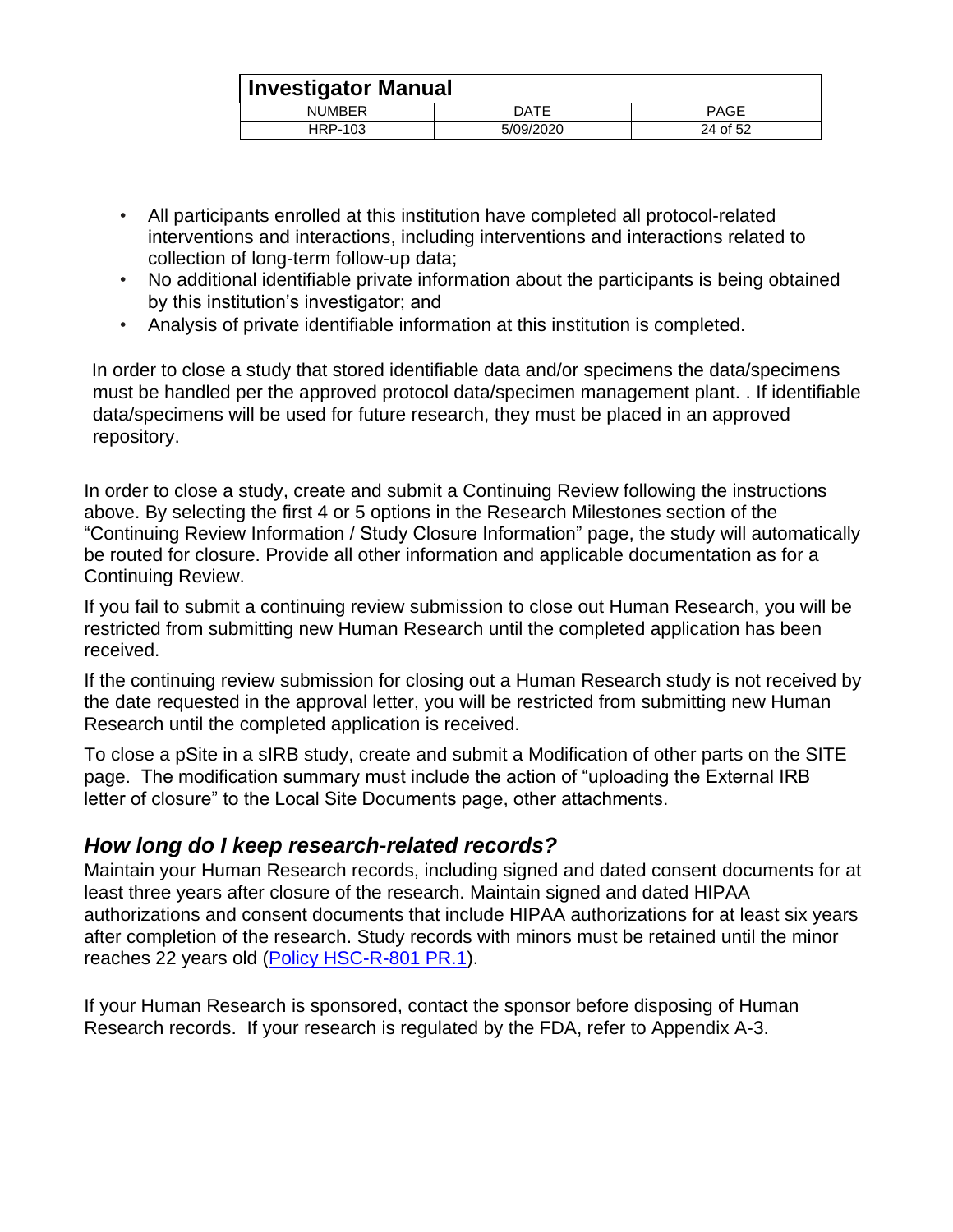|               | <b>Investigator Manual</b> |             |  |
|---------------|----------------------------|-------------|--|
| <b>NUMBER</b> | DATE                       | <b>PAGE</b> |  |
| HRP-103       | 5/09/2020                  | 24 of 52    |  |

- All participants enrolled at this institution have completed all protocol-related interventions and interactions, including interventions and interactions related to collection of long-term follow-up data;
- No additional identifiable private information about the participants is being obtained by this institution's investigator; and
- Analysis of private identifiable information at this institution is completed.

In order to close a study that stored identifiable data and/or specimens the data/specimens must be handled per the approved protocol data/specimen management plant. . If identifiable data/specimens will be used for future research, they must be placed in an approved repository.

In order to close a study, create and submit a Continuing Review following the instructions above. By selecting the first 4 or 5 options in the Research Milestones section of the "Continuing Review Information / Study Closure Information" page, the study will automatically be routed for closure. Provide all other information and applicable documentation as for a Continuing Review.

If you fail to submit a continuing review submission to close out Human Research, you will be restricted from submitting new Human Research until the completed application has been received.

If the continuing review submission for closing out a Human Research study is not received by the date requested in the approval letter, you will be restricted from submitting new Human Research until the completed application is received.

To close a pSite in a sIRB study, create and submit a Modification of other parts on the SITE page. The modification summary must include the action of "uploading the External IRB letter of closure" to the Local Site Documents page, other attachments.

#### <span id="page-23-0"></span>*How long do I keep research-related records?*

Maintain your Human Research records, including signed and dated consent documents for at least three years after closure of the research. Maintain signed and dated HIPAA authorizations and consent documents that include HIPAA authorizations for at least six years after completion of the research. Study records with minors must be retained until the minor reaches 22 years old [\(Policy HSC-R-801 PR.1\)](https://hsc.unm.edu/research/common/docs/hsc-r-801-pr.pdf).

If your Human Research is sponsored, contact the sponsor before disposing of Human Research records. If your research is regulated by the FDA, refer to Appendix A-3.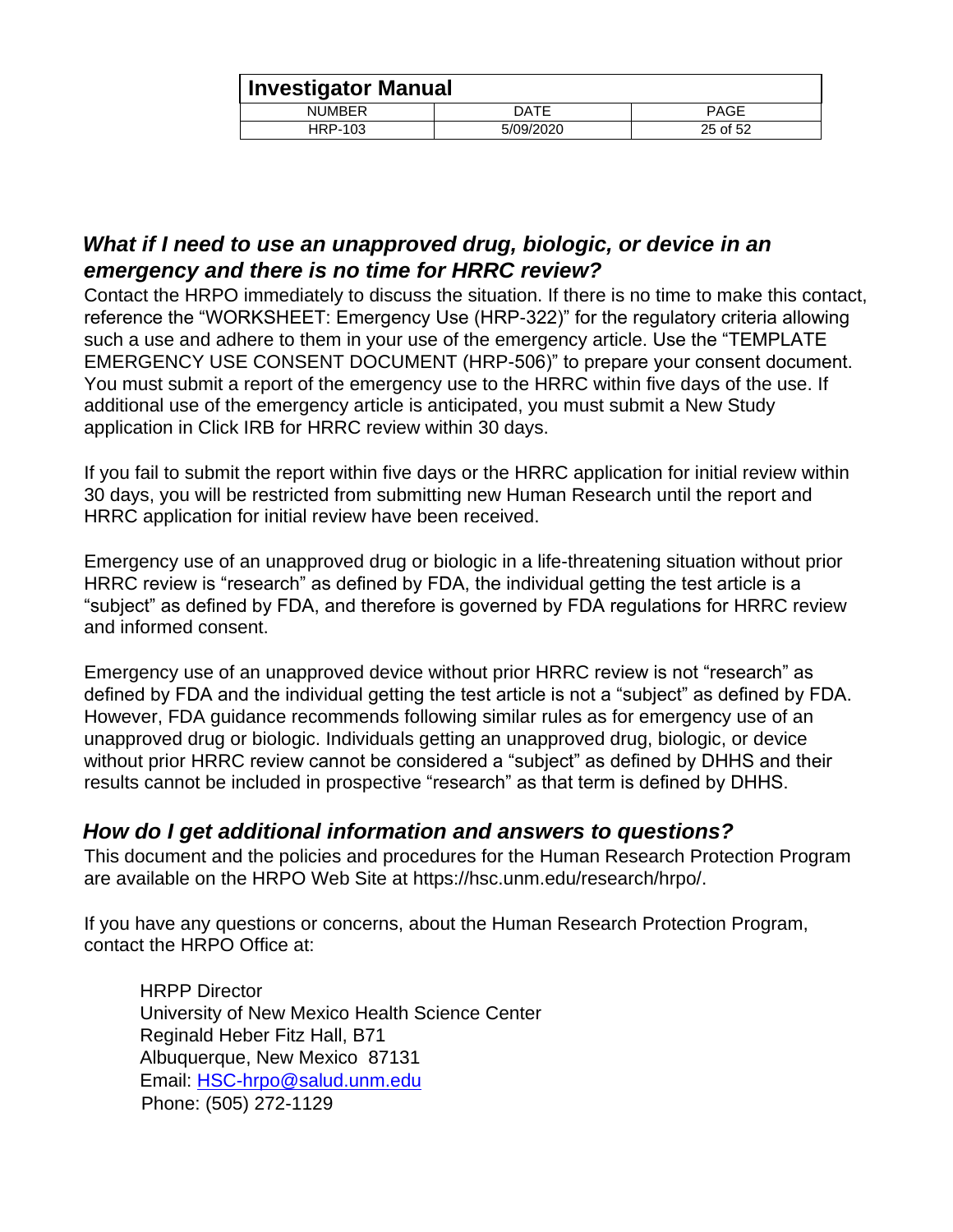|               | Investigator Manual |             |  |
|---------------|---------------------|-------------|--|
| <b>NUMBER</b> | DATE                | <b>PAGE</b> |  |
| HRP-103       | 5/09/2020           | 25 of 52    |  |

#### <span id="page-24-0"></span>*What if I need to use an unapproved drug, biologic, or device in an emergency and there is no time for HRRC review?*

Contact the HRPO immediately to discuss the situation. If there is no time to make this contact, reference the "WORKSHEET: Emergency Use (HRP-322)" for the regulatory criteria allowing such a use and adhere to them in your use of the emergency article. Use the "TEMPLATE EMERGENCY USE CONSENT DOCUMENT (HRP-506)" to prepare your consent document. You must submit a report of the emergency use to the HRRC within five days of the use. If additional use of the emergency article is anticipated, you must submit a New Study application in Click IRB for HRRC review within 30 days.

If you fail to submit the report within five days or the HRRC application for initial review within 30 days, you will be restricted from submitting new Human Research until the report and HRRC application for initial review have been received.

Emergency use of an unapproved drug or biologic in a life-threatening situation without prior HRRC review is "research" as defined by FDA, the individual getting the test article is a "subject" as defined by FDA, and therefore is governed by FDA regulations for HRRC review and informed consent.

Emergency use of an unapproved device without prior HRRC review is not "research" as defined by FDA and the individual getting the test article is not a "subject" as defined by FDA. However, FDA guidance recommends following similar rules as for emergency use of an unapproved drug or biologic. Individuals getting an unapproved drug, biologic, or device without prior HRRC review cannot be considered a "subject" as defined by DHHS and their results cannot be included in prospective "research" as that term is defined by DHHS.

#### <span id="page-24-1"></span>*How do I get additional information and answers to questions?*

This document and the policies and procedures for the Human Research Protection Program are available on the HRPO Web Site at https://hsc.unm.edu/research/hrpo/.

If you have any questions or concerns, about the Human Research Protection Program, contact the HRPO Office at:

HRPP Director University of New Mexico Health Science Center Reginald Heber Fitz Hall, B71 Albuquerque, New Mexico 87131 Email: [HSC-hrpo@salud.unm.edu](mailto:HSC-hrpo@salud.unm.edu) Phone: (505) 272-1129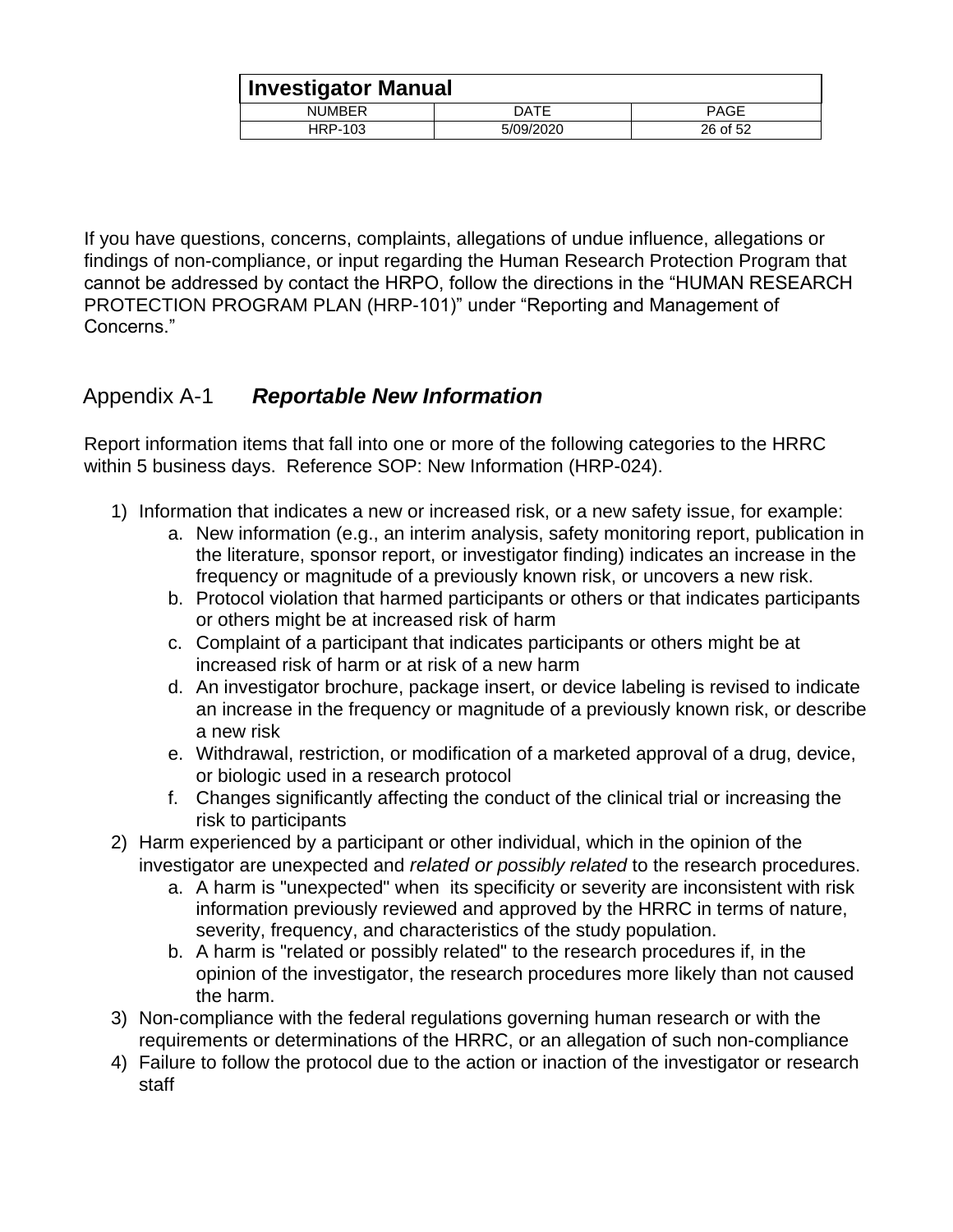|               | <b>Investigator Manual</b> |             |  |
|---------------|----------------------------|-------------|--|
| <b>NUMBER</b> | DATE                       | <b>PAGE</b> |  |
| HRP-103       | 5/09/2020                  | 26 of 52    |  |

If you have questions, concerns, complaints, allegations of undue influence, allegations or findings of non-compliance, or input regarding the Human Research Protection Program that cannot be addressed by contact the HRPO, follow the directions in the "HUMAN RESEARCH PROTECTION PROGRAM PLAN (HRP-101)" under "Reporting and Management of Concerns."

## <span id="page-25-0"></span>Appendix A-1 *Reportable New Information*

Report information items that fall into one or more of the following categories to the HRRC within 5 business days. Reference SOP: New Information (HRP-024).

- 1) Information that indicates a new or increased risk, or a new safety issue, for example:
	- a. New information (e.g., an interim analysis, safety monitoring report, publication in the literature, sponsor report, or investigator finding) indicates an increase in the frequency or magnitude of a previously known risk, or uncovers a new risk.
	- b. Protocol violation that harmed participants or others or that indicates participants or others might be at increased risk of harm
	- c. Complaint of a participant that indicates participants or others might be at increased risk of harm or at risk of a new harm
	- d. An investigator brochure, package insert, or device labeling is revised to indicate an increase in the frequency or magnitude of a previously known risk, or describe a new risk
	- e. Withdrawal, restriction, or modification of a marketed approval of a drug, device, or biologic used in a research protocol
	- f. Changes significantly affecting the conduct of the clinical trial or increasing the risk to participants
- 2) Harm experienced by a participant or other individual, which in the opinion of the investigator are unexpected and *related or possibly related* to the research procedures.
	- a. A harm is "unexpected" when its specificity or severity are inconsistent with risk information previously reviewed and approved by the HRRC in terms of nature, severity, frequency, and characteristics of the study population.
	- b. A harm is "related or possibly related" to the research procedures if, in the opinion of the investigator, the research procedures more likely than not caused the harm.
- 3) Non-compliance with the federal regulations governing human research or with the requirements or determinations of the HRRC, or an allegation of such non-compliance
- 4) Failure to follow the protocol due to the action or inaction of the investigator or research staff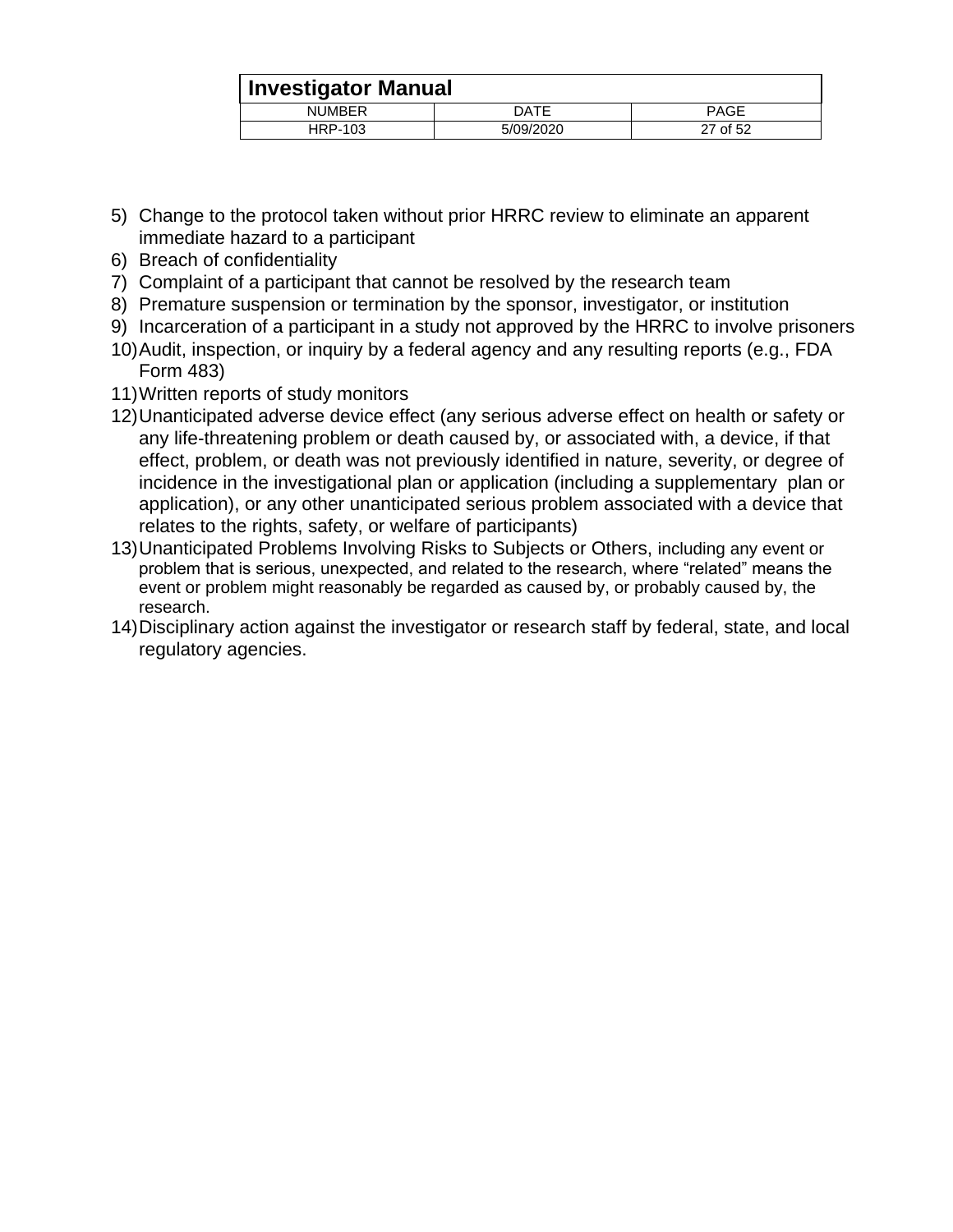|               | <b>Investigator Manual</b> |             |  |  |
|---------------|----------------------------|-------------|--|--|
| <b>NUMBER</b> | DATE                       | <b>PAGE</b> |  |  |
| HRP-103       | 5/09/2020                  | 27 of 52    |  |  |

- 5) Change to the protocol taken without prior HRRC review to eliminate an apparent immediate hazard to a participant
- 6) Breach of confidentiality
- 7) Complaint of a participant that cannot be resolved by the research team
- 8) Premature suspension or termination by the sponsor, investigator, or institution
- 9) Incarceration of a participant in a study not approved by the HRRC to involve prisoners
- 10)Audit, inspection, or inquiry by a federal agency and any resulting reports (e.g., FDA Form 483)
- 11)Written reports of study monitors
- 12)Unanticipated adverse device effect (any serious adverse effect on health or safety or any life-threatening problem or death caused by, or associated with, a device, if that effect, problem, or death was not previously identified in nature, severity, or degree of incidence in the investigational plan or application (including a supplementary plan or application), or any other unanticipated serious problem associated with a device that relates to the rights, safety, or welfare of participants)
- 13)Unanticipated Problems Involving Risks to Subjects or Others, including any event or problem that is serious, unexpected, and related to the research, where "related" means the event or problem might reasonably be regarded as caused by, or probably caused by, the research.
- 14)Disciplinary action against the investigator or research staff by federal, state, and local regulatory agencies.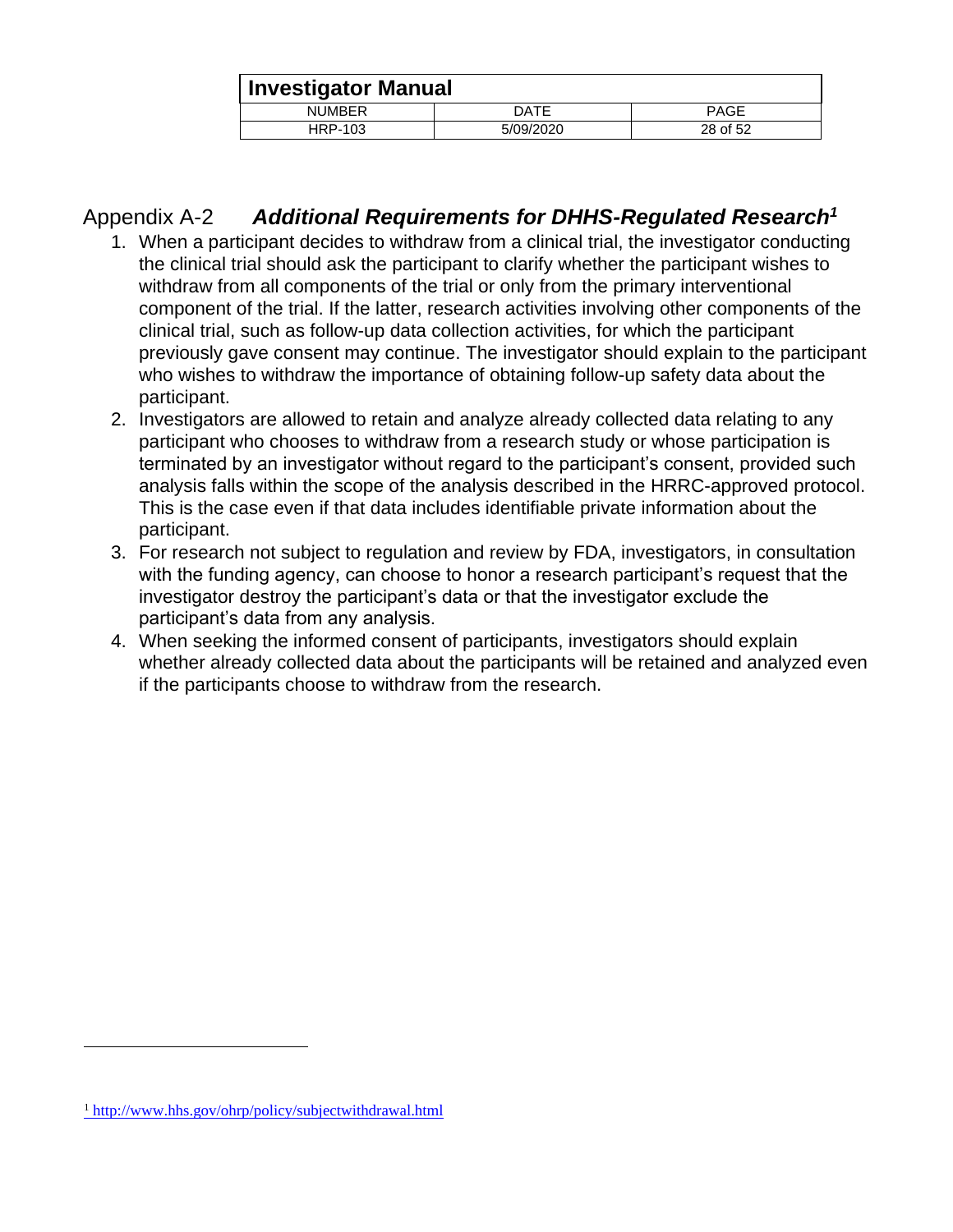| Investigator Manual |           |             |
|---------------------|-----------|-------------|
| <b>NUMBER</b>       | DATE      | <b>PAGE</b> |
| HRP-103             | 5/09/2020 | 28 of 52    |

## <span id="page-27-0"></span>Appendix A-2 *Additional Requirements for DHHS-Regulated Research<sup>1</sup>*

- 1. When a participant decides to withdraw from a clinical trial, the investigator conducting the clinical trial should ask the participant to clarify whether the participant wishes to withdraw from all components of the trial or only from the primary interventional component of the trial. If the latter, research activities involving other components of the clinical trial, such as follow-up data collection activities, for which the participant previously gave consent may continue. The investigator should explain to the participant who wishes to withdraw the importance of obtaining follow-up safety data about the participant.
- 2. Investigators are allowed to retain and analyze already collected data relating to any participant who chooses to withdraw from a research study or whose participation is terminated by an investigator without regard to the participant's consent, provided such analysis falls within the scope of the analysis described in the HRRC-approved protocol. This is the case even if that data includes identifiable private information about the participant.
- 3. For research not subject to regulation and review by FDA, investigators, in consultation with the funding agency, can choose to honor a research participant's request that the investigator destroy the participant's data or that the investigator exclude the participant's data from any analysis.
- 4. When seeking the informed consent of participants, investigators should explain whether already collected data about the participants will be retained and analyzed even if the participants choose to withdraw from the research.

<sup>1</sup> <http://www.hhs.gov/ohrp/policy/subjectwithdrawal.html>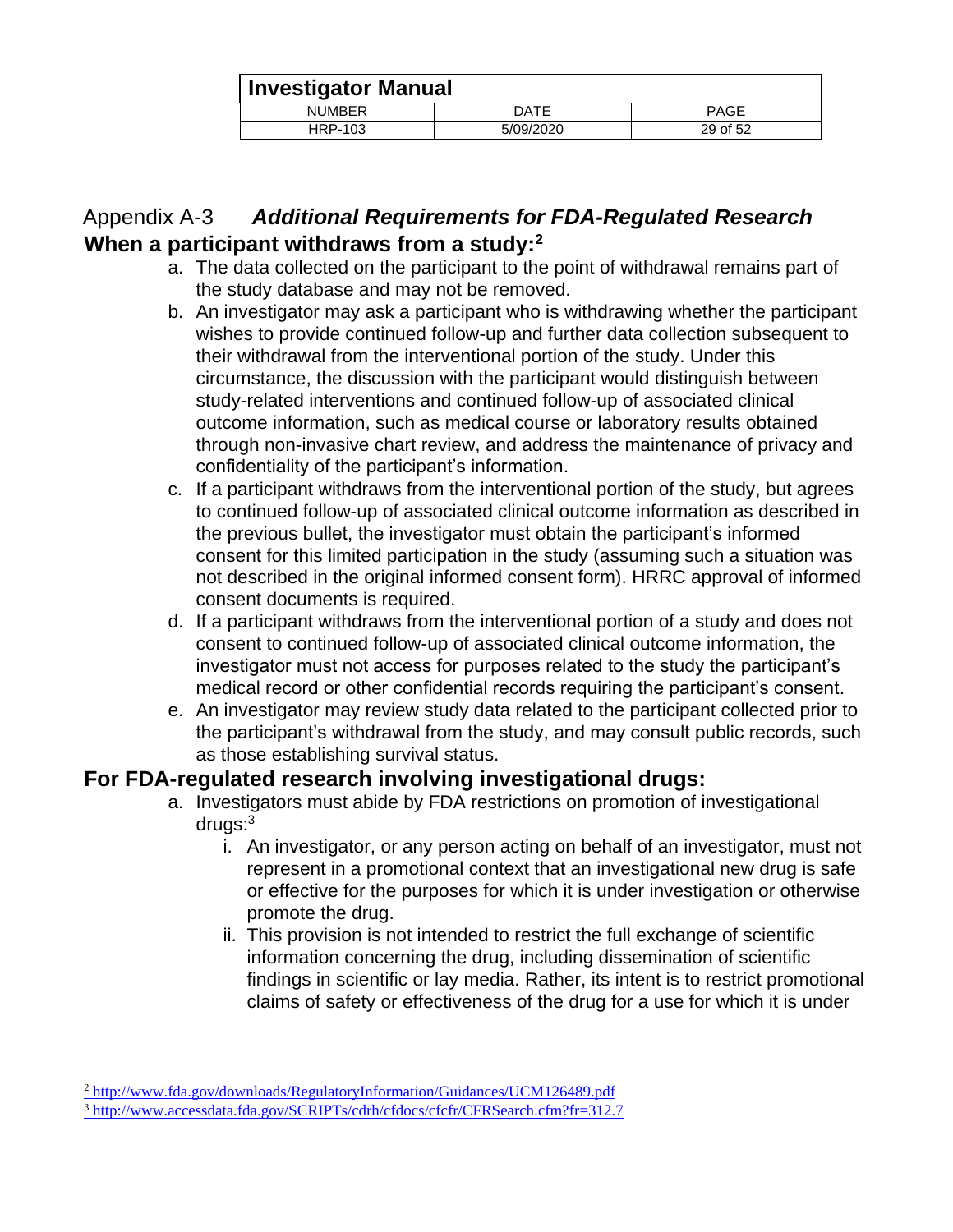|               | <b>Investigator Manual</b> |             |  |
|---------------|----------------------------|-------------|--|
| <b>NUMBER</b> | DATE                       | <b>PAGE</b> |  |
| HRP-103       | 5/09/2020                  | 29 of 52    |  |

## <span id="page-28-1"></span><span id="page-28-0"></span>Appendix A-3 *Additional Requirements for FDA-Regulated Research*  **When a participant withdraws from a study:<sup>2</sup>**

- a. The data collected on the participant to the point of withdrawal remains part of the study database and may not be removed.
- b. An investigator may ask a participant who is withdrawing whether the participant wishes to provide continued follow-up and further data collection subsequent to their withdrawal from the interventional portion of the study. Under this circumstance, the discussion with the participant would distinguish between study-related interventions and continued follow-up of associated clinical outcome information, such as medical course or laboratory results obtained through non-invasive chart review, and address the maintenance of privacy and confidentiality of the participant's information.
- c. If a participant withdraws from the interventional portion of the study, but agrees to continued follow-up of associated clinical outcome information as described in the previous bullet, the investigator must obtain the participant's informed consent for this limited participation in the study (assuming such a situation was not described in the original informed consent form). HRRC approval of informed consent documents is required.
- d. If a participant withdraws from the interventional portion of a study and does not consent to continued follow-up of associated clinical outcome information, the investigator must not access for purposes related to the study the participant's medical record or other confidential records requiring the participant's consent.
- e. An investigator may review study data related to the participant collected prior to the participant's withdrawal from the study, and may consult public records, such as those establishing survival status.

#### <span id="page-28-2"></span>**For FDA-regulated research involving investigational drugs:**

- a. Investigators must abide by FDA restrictions on promotion of investigational drugs:<sup>3</sup>
	- i. An investigator, or any person acting on behalf of an investigator, must not represent in a promotional context that an investigational new drug is safe or effective for the purposes for which it is under investigation or otherwise promote the drug.
	- ii. This provision is not intended to restrict the full exchange of scientific information concerning the drug, including dissemination of scientific findings in scientific or lay media. Rather, its intent is to restrict promotional claims of safety or effectiveness of the drug for a use for which it is under

<sup>2</sup> <http://www.fda.gov/downloads/RegulatoryInformation/Guidances/UCM126489.pdf>

<sup>3</sup> <http://www.accessdata.fda.gov/SCRIPTs/cdrh/cfdocs/cfcfr/CFRSearch.cfm?fr=312.7>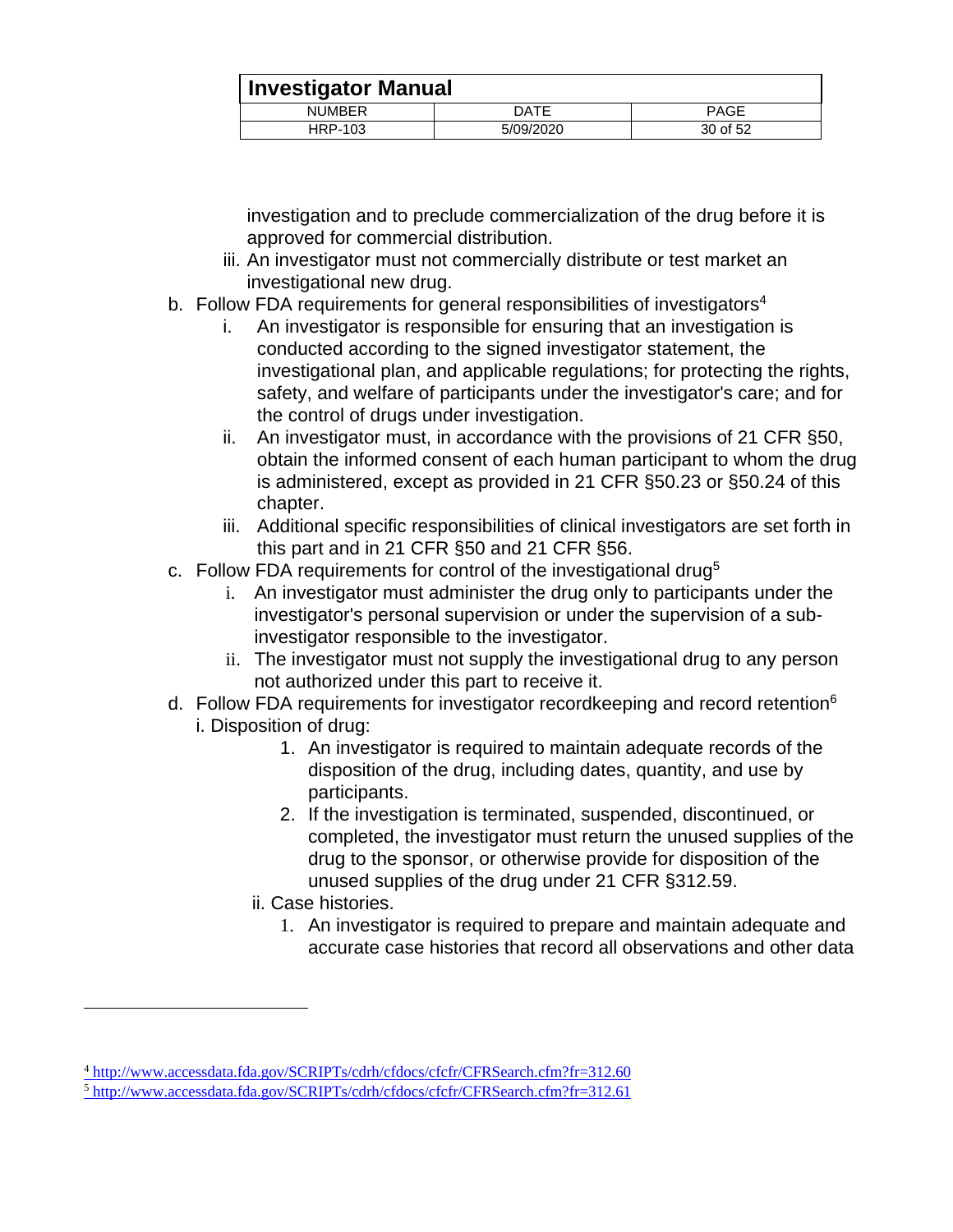| <b>Investigator Manual</b> |           |             |
|----------------------------|-----------|-------------|
| <b>NUMBER</b>              | DATE      | <b>PAGE</b> |
| HRP-103                    | 5/09/2020 | 30 of 52    |

investigation and to preclude commercialization of the drug before it is approved for commercial distribution.

- iii. An investigator must not commercially distribute or test market an investigational new drug.
- b. Follow FDA requirements for general responsibilities of investigators<sup>4</sup>
	- i. An investigator is responsible for ensuring that an investigation is conducted according to the signed investigator statement, the investigational plan, and applicable regulations; for protecting the rights, safety, and welfare of participants under the investigator's care; and for the control of drugs under investigation.
	- ii. An investigator must, in accordance with the provisions of 21 CFR §50, obtain the informed consent of each human participant to whom the drug is administered, except as provided in 21 CFR §50.23 or §50.24 of this chapter.
	- iii. Additional specific responsibilities of clinical investigators are set forth in this part and in 21 CFR §50 and 21 CFR §56.
- c. Follow FDA requirements for control of the investigational drug<sup>5</sup>
	- i. An investigator must administer the drug only to participants under the investigator's personal supervision or under the supervision of a subinvestigator responsible to the investigator.
	- ii. The investigator must not supply the investigational drug to any person not authorized under this part to receive it.
- d. Follow FDA requirements for investigator recordkeeping and record retention<sup>6</sup> i. Disposition of drug:
	- 1. An investigator is required to maintain adequate records of the disposition of the drug, including dates, quantity, and use by participants.
	- 2. If the investigation is terminated, suspended, discontinued, or completed, the investigator must return the unused supplies of the drug to the sponsor, or otherwise provide for disposition of the unused supplies of the drug under 21 CFR §312.59.
	- ii. Case histories.

 $\overline{a}$ 

1. An investigator is required to prepare and maintain adequate and accurate case histories that record all observations and other data

<sup>4</sup> <http://www.accessdata.fda.gov/SCRIPTs/cdrh/cfdocs/cfcfr/CFRSearch.cfm?fr=312.60> <sup>5</sup> <http://www.accessdata.fda.gov/SCRIPTs/cdrh/cfdocs/cfcfr/CFRSearch.cfm?fr=312.61>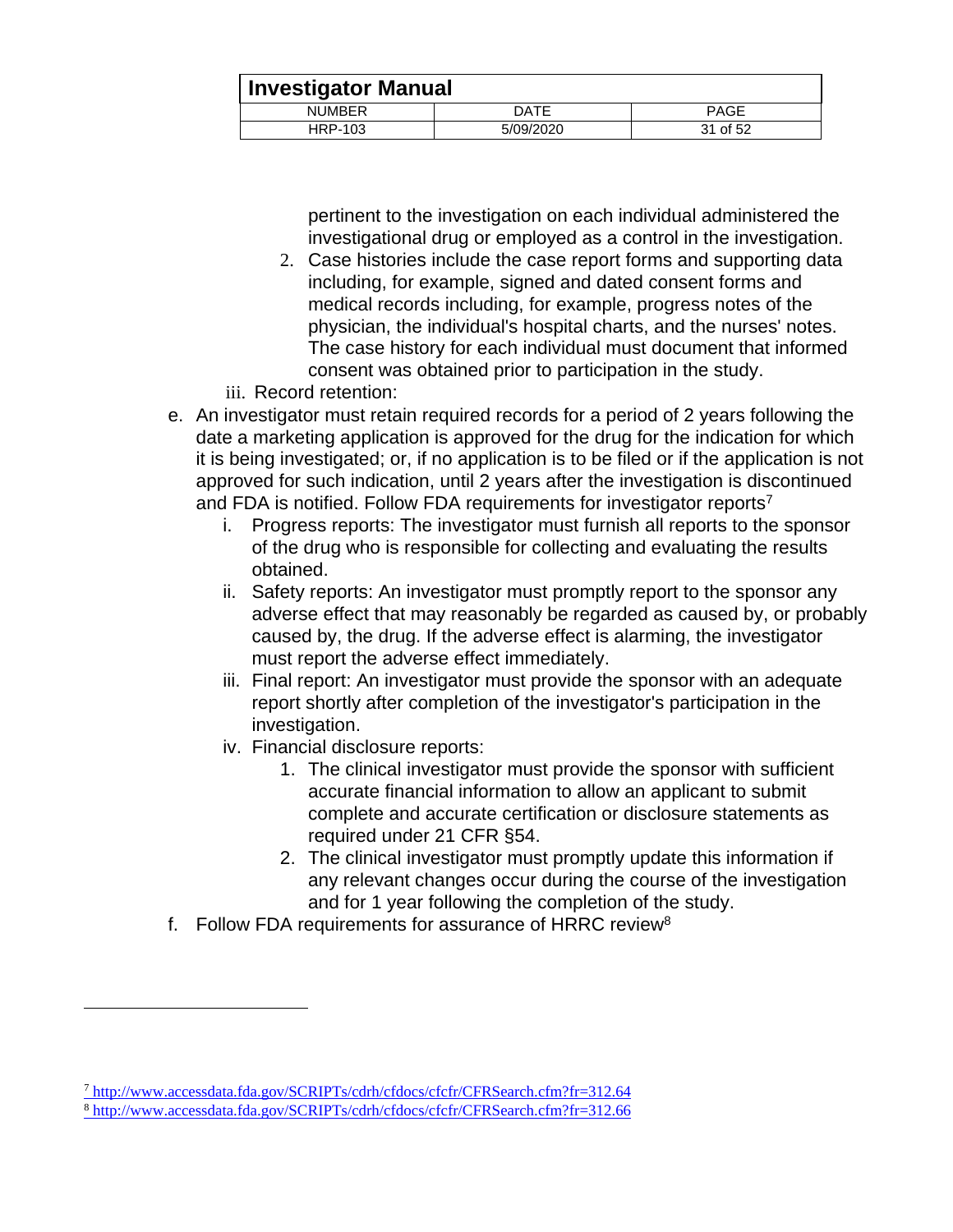|                | <b>Investigator Manual</b> |             |  |
|----------------|----------------------------|-------------|--|
| <b>NUMBER</b>  | DATE                       | <b>PAGE</b> |  |
| <b>HRP-103</b> | 5/09/2020                  | 31 of 52    |  |

pertinent to the investigation on each individual administered the investigational drug or employed as a control in the investigation.

- 2. Case histories include the case report forms and supporting data including, for example, signed and dated consent forms and medical records including, for example, progress notes of the physician, the individual's hospital charts, and the nurses' notes. The case history for each individual must document that informed consent was obtained prior to participation in the study.
- iii. Record retention:
- e. An investigator must retain required records for a period of 2 years following the date a marketing application is approved for the drug for the indication for which it is being investigated; or, if no application is to be filed or if the application is not approved for such indication, until 2 years after the investigation is discontinued and FDA is notified. Follow FDA requirements for investigator reports<sup>7</sup>
	- i. Progress reports: The investigator must furnish all reports to the sponsor of the drug who is responsible for collecting and evaluating the results obtained.
	- ii. Safety reports: An investigator must promptly report to the sponsor any adverse effect that may reasonably be regarded as caused by, or probably caused by, the drug. If the adverse effect is alarming, the investigator must report the adverse effect immediately.
	- iii. Final report: An investigator must provide the sponsor with an adequate report shortly after completion of the investigator's participation in the investigation.
	- iv. Financial disclosure reports:
		- 1. The clinical investigator must provide the sponsor with sufficient accurate financial information to allow an applicant to submit complete and accurate certification or disclosure statements as required under 21 CFR §54.
		- 2. The clinical investigator must promptly update this information if any relevant changes occur during the course of the investigation and for 1 year following the completion of the study.
- f. Follow FDA requirements for assurance of HRRC review<sup>8</sup>

<sup>7</sup> <http://www.accessdata.fda.gov/SCRIPTs/cdrh/cfdocs/cfcfr/CFRSearch.cfm?fr=312.64>

<sup>8</sup> <http://www.accessdata.fda.gov/SCRIPTs/cdrh/cfdocs/cfcfr/CFRSearch.cfm?fr=312.66>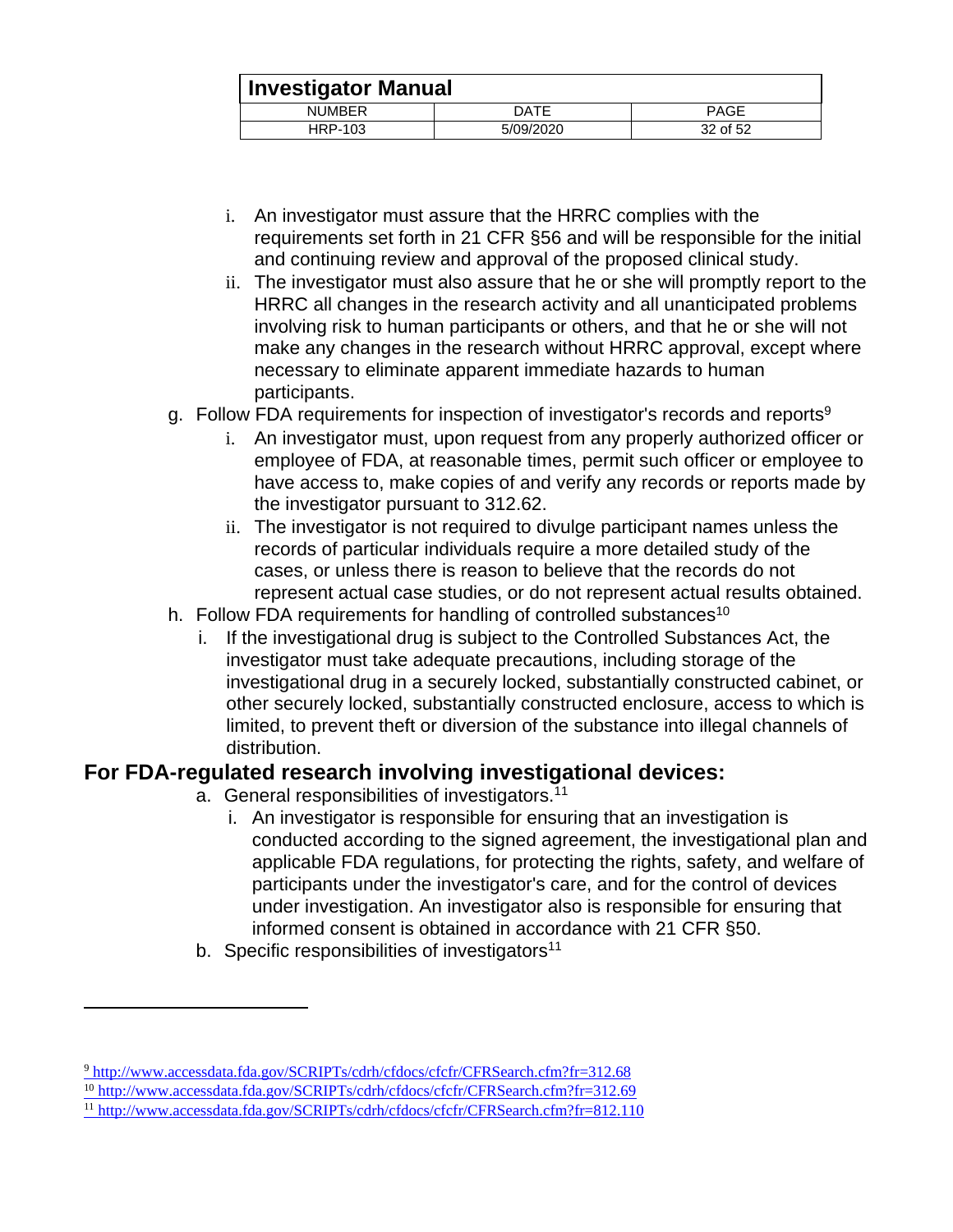|                | <b>Investigator Manual</b> |             |  |
|----------------|----------------------------|-------------|--|
| <b>NUMBER</b>  | DATE                       | <b>PAGE</b> |  |
| <b>HRP-103</b> | 5/09/2020                  | 32 of 52    |  |

- i. An investigator must assure that the HRRC complies with the requirements set forth in 21 CFR §56 and will be responsible for the initial and continuing review and approval of the proposed clinical study.
- ii. The investigator must also assure that he or she will promptly report to the HRRC all changes in the research activity and all unanticipated problems involving risk to human participants or others, and that he or she will not make any changes in the research without HRRC approval, except where necessary to eliminate apparent immediate hazards to human participants.
- g. Follow FDA requirements for inspection of investigator's records and reports<sup>9</sup>
	- i. An investigator must, upon request from any properly authorized officer or employee of FDA, at reasonable times, permit such officer or employee to have access to, make copies of and verify any records or reports made by the investigator pursuant to 312.62.
	- ii. The investigator is not required to divulge participant names unless the records of particular individuals require a more detailed study of the cases, or unless there is reason to believe that the records do not represent actual case studies, or do not represent actual results obtained.
- h. Follow FDA requirements for handling of controlled substances<sup>10</sup>
	- i. If the investigational drug is subject to the Controlled Substances Act, the investigator must take adequate precautions, including storage of the investigational drug in a securely locked, substantially constructed cabinet, or other securely locked, substantially constructed enclosure, access to which is limited, to prevent theft or diversion of the substance into illegal channels of distribution.

#### <span id="page-31-0"></span>**For FDA-regulated research involving investigational devices:**

- a. General responsibilities of investigators.<sup>11</sup>
	- i. An investigator is responsible for ensuring that an investigation is conducted according to the signed agreement, the investigational plan and applicable FDA regulations, for protecting the rights, safety, and welfare of participants under the investigator's care, and for the control of devices under investigation. An investigator also is responsible for ensuring that informed consent is obtained in accordance with 21 CFR §50.
- b. Specific responsibilities of investigators<sup>11</sup>

<sup>9</sup> <http://www.accessdata.fda.gov/SCRIPTs/cdrh/cfdocs/cfcfr/CFRSearch.cfm?fr=312.68>

<sup>10</sup> <http://www.accessdata.fda.gov/SCRIPTs/cdrh/cfdocs/cfcfr/CFRSearch.cfm?fr=312.69>

<sup>11</sup> <http://www.accessdata.fda.gov/SCRIPTs/cdrh/cfdocs/cfcfr/CFRSearch.cfm?fr=812.110>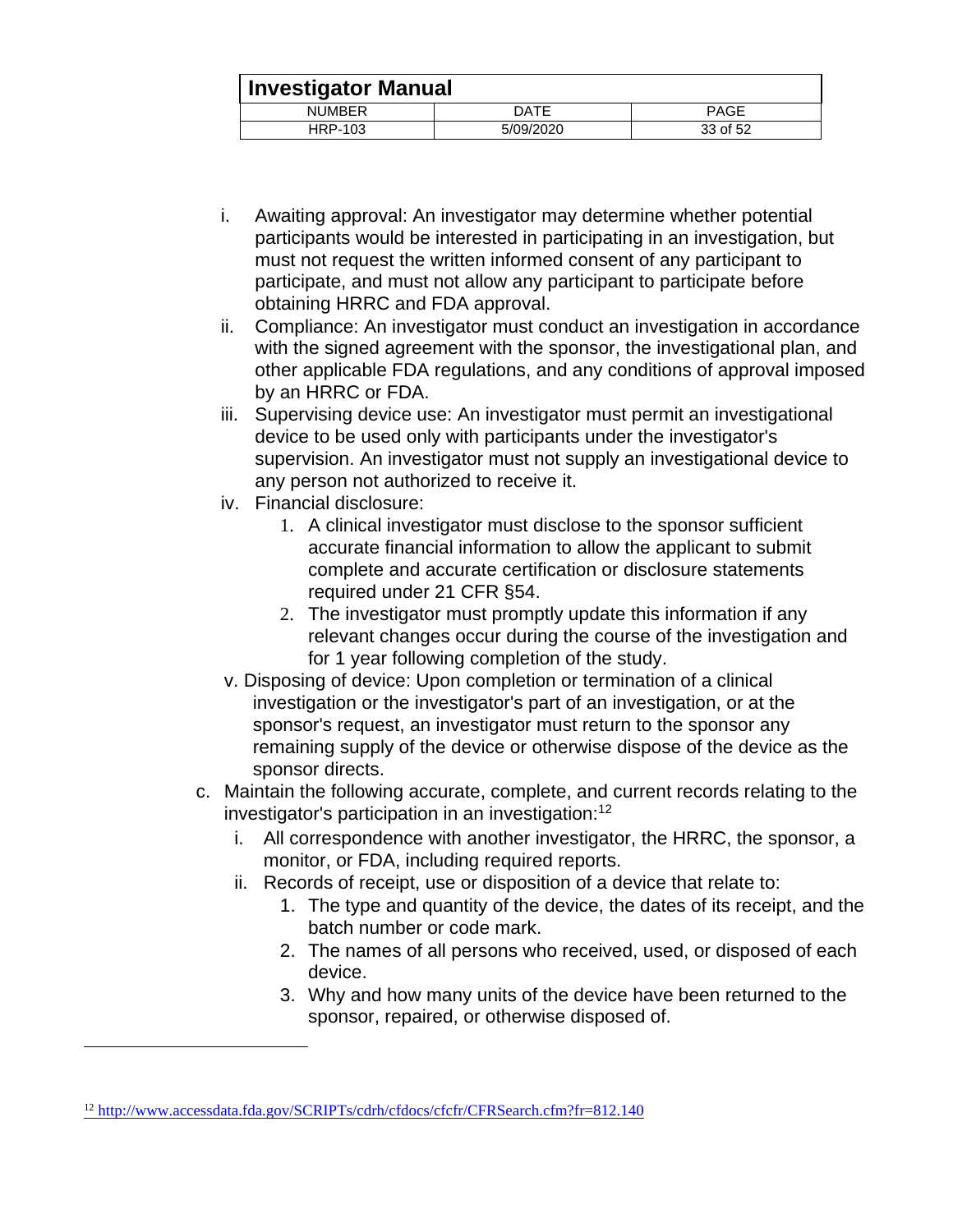|               | <b>Investigator Manual</b> |             |  |
|---------------|----------------------------|-------------|--|
| <b>NUMBER</b> | <b>DATE</b>                | <b>PAGE</b> |  |
| HRP-103       | 5/09/2020                  | 33 of 52    |  |

- i. Awaiting approval: An investigator may determine whether potential participants would be interested in participating in an investigation, but must not request the written informed consent of any participant to participate, and must not allow any participant to participate before obtaining HRRC and FDA approval.
- ii. Compliance: An investigator must conduct an investigation in accordance with the signed agreement with the sponsor, the investigational plan, and other applicable FDA regulations, and any conditions of approval imposed by an HRRC or FDA.
- iii. Supervising device use: An investigator must permit an investigational device to be used only with participants under the investigator's supervision. An investigator must not supply an investigational device to any person not authorized to receive it.
- iv. Financial disclosure:
	- 1. A clinical investigator must disclose to the sponsor sufficient accurate financial information to allow the applicant to submit complete and accurate certification or disclosure statements required under 21 CFR §54.
	- 2. The investigator must promptly update this information if any relevant changes occur during the course of the investigation and for 1 year following completion of the study.
- v. Disposing of device: Upon completion or termination of a clinical investigation or the investigator's part of an investigation, or at the sponsor's request, an investigator must return to the sponsor any remaining supply of the device or otherwise dispose of the device as the sponsor directs.
- c. Maintain the following accurate, complete, and current records relating to the investigator's participation in an investigation:<sup>12</sup>
	- i. All correspondence with another investigator, the HRRC, the sponsor, a monitor, or FDA, including required reports.
	- ii. Records of receipt, use or disposition of a device that relate to:
		- 1. The type and quantity of the device, the dates of its receipt, and the batch number or code mark.
		- 2. The names of all persons who received, used, or disposed of each device.
		- 3. Why and how many units of the device have been returned to the sponsor, repaired, or otherwise disposed of.

<sup>12</sup> <http://www.accessdata.fda.gov/SCRIPTs/cdrh/cfdocs/cfcfr/CFRSearch.cfm?fr=812.140>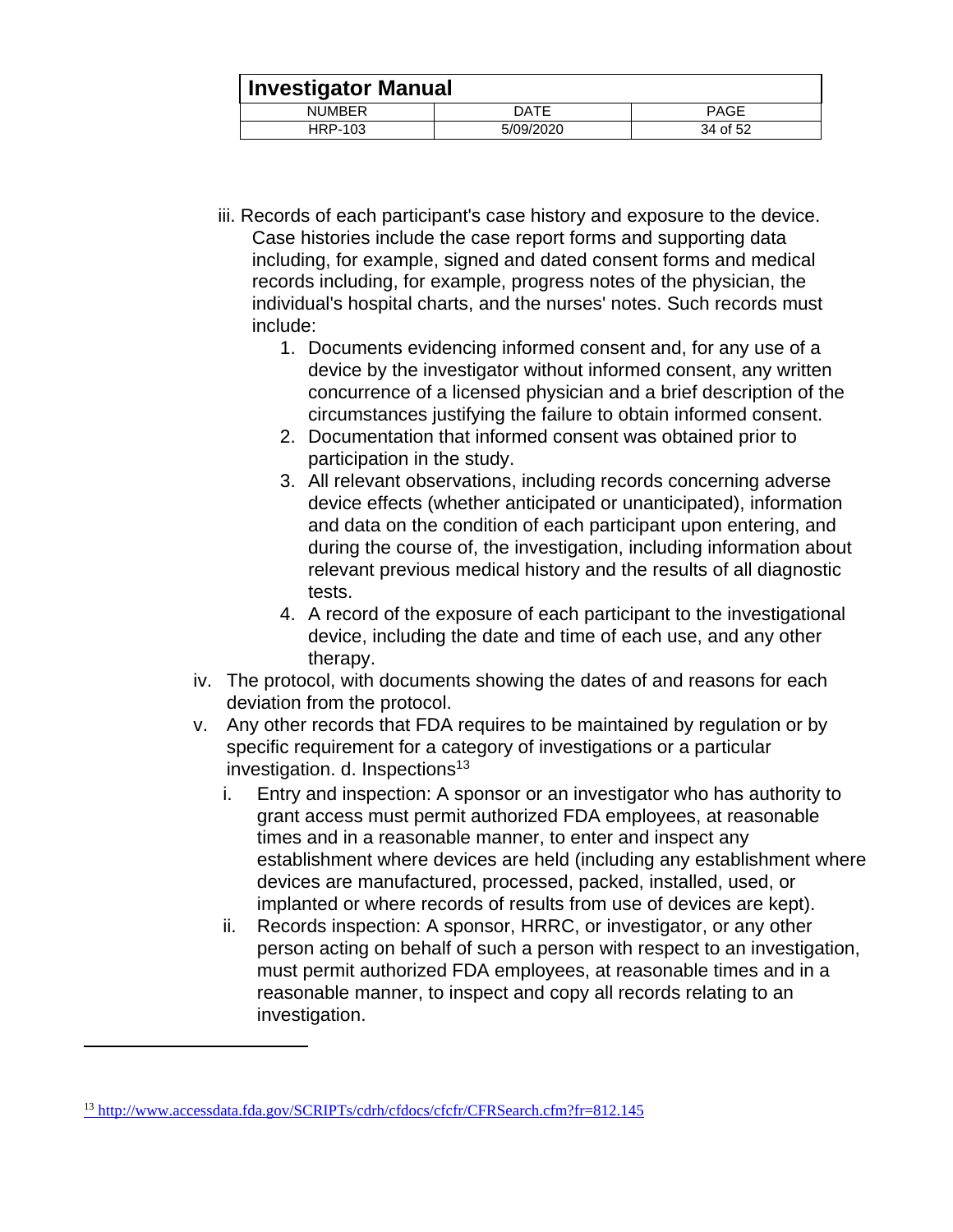|               | <b>Investigator Manual</b> |             |  |
|---------------|----------------------------|-------------|--|
| <b>NUMBER</b> | DATE                       | <b>PAGE</b> |  |
| HRP-103       | 5/09/2020                  | 34 of 52    |  |

- iii. Records of each participant's case history and exposure to the device. Case histories include the case report forms and supporting data including, for example, signed and dated consent forms and medical records including, for example, progress notes of the physician, the individual's hospital charts, and the nurses' notes. Such records must include:
	- 1. Documents evidencing informed consent and, for any use of a device by the investigator without informed consent, any written concurrence of a licensed physician and a brief description of the circumstances justifying the failure to obtain informed consent.
	- 2. Documentation that informed consent was obtained prior to participation in the study.
	- 3. All relevant observations, including records concerning adverse device effects (whether anticipated or unanticipated), information and data on the condition of each participant upon entering, and during the course of, the investigation, including information about relevant previous medical history and the results of all diagnostic tests.
	- 4. A record of the exposure of each participant to the investigational device, including the date and time of each use, and any other therapy.
- iv. The protocol, with documents showing the dates of and reasons for each deviation from the protocol.
- v. Any other records that FDA requires to be maintained by regulation or by specific requirement for a category of investigations or a particular investigation. d. Inspections<sup>13</sup>
	- i. Entry and inspection: A sponsor or an investigator who has authority to grant access must permit authorized FDA employees, at reasonable times and in a reasonable manner, to enter and inspect any establishment where devices are held (including any establishment where devices are manufactured, processed, packed, installed, used, or implanted or where records of results from use of devices are kept).
	- ii. Records inspection: A sponsor, HRRC, or investigator, or any other person acting on behalf of such a person with respect to an investigation, must permit authorized FDA employees, at reasonable times and in a reasonable manner, to inspect and copy all records relating to an investigation.

<sup>&</sup>lt;sup>13</sup> <http://www.accessdata.fda.gov/SCRIPTs/cdrh/cfdocs/cfcfr/CFRSearch.cfm?fr=812.145>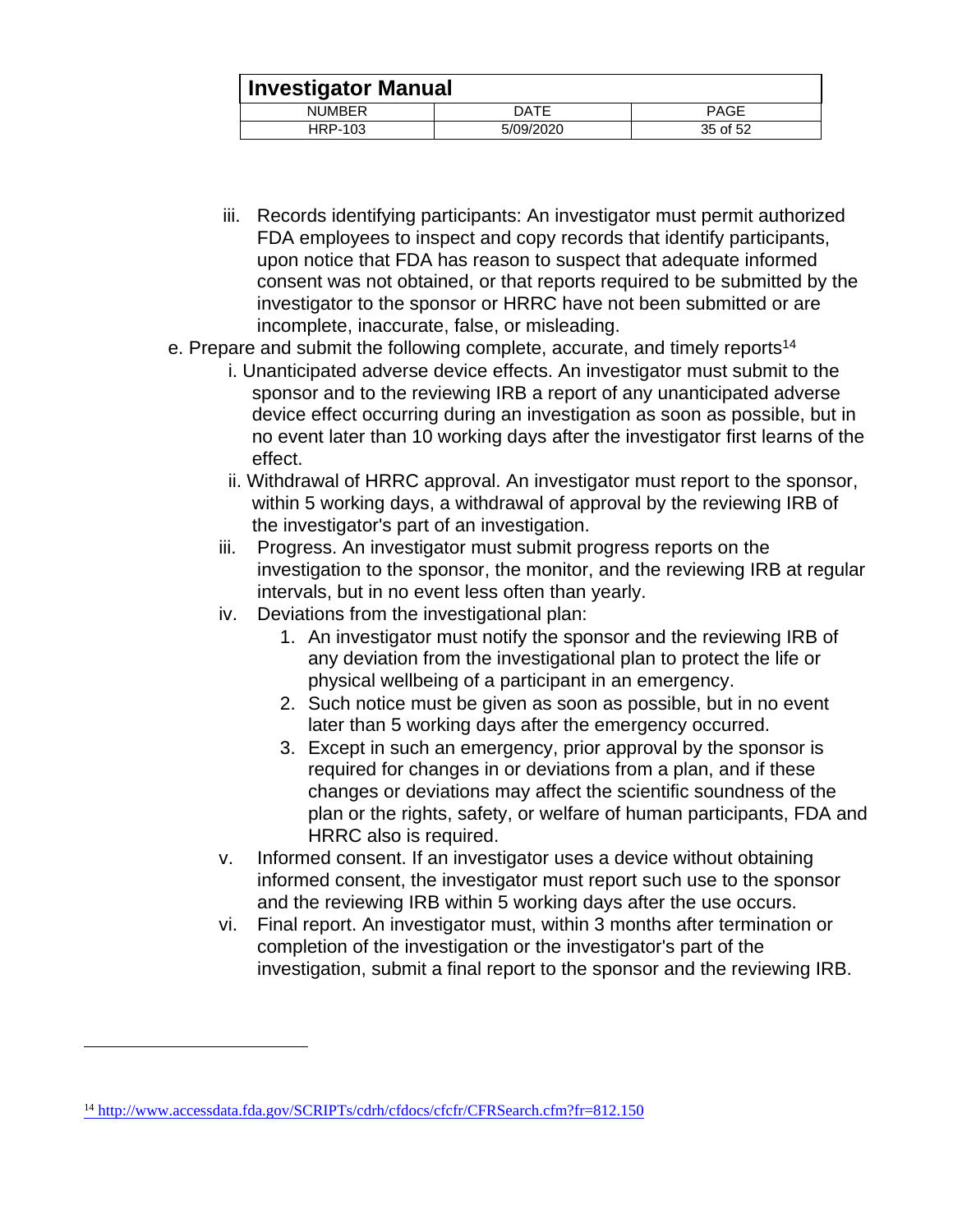|               | <b>Investigator Manual</b> |             |  |
|---------------|----------------------------|-------------|--|
| <b>NUMBER</b> | DATE                       | <b>PAGE</b> |  |
| HRP-103       | 5/09/2020                  | 35 of 52    |  |

- iii. Records identifying participants: An investigator must permit authorized FDA employees to inspect and copy records that identify participants, upon notice that FDA has reason to suspect that adequate informed consent was not obtained, or that reports required to be submitted by the investigator to the sponsor or HRRC have not been submitted or are incomplete, inaccurate, false, or misleading.
- e. Prepare and submit the following complete, accurate, and timely reports<sup>14</sup>
	- i. Unanticipated adverse device effects. An investigator must submit to the sponsor and to the reviewing IRB a report of any unanticipated adverse device effect occurring during an investigation as soon as possible, but in no event later than 10 working days after the investigator first learns of the effect.
	- ii. Withdrawal of HRRC approval. An investigator must report to the sponsor, within 5 working days, a withdrawal of approval by the reviewing IRB of the investigator's part of an investigation.
	- iii. Progress. An investigator must submit progress reports on the investigation to the sponsor, the monitor, and the reviewing IRB at regular intervals, but in no event less often than yearly.
	- iv. Deviations from the investigational plan:
		- 1. An investigator must notify the sponsor and the reviewing IRB of any deviation from the investigational plan to protect the life or physical wellbeing of a participant in an emergency.
		- 2. Such notice must be given as soon as possible, but in no event later than 5 working days after the emergency occurred.
		- 3. Except in such an emergency, prior approval by the sponsor is required for changes in or deviations from a plan, and if these changes or deviations may affect the scientific soundness of the plan or the rights, safety, or welfare of human participants, FDA and HRRC also is required.
	- v. Informed consent. If an investigator uses a device without obtaining informed consent, the investigator must report such use to the sponsor and the reviewing IRB within 5 working days after the use occurs.
	- vi. Final report. An investigator must, within 3 months after termination or completion of the investigation or the investigator's part of the investigation, submit a final report to the sponsor and the reviewing IRB.

<sup>14</sup> <http://www.accessdata.fda.gov/SCRIPTs/cdrh/cfdocs/cfcfr/CFRSearch.cfm?fr=812.150>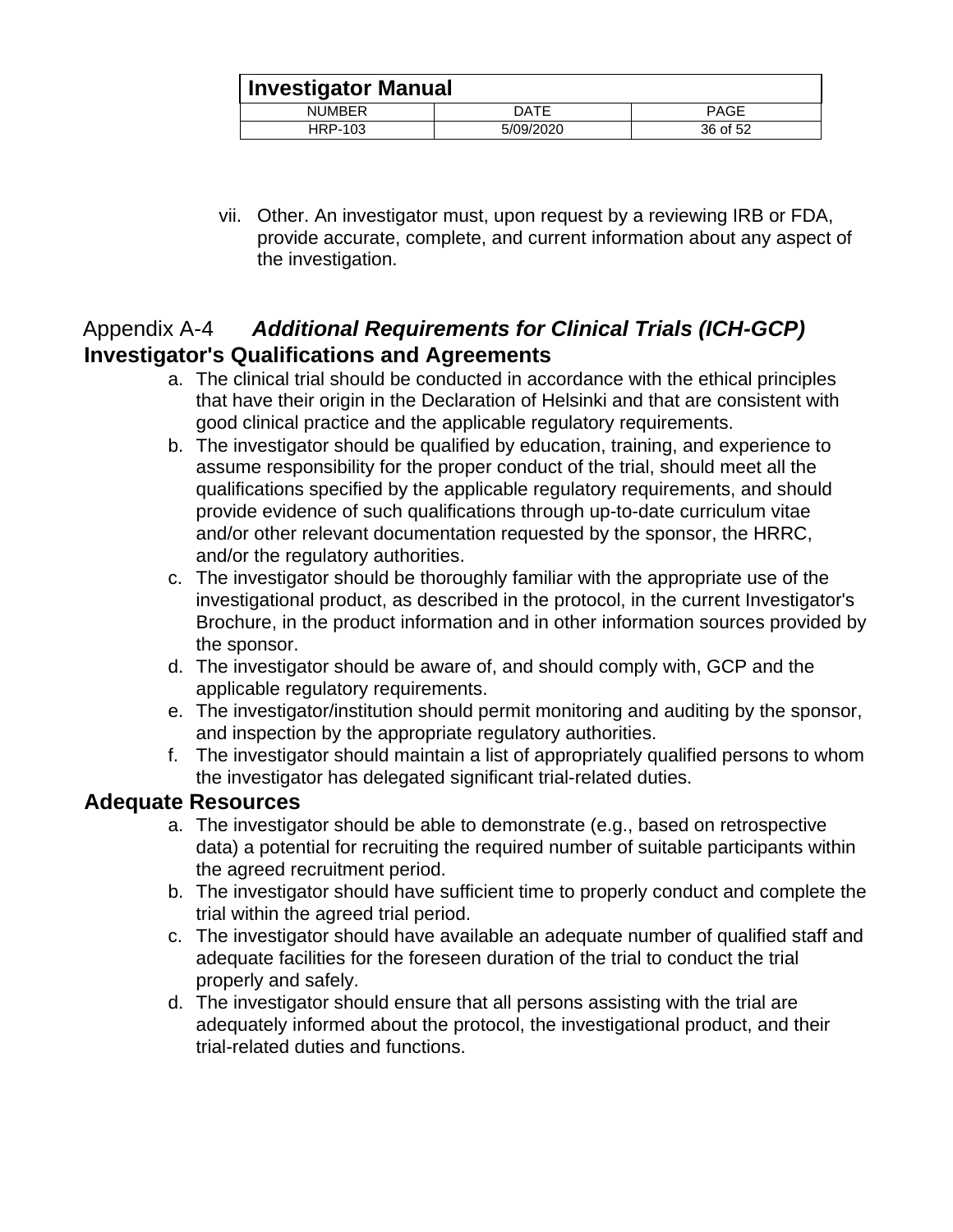| <b>Investigator Manual</b> |           |             |
|----------------------------|-----------|-------------|
| <b>NUMBER</b>              | DATE      | <b>PAGE</b> |
| HRP-103                    | 5/09/2020 | 36 of 52    |

vii. Other. An investigator must, upon request by a reviewing IRB or FDA, provide accurate, complete, and current information about any aspect of the investigation.

## <span id="page-35-1"></span><span id="page-35-0"></span>Appendix A-4 *Additional Requirements for Clinical Trials (ICH-GCP)*  **Investigator's Qualifications and Agreements**

- a. The clinical trial should be conducted in accordance with the ethical principles that have their origin in the Declaration of Helsinki and that are consistent with good clinical practice and the applicable regulatory requirements.
- b. The investigator should be qualified by education, training, and experience to assume responsibility for the proper conduct of the trial, should meet all the qualifications specified by the applicable regulatory requirements, and should provide evidence of such qualifications through up-to-date curriculum vitae and/or other relevant documentation requested by the sponsor, the HRRC, and/or the regulatory authorities.
- c. The investigator should be thoroughly familiar with the appropriate use of the investigational product, as described in the protocol, in the current Investigator's Brochure, in the product information and in other information sources provided by the sponsor.
- d. The investigator should be aware of, and should comply with, GCP and the applicable regulatory requirements.
- e. The investigator/institution should permit monitoring and auditing by the sponsor, and inspection by the appropriate regulatory authorities.
- f. The investigator should maintain a list of appropriately qualified persons to whom the investigator has delegated significant trial-related duties.

#### <span id="page-35-2"></span>**Adequate Resources**

- a. The investigator should be able to demonstrate (e.g., based on retrospective data) a potential for recruiting the required number of suitable participants within the agreed recruitment period.
- b. The investigator should have sufficient time to properly conduct and complete the trial within the agreed trial period.
- c. The investigator should have available an adequate number of qualified staff and adequate facilities for the foreseen duration of the trial to conduct the trial properly and safely.
- d. The investigator should ensure that all persons assisting with the trial are adequately informed about the protocol, the investigational product, and their trial-related duties and functions.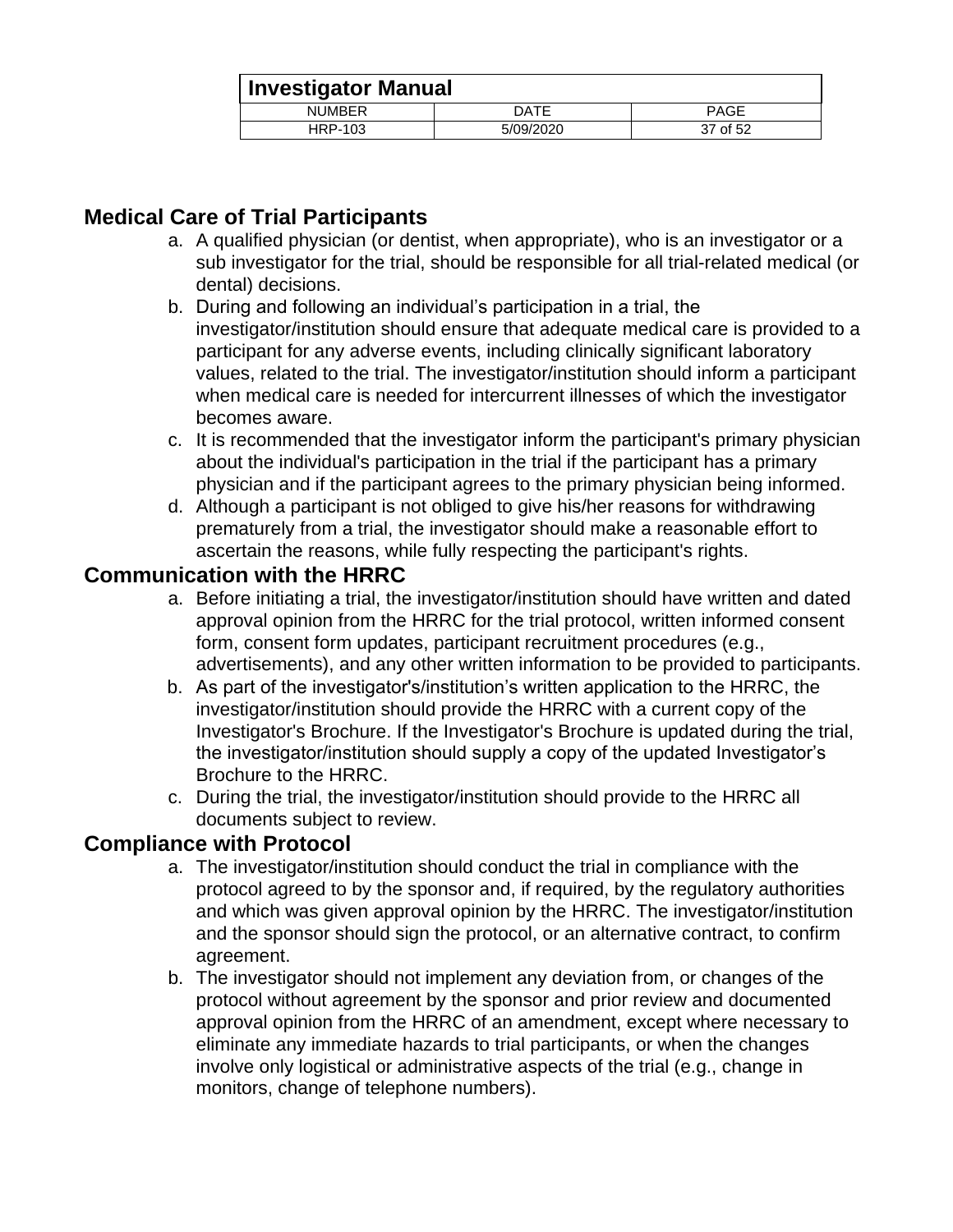| <b>Investigator Manual</b> |           |             |
|----------------------------|-----------|-------------|
| <b>NUMBER</b>              | DATE      | <b>PAGE</b> |
| HRP-103                    | 5/09/2020 | 37 of 52    |

## <span id="page-36-0"></span>**Medical Care of Trial Participants**

- a. A qualified physician (or dentist, when appropriate), who is an investigator or a sub investigator for the trial, should be responsible for all trial-related medical (or dental) decisions.
- b. During and following an individual's participation in a trial, the investigator/institution should ensure that adequate medical care is provided to a participant for any adverse events, including clinically significant laboratory values, related to the trial. The investigator/institution should inform a participant when medical care is needed for intercurrent illnesses of which the investigator becomes aware.
- c. It is recommended that the investigator inform the participant's primary physician about the individual's participation in the trial if the participant has a primary physician and if the participant agrees to the primary physician being informed.
- d. Although a participant is not obliged to give his/her reasons for withdrawing prematurely from a trial, the investigator should make a reasonable effort to ascertain the reasons, while fully respecting the participant's rights.

#### <span id="page-36-1"></span>**Communication with the HRRC**

- a. Before initiating a trial, the investigator/institution should have written and dated approval opinion from the HRRC for the trial protocol, written informed consent form, consent form updates, participant recruitment procedures (e.g., advertisements), and any other written information to be provided to participants.
- b. As part of the investigator's/institution's written application to the HRRC, the investigator/institution should provide the HRRC with a current copy of the Investigator's Brochure. If the Investigator's Brochure is updated during the trial, the investigator/institution should supply a copy of the updated Investigator's Brochure to the HRRC.
- c. During the trial, the investigator/institution should provide to the HRRC all documents subject to review.

#### <span id="page-36-2"></span>**Compliance with Protocol**

- a. The investigator/institution should conduct the trial in compliance with the protocol agreed to by the sponsor and, if required, by the regulatory authorities and which was given approval opinion by the HRRC. The investigator/institution and the sponsor should sign the protocol, or an alternative contract, to confirm agreement.
- b. The investigator should not implement any deviation from, or changes of the protocol without agreement by the sponsor and prior review and documented approval opinion from the HRRC of an amendment, except where necessary to eliminate any immediate hazards to trial participants, or when the changes involve only logistical or administrative aspects of the trial (e.g., change in monitors, change of telephone numbers).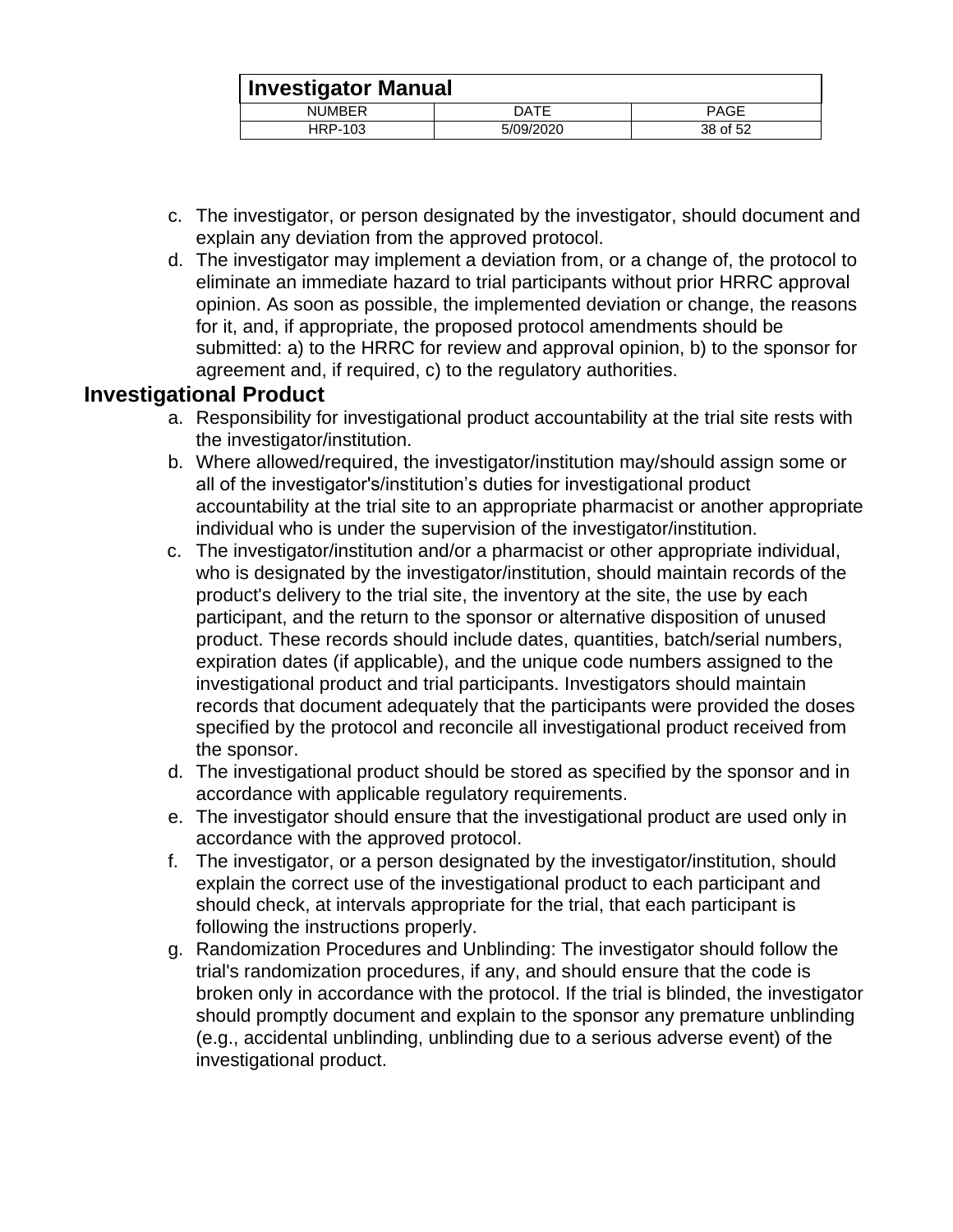| <b>Investigator Manual</b> |           |             |
|----------------------------|-----------|-------------|
| <b>NUMBER</b>              | DATE      | <b>PAGE</b> |
| HRP-103                    | 5/09/2020 | 38 of 52    |

- c. The investigator, or person designated by the investigator, should document and explain any deviation from the approved protocol.
- d. The investigator may implement a deviation from, or a change of, the protocol to eliminate an immediate hazard to trial participants without prior HRRC approval opinion. As soon as possible, the implemented deviation or change, the reasons for it, and, if appropriate, the proposed protocol amendments should be submitted: a) to the HRRC for review and approval opinion, b) to the sponsor for agreement and, if required, c) to the regulatory authorities.

## <span id="page-37-0"></span>**Investigational Product**

- a. Responsibility for investigational product accountability at the trial site rests with the investigator/institution.
- b. Where allowed/required, the investigator/institution may/should assign some or all of the investigator's/institution's duties for investigational product accountability at the trial site to an appropriate pharmacist or another appropriate individual who is under the supervision of the investigator/institution.
- c. The investigator/institution and/or a pharmacist or other appropriate individual, who is designated by the investigator/institution, should maintain records of the product's delivery to the trial site, the inventory at the site, the use by each participant, and the return to the sponsor or alternative disposition of unused product. These records should include dates, quantities, batch/serial numbers, expiration dates (if applicable), and the unique code numbers assigned to the investigational product and trial participants. Investigators should maintain records that document adequately that the participants were provided the doses specified by the protocol and reconcile all investigational product received from the sponsor.
- d. The investigational product should be stored as specified by the sponsor and in accordance with applicable regulatory requirements.
- e. The investigator should ensure that the investigational product are used only in accordance with the approved protocol.
- f. The investigator, or a person designated by the investigator/institution, should explain the correct use of the investigational product to each participant and should check, at intervals appropriate for the trial, that each participant is following the instructions properly.
- g. Randomization Procedures and Unblinding: The investigator should follow the trial's randomization procedures, if any, and should ensure that the code is broken only in accordance with the protocol. If the trial is blinded, the investigator should promptly document and explain to the sponsor any premature unblinding (e.g., accidental unblinding, unblinding due to a serious adverse event) of the investigational product.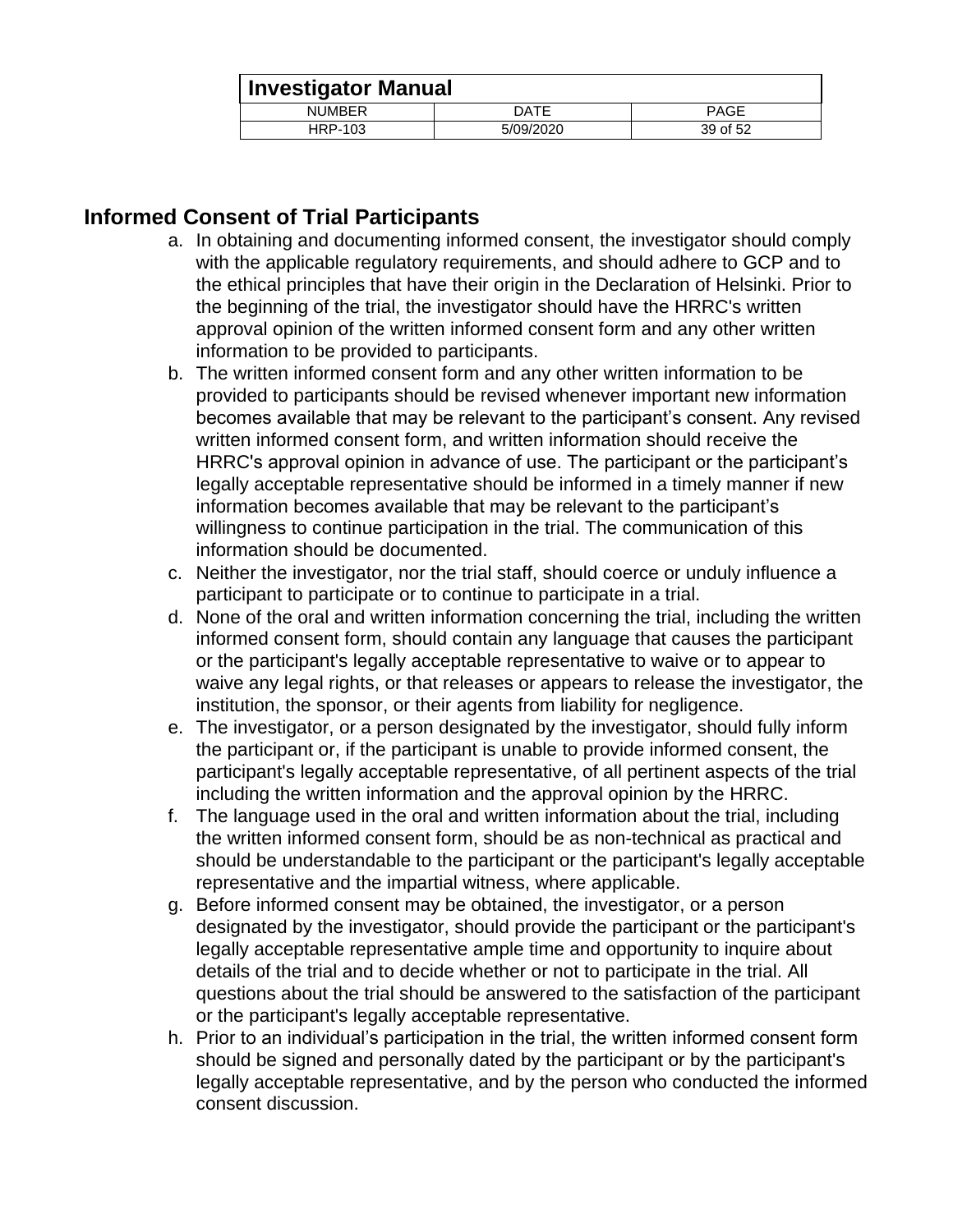| Investigator Manual |           |          |
|---------------------|-----------|----------|
| <b>NUMBER</b>       | DATE      | PAGE     |
| HRP-103             | 5/09/2020 | 39 of 52 |

## <span id="page-38-0"></span>**Informed Consent of Trial Participants**

- a. In obtaining and documenting informed consent, the investigator should comply with the applicable regulatory requirements, and should adhere to GCP and to the ethical principles that have their origin in the Declaration of Helsinki. Prior to the beginning of the trial, the investigator should have the HRRC's written approval opinion of the written informed consent form and any other written information to be provided to participants.
- b. The written informed consent form and any other written information to be provided to participants should be revised whenever important new information becomes available that may be relevant to the participant's consent. Any revised written informed consent form, and written information should receive the HRRC's approval opinion in advance of use. The participant or the participant's legally acceptable representative should be informed in a timely manner if new information becomes available that may be relevant to the participant's willingness to continue participation in the trial. The communication of this information should be documented.
- c. Neither the investigator, nor the trial staff, should coerce or unduly influence a participant to participate or to continue to participate in a trial.
- d. None of the oral and written information concerning the trial, including the written informed consent form, should contain any language that causes the participant or the participant's legally acceptable representative to waive or to appear to waive any legal rights, or that releases or appears to release the investigator, the institution, the sponsor, or their agents from liability for negligence.
- e. The investigator, or a person designated by the investigator, should fully inform the participant or, if the participant is unable to provide informed consent, the participant's legally acceptable representative, of all pertinent aspects of the trial including the written information and the approval opinion by the HRRC.
- f. The language used in the oral and written information about the trial, including the written informed consent form, should be as non-technical as practical and should be understandable to the participant or the participant's legally acceptable representative and the impartial witness, where applicable.
- g. Before informed consent may be obtained, the investigator, or a person designated by the investigator, should provide the participant or the participant's legally acceptable representative ample time and opportunity to inquire about details of the trial and to decide whether or not to participate in the trial. All questions about the trial should be answered to the satisfaction of the participant or the participant's legally acceptable representative.
- h. Prior to an individual's participation in the trial, the written informed consent form should be signed and personally dated by the participant or by the participant's legally acceptable representative, and by the person who conducted the informed consent discussion.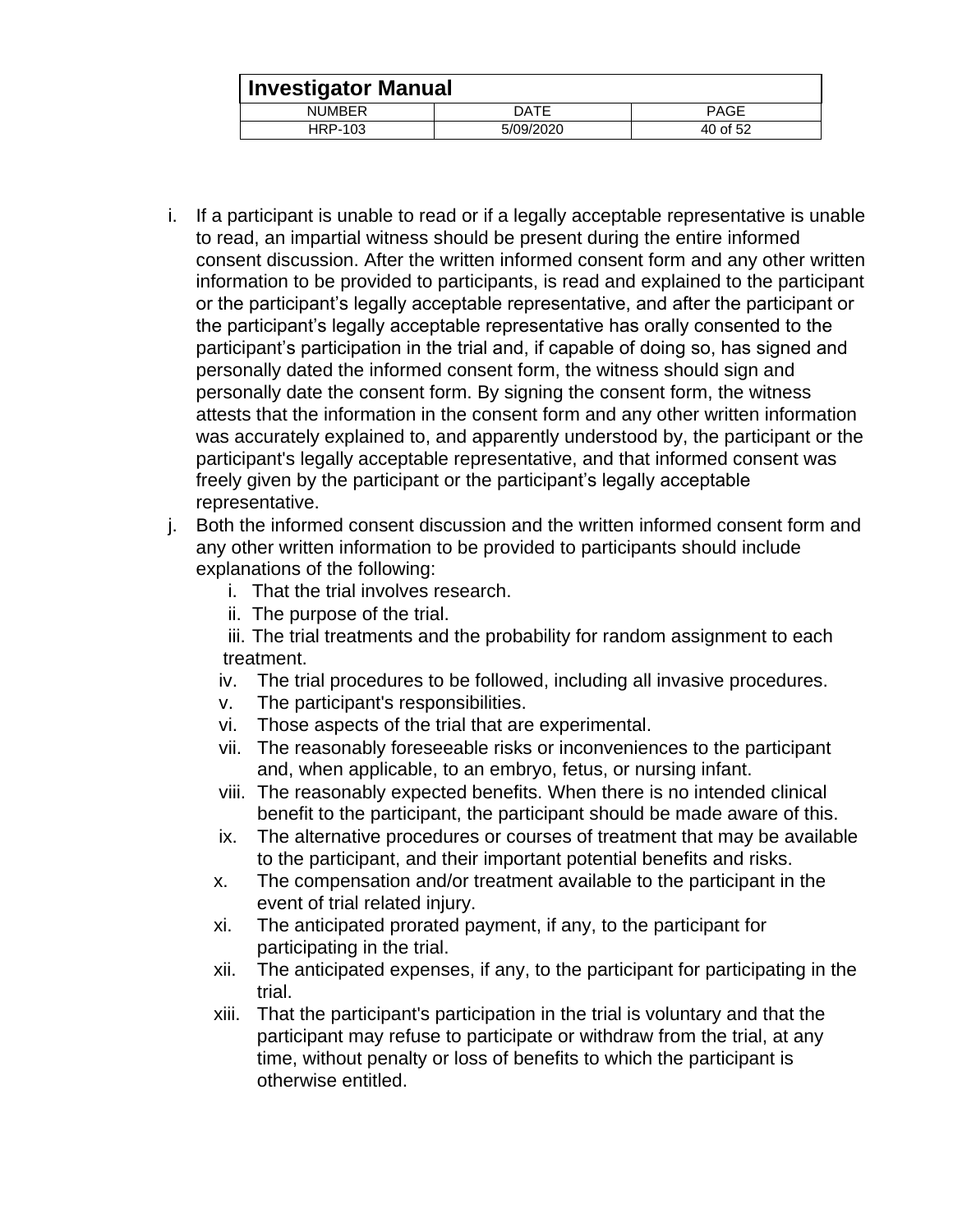| Investigator Manual |           |          |
|---------------------|-----------|----------|
| <b>NUMBER</b>       | DATE      | PAGE     |
| HRP-103             | 5/09/2020 | 40 of 52 |

- i. If a participant is unable to read or if a legally acceptable representative is unable to read, an impartial witness should be present during the entire informed consent discussion. After the written informed consent form and any other written information to be provided to participants, is read and explained to the participant or the participant's legally acceptable representative, and after the participant or the participant's legally acceptable representative has orally consented to the participant's participation in the trial and, if capable of doing so, has signed and personally dated the informed consent form, the witness should sign and personally date the consent form. By signing the consent form, the witness attests that the information in the consent form and any other written information was accurately explained to, and apparently understood by, the participant or the participant's legally acceptable representative, and that informed consent was freely given by the participant or the participant's legally acceptable representative.
- j. Both the informed consent discussion and the written informed consent form and any other written information to be provided to participants should include explanations of the following:
	- i. That the trial involves research.
	- ii. The purpose of the trial.
	- iii. The trial treatments and the probability for random assignment to each treatment.
	- iv. The trial procedures to be followed, including all invasive procedures.
	- v. The participant's responsibilities.
	- vi. Those aspects of the trial that are experimental.
	- vii. The reasonably foreseeable risks or inconveniences to the participant and, when applicable, to an embryo, fetus, or nursing infant.
	- viii. The reasonably expected benefits. When there is no intended clinical benefit to the participant, the participant should be made aware of this.
	- ix. The alternative procedures or courses of treatment that may be available to the participant, and their important potential benefits and risks.
	- x. The compensation and/or treatment available to the participant in the event of trial related injury.
	- xi. The anticipated prorated payment, if any, to the participant for participating in the trial.
	- xii. The anticipated expenses, if any, to the participant for participating in the trial.
	- xiii. That the participant's participation in the trial is voluntary and that the participant may refuse to participate or withdraw from the trial, at any time, without penalty or loss of benefits to which the participant is otherwise entitled.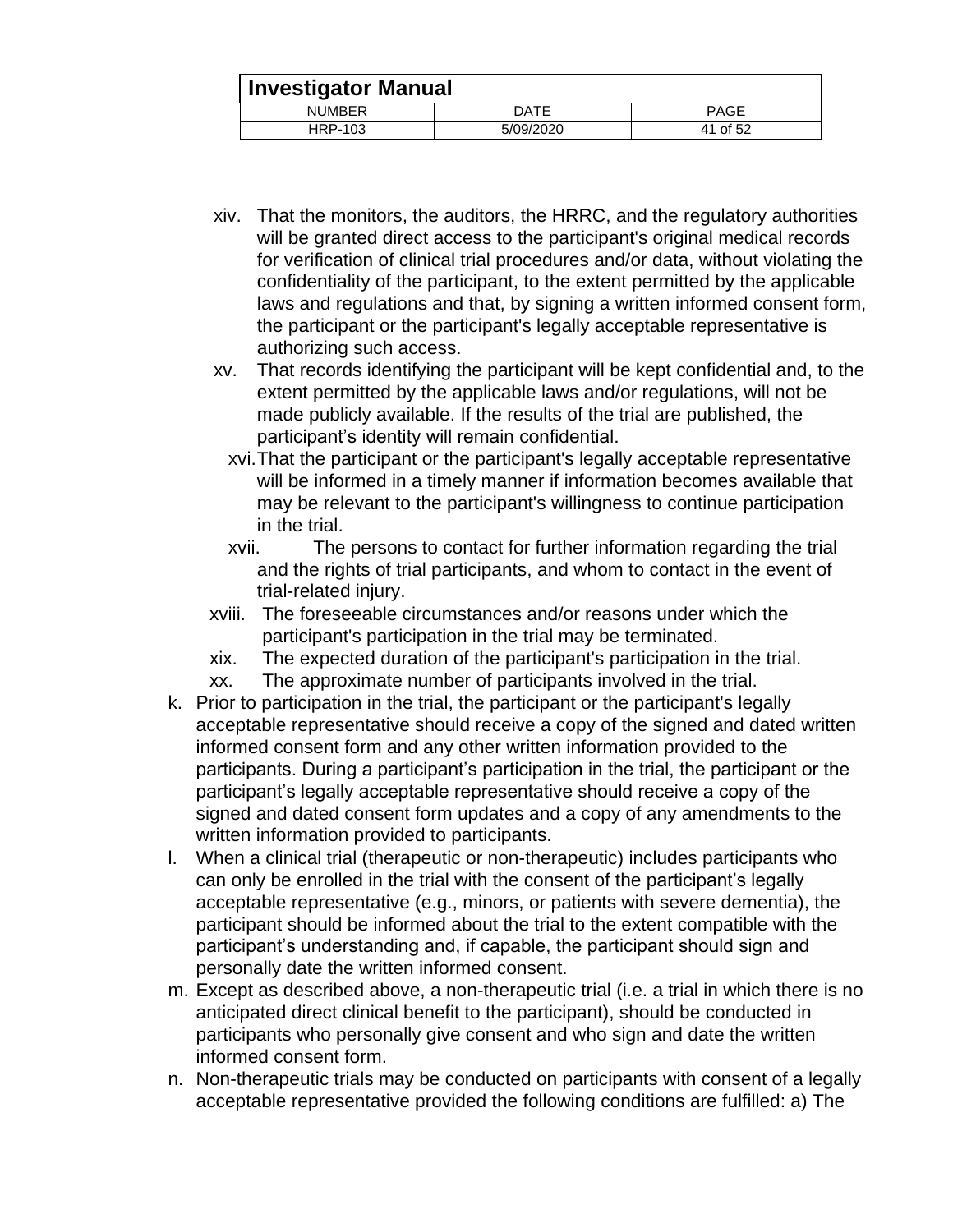| <b>Investigator Manual</b> |           |             |  |
|----------------------------|-----------|-------------|--|
| <b>NUMBER</b>              | DATE      | <b>PAGE</b> |  |
| HRP-103                    | 5/09/2020 | 41 of 52    |  |

- xiv. That the monitors, the auditors, the HRRC, and the regulatory authorities will be granted direct access to the participant's original medical records for verification of clinical trial procedures and/or data, without violating the confidentiality of the participant, to the extent permitted by the applicable laws and regulations and that, by signing a written informed consent form, the participant or the participant's legally acceptable representative is authorizing such access.
- xv. That records identifying the participant will be kept confidential and, to the extent permitted by the applicable laws and/or regulations, will not be made publicly available. If the results of the trial are published, the participant's identity will remain confidential.
	- xvi.That the participant or the participant's legally acceptable representative will be informed in a timely manner if information becomes available that may be relevant to the participant's willingness to continue participation in the trial.
	- xvii. The persons to contact for further information regarding the trial and the rights of trial participants, and whom to contact in the event of trial-related injury.
- xviii. The foreseeable circumstances and/or reasons under which the participant's participation in the trial may be terminated.
- xix. The expected duration of the participant's participation in the trial.
- xx. The approximate number of participants involved in the trial.
- k. Prior to participation in the trial, the participant or the participant's legally acceptable representative should receive a copy of the signed and dated written informed consent form and any other written information provided to the participants. During a participant's participation in the trial, the participant or the participant's legally acceptable representative should receive a copy of the signed and dated consent form updates and a copy of any amendments to the written information provided to participants.
- l. When a clinical trial (therapeutic or non-therapeutic) includes participants who can only be enrolled in the trial with the consent of the participant's legally acceptable representative (e.g., minors, or patients with severe dementia), the participant should be informed about the trial to the extent compatible with the participant's understanding and, if capable, the participant should sign and personally date the written informed consent.
- m. Except as described above, a non-therapeutic trial (i.e. a trial in which there is no anticipated direct clinical benefit to the participant), should be conducted in participants who personally give consent and who sign and date the written informed consent form.
- n. Non-therapeutic trials may be conducted on participants with consent of a legally acceptable representative provided the following conditions are fulfilled: a) The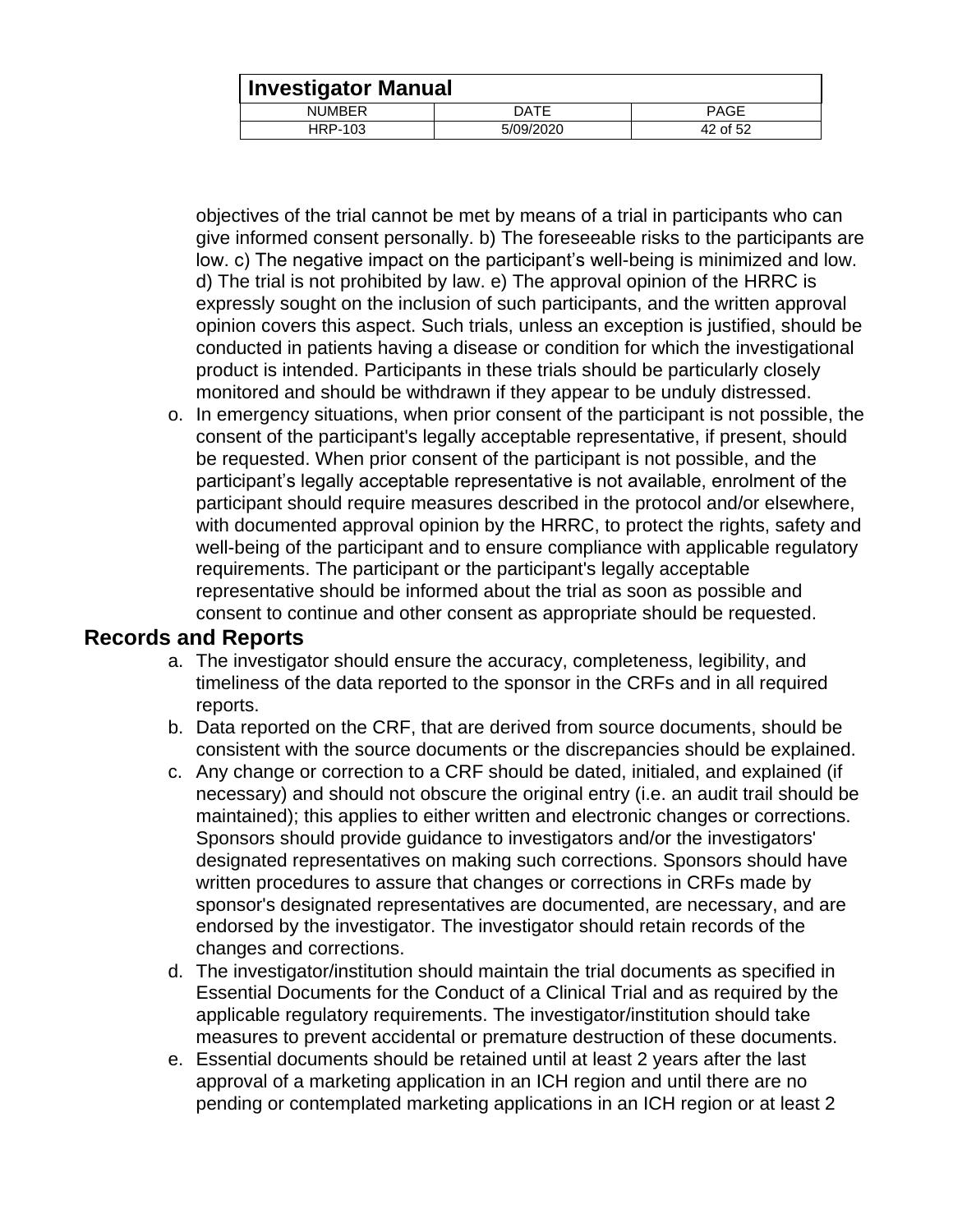| <b>Investigator Manual</b> |           |             |  |
|----------------------------|-----------|-------------|--|
| <b>NUMBER</b>              | DATE      | <b>PAGE</b> |  |
| HRP-103                    | 5/09/2020 | 42 of 52    |  |

objectives of the trial cannot be met by means of a trial in participants who can give informed consent personally. b) The foreseeable risks to the participants are low. c) The negative impact on the participant's well-being is minimized and low. d) The trial is not prohibited by law. e) The approval opinion of the HRRC is expressly sought on the inclusion of such participants, and the written approval opinion covers this aspect. Such trials, unless an exception is justified, should be conducted in patients having a disease or condition for which the investigational product is intended. Participants in these trials should be particularly closely monitored and should be withdrawn if they appear to be unduly distressed.

o. In emergency situations, when prior consent of the participant is not possible, the consent of the participant's legally acceptable representative, if present, should be requested. When prior consent of the participant is not possible, and the participant's legally acceptable representative is not available, enrolment of the participant should require measures described in the protocol and/or elsewhere, with documented approval opinion by the HRRC, to protect the rights, safety and well-being of the participant and to ensure compliance with applicable regulatory requirements. The participant or the participant's legally acceptable representative should be informed about the trial as soon as possible and consent to continue and other consent as appropriate should be requested.

#### <span id="page-41-0"></span>**Records and Reports**

- a. The investigator should ensure the accuracy, completeness, legibility, and timeliness of the data reported to the sponsor in the CRFs and in all required reports.
- b. Data reported on the CRF, that are derived from source documents, should be consistent with the source documents or the discrepancies should be explained.
- c. Any change or correction to a CRF should be dated, initialed, and explained (if necessary) and should not obscure the original entry (i.e. an audit trail should be maintained); this applies to either written and electronic changes or corrections. Sponsors should provide guidance to investigators and/or the investigators' designated representatives on making such corrections. Sponsors should have written procedures to assure that changes or corrections in CRFs made by sponsor's designated representatives are documented, are necessary, and are endorsed by the investigator. The investigator should retain records of the changes and corrections.
- d. The investigator/institution should maintain the trial documents as specified in Essential Documents for the Conduct of a Clinical Trial and as required by the applicable regulatory requirements. The investigator/institution should take measures to prevent accidental or premature destruction of these documents.
- e. Essential documents should be retained until at least 2 years after the last approval of a marketing application in an ICH region and until there are no pending or contemplated marketing applications in an ICH region or at least 2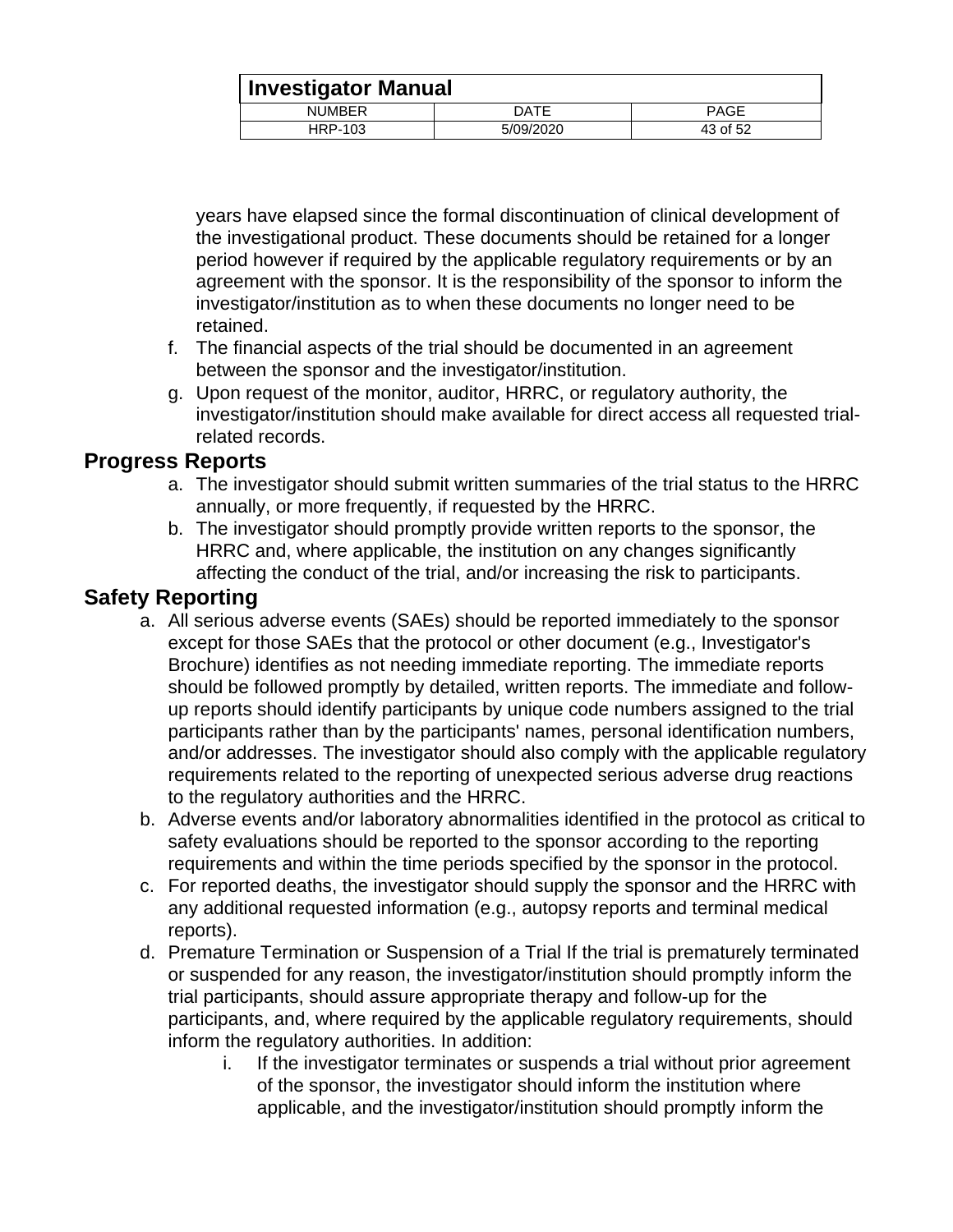| <b>Investigator Manual</b> |           |             |
|----------------------------|-----------|-------------|
| <b>NUMBER</b>              | DATE      | <b>PAGE</b> |
| HRP-103                    | 5/09/2020 | 43 of 52    |

years have elapsed since the formal discontinuation of clinical development of the investigational product. These documents should be retained for a longer period however if required by the applicable regulatory requirements or by an agreement with the sponsor. It is the responsibility of the sponsor to inform the investigator/institution as to when these documents no longer need to be retained.

- f. The financial aspects of the trial should be documented in an agreement between the sponsor and the investigator/institution.
- g. Upon request of the monitor, auditor, HRRC, or regulatory authority, the investigator/institution should make available for direct access all requested trialrelated records.

#### <span id="page-42-0"></span>**Progress Reports**

- a. The investigator should submit written summaries of the trial status to the HRRC annually, or more frequently, if requested by the HRRC.
- b. The investigator should promptly provide written reports to the sponsor, the HRRC and, where applicable, the institution on any changes significantly affecting the conduct of the trial, and/or increasing the risk to participants.

## <span id="page-42-1"></span>**Safety Reporting**

- a. All serious adverse events (SAEs) should be reported immediately to the sponsor except for those SAEs that the protocol or other document (e.g., Investigator's Brochure) identifies as not needing immediate reporting. The immediate reports should be followed promptly by detailed, written reports. The immediate and followup reports should identify participants by unique code numbers assigned to the trial participants rather than by the participants' names, personal identification numbers, and/or addresses. The investigator should also comply with the applicable regulatory requirements related to the reporting of unexpected serious adverse drug reactions to the regulatory authorities and the HRRC.
- b. Adverse events and/or laboratory abnormalities identified in the protocol as critical to safety evaluations should be reported to the sponsor according to the reporting requirements and within the time periods specified by the sponsor in the protocol.
- c. For reported deaths, the investigator should supply the sponsor and the HRRC with any additional requested information (e.g., autopsy reports and terminal medical reports).
- d. Premature Termination or Suspension of a Trial If the trial is prematurely terminated or suspended for any reason, the investigator/institution should promptly inform the trial participants, should assure appropriate therapy and follow-up for the participants, and, where required by the applicable regulatory requirements, should inform the regulatory authorities. In addition:
	- i. If the investigator terminates or suspends a trial without prior agreement of the sponsor, the investigator should inform the institution where applicable, and the investigator/institution should promptly inform the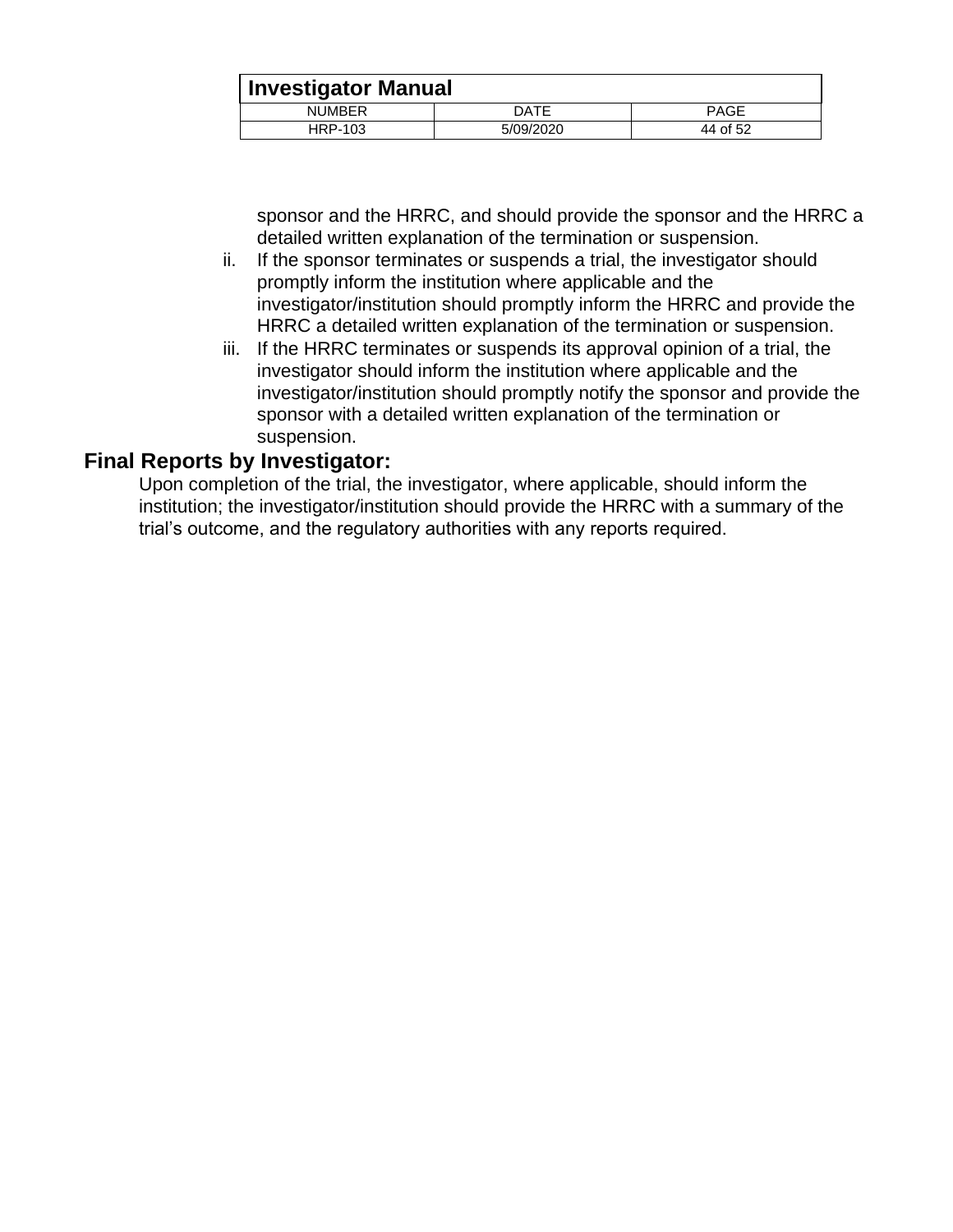| <b>Investigator Manual</b> |           |             |  |
|----------------------------|-----------|-------------|--|
| <b>NUMBER</b>              | DATE      | <b>PAGE</b> |  |
| HRP-103                    | 5/09/2020 | 44 of 52    |  |

sponsor and the HRRC, and should provide the sponsor and the HRRC a detailed written explanation of the termination or suspension.

- ii. If the sponsor terminates or suspends a trial, the investigator should promptly inform the institution where applicable and the investigator/institution should promptly inform the HRRC and provide the HRRC a detailed written explanation of the termination or suspension.
- iii. If the HRRC terminates or suspends its approval opinion of a trial, the investigator should inform the institution where applicable and the investigator/institution should promptly notify the sponsor and provide the sponsor with a detailed written explanation of the termination or suspension.

#### <span id="page-43-0"></span>**Final Reports by Investigator:**

Upon completion of the trial, the investigator, where applicable, should inform the institution; the investigator/institution should provide the HRRC with a summary of the trial's outcome, and the regulatory authorities with any reports required.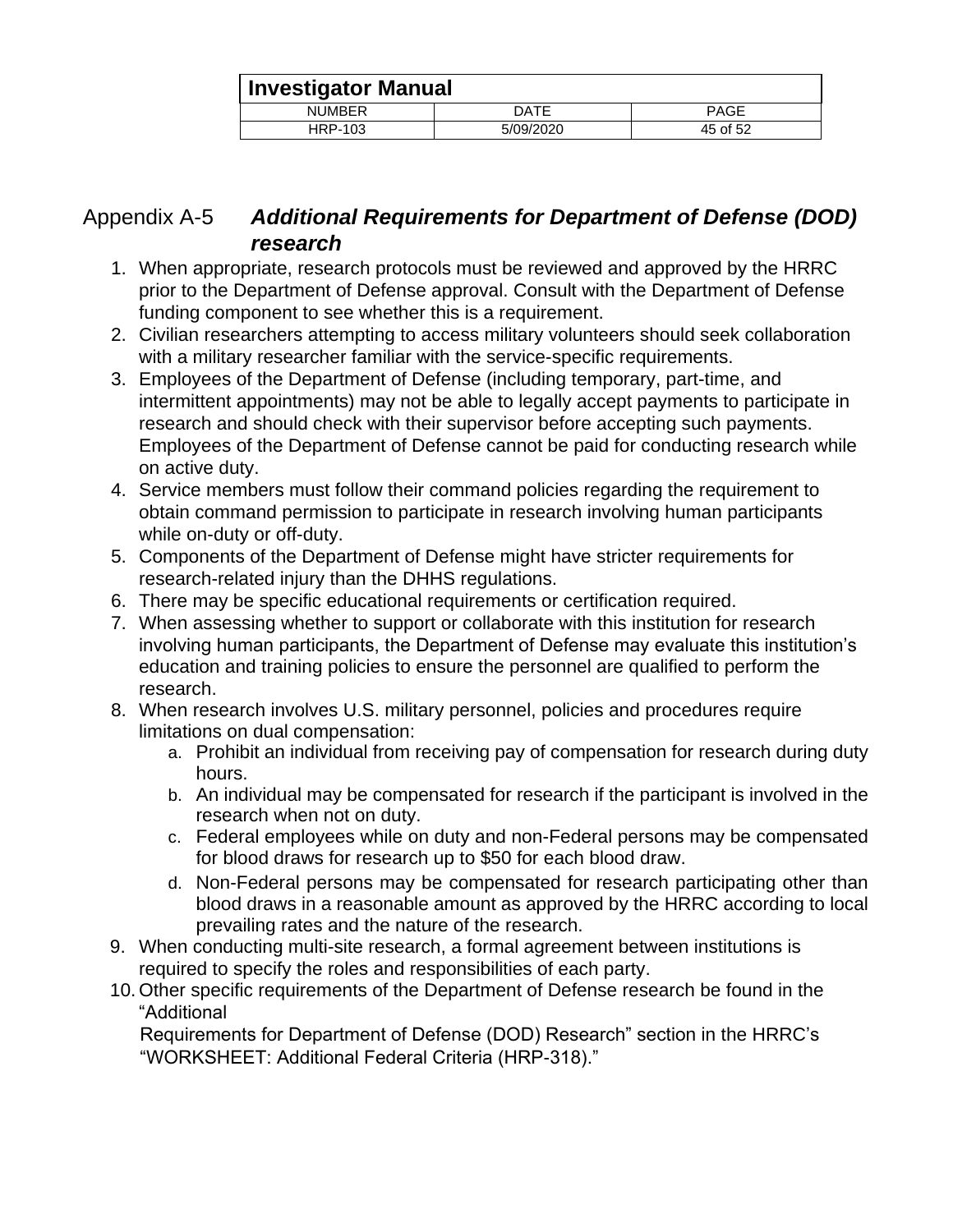| <b>Investigator Manual</b> |           |             |
|----------------------------|-----------|-------------|
| <b>NUMBER</b>              | DATE      | <b>PAGE</b> |
| HRP-103                    | 5/09/2020 | 45 of 52    |

## <span id="page-44-0"></span>Appendix A-5 *Additional Requirements for Department of Defense (DOD) research*

- 1. When appropriate, research protocols must be reviewed and approved by the HRRC prior to the Department of Defense approval. Consult with the Department of Defense funding component to see whether this is a requirement.
- 2. Civilian researchers attempting to access military volunteers should seek collaboration with a military researcher familiar with the service-specific requirements.
- 3. Employees of the Department of Defense (including temporary, part-time, and intermittent appointments) may not be able to legally accept payments to participate in research and should check with their supervisor before accepting such payments. Employees of the Department of Defense cannot be paid for conducting research while on active duty.
- 4. Service members must follow their command policies regarding the requirement to obtain command permission to participate in research involving human participants while on-duty or off-duty.
- 5. Components of the Department of Defense might have stricter requirements for research-related injury than the DHHS regulations.
- 6. There may be specific educational requirements or certification required.
- 7. When assessing whether to support or collaborate with this institution for research involving human participants, the Department of Defense may evaluate this institution's education and training policies to ensure the personnel are qualified to perform the research.
- 8. When research involves U.S. military personnel, policies and procedures require limitations on dual compensation:
	- a. Prohibit an individual from receiving pay of compensation for research during duty hours.
	- b. An individual may be compensated for research if the participant is involved in the research when not on duty.
	- c. Federal employees while on duty and non-Federal persons may be compensated for blood draws for research up to \$50 for each blood draw.
	- d. Non-Federal persons may be compensated for research participating other than blood draws in a reasonable amount as approved by the HRRC according to local prevailing rates and the nature of the research.
- 9. When conducting multi-site research, a formal agreement between institutions is required to specify the roles and responsibilities of each party.
- 10. Other specific requirements of the Department of Defense research be found in the "Additional

Requirements for Department of Defense (DOD) Research" section in the HRRC's "WORKSHEET: Additional Federal Criteria (HRP-318)."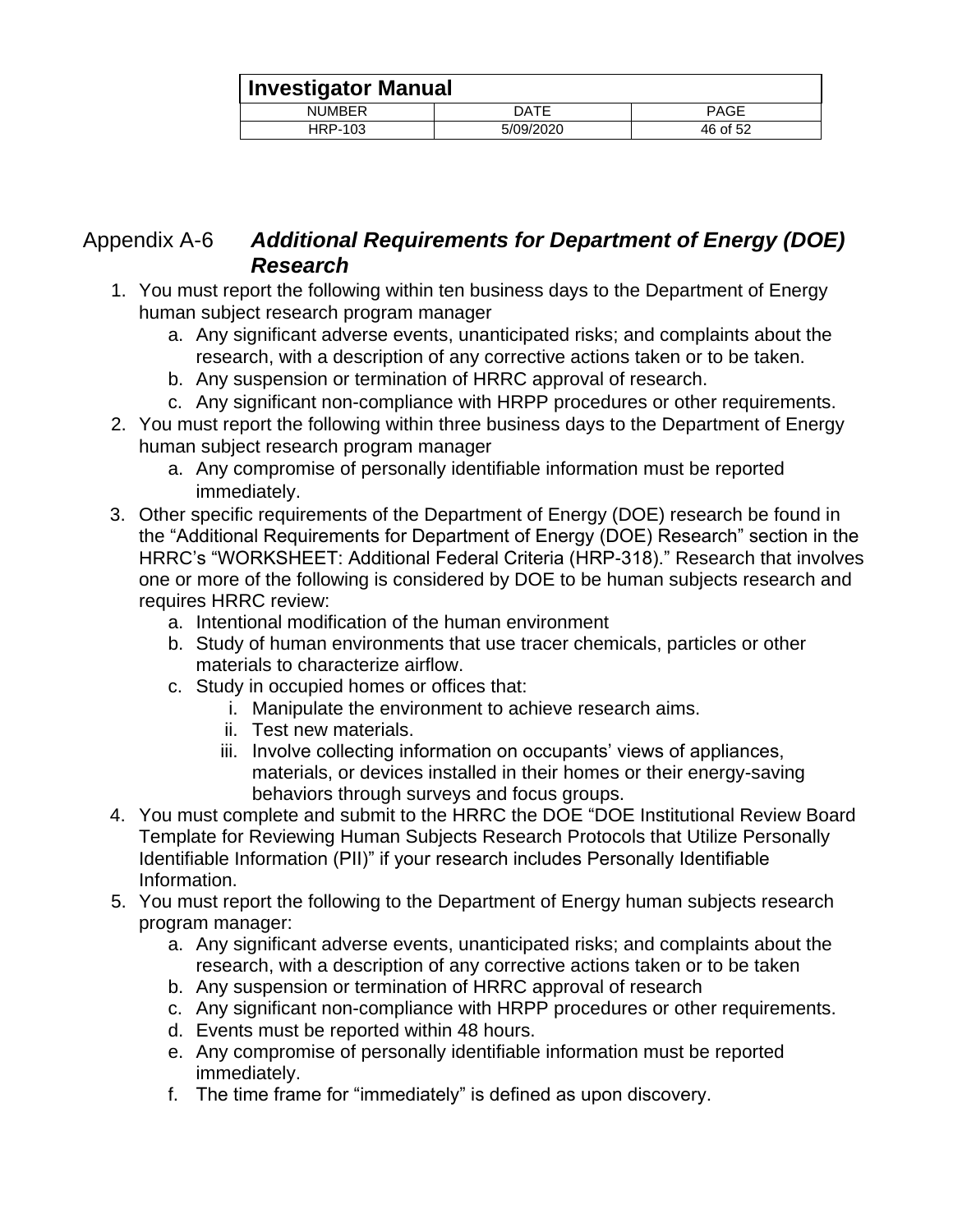| Investigator Manual |           |             |
|---------------------|-----------|-------------|
| <b>NUMBER</b>       | DATE      | <b>PAGE</b> |
| HRP-103             | 5/09/2020 | 46 of 52    |

## <span id="page-45-0"></span>Appendix A-6 *Additional Requirements for Department of Energy (DOE) Research*

- 1. You must report the following within ten business days to the Department of Energy human subject research program manager
	- a. Any significant adverse events, unanticipated risks; and complaints about the research, with a description of any corrective actions taken or to be taken.
	- b. Any suspension or termination of HRRC approval of research.
	- c. Any significant non-compliance with HRPP procedures or other requirements.
- 2. You must report the following within three business days to the Department of Energy human subject research program manager
	- a. Any compromise of personally identifiable information must be reported immediately.
- 3. Other specific requirements of the Department of Energy (DOE) research be found in the "Additional Requirements for Department of Energy (DOE) Research" section in the HRRC's "WORKSHEET: Additional Federal Criteria (HRP-318)." Research that involves one or more of the following is considered by DOE to be human subjects research and requires HRRC review:
	- a. Intentional modification of the human environment
	- b. Study of human environments that use tracer chemicals, particles or other materials to characterize airflow.
	- c. Study in occupied homes or offices that:
		- i. Manipulate the environment to achieve research aims.
		- ii. Test new materials.
		- iii. Involve collecting information on occupants' views of appliances, materials, or devices installed in their homes or their energy-saving behaviors through surveys and focus groups.
- 4. You must complete and submit to the HRRC the DOE "DOE Institutional Review Board Template for Reviewing Human Subjects Research Protocols that Utilize Personally Identifiable Information (PII)" if your research includes Personally Identifiable Information.
- 5. You must report the following to the Department of Energy human subjects research program manager:
	- a. Any significant adverse events, unanticipated risks; and complaints about the research, with a description of any corrective actions taken or to be taken
	- b. Any suspension or termination of HRRC approval of research
	- c. Any significant non-compliance with HRPP procedures or other requirements.
	- d. Events must be reported within 48 hours.
	- e. Any compromise of personally identifiable information must be reported immediately.
	- f. The time frame for "immediately" is defined as upon discovery.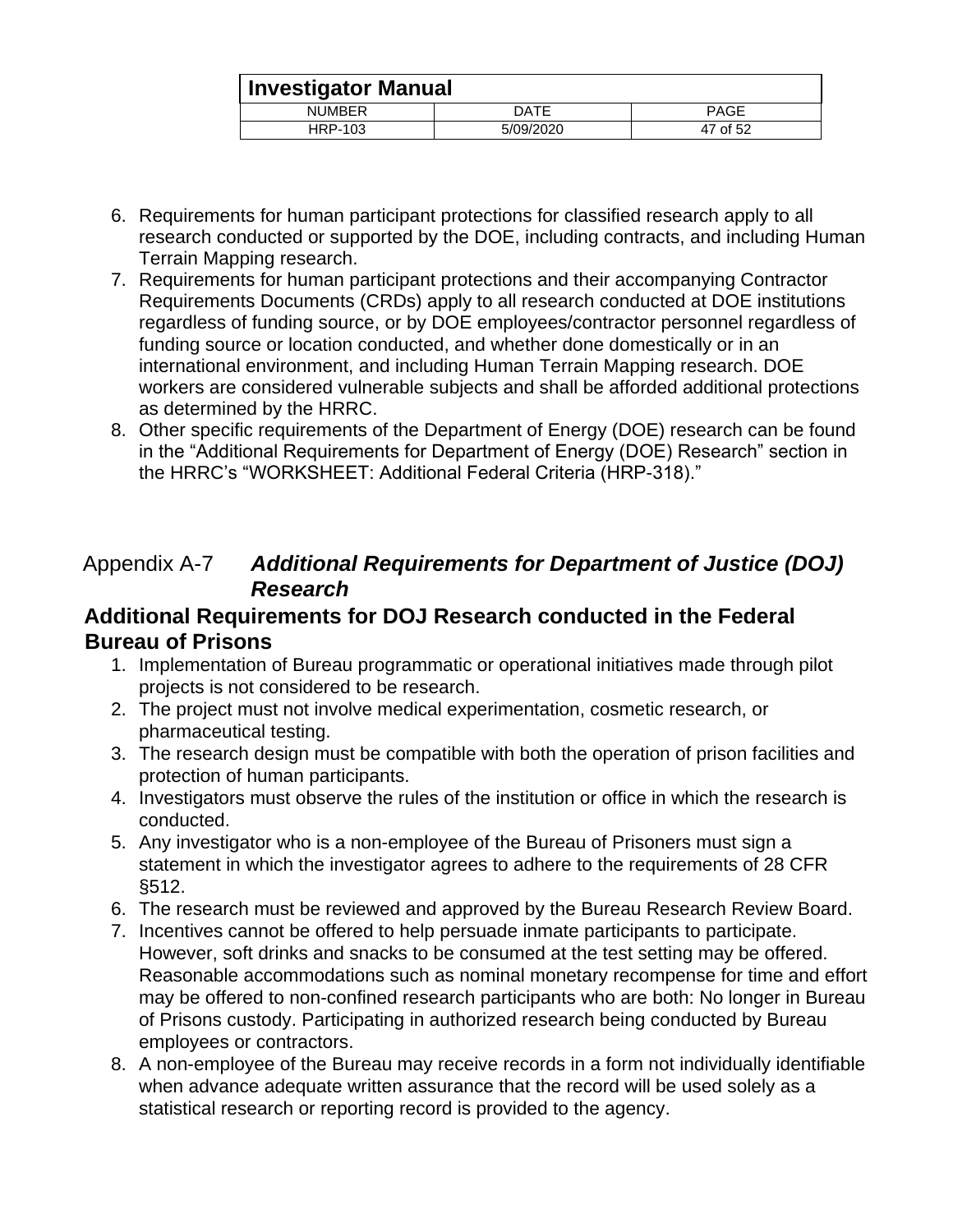| <b>Investigator Manual</b> |           |             |
|----------------------------|-----------|-------------|
| <b>NUMBER</b>              | DATE      | <b>PAGE</b> |
| HRP-103                    | 5/09/2020 | 47 of 52    |

- 6. Requirements for human participant protections for classified research apply to all research conducted or supported by the DOE, including contracts, and including Human Terrain Mapping research.
- 7. Requirements for human participant protections and their accompanying Contractor Requirements Documents (CRDs) apply to all research conducted at DOE institutions regardless of funding source, or by DOE employees/contractor personnel regardless of funding source or location conducted, and whether done domestically or in an international environment, and including Human Terrain Mapping research. DOE workers are considered vulnerable subjects and shall be afforded additional protections as determined by the HRRC.
- 8. Other specific requirements of the Department of Energy (DOE) research can be found in the "Additional Requirements for Department of Energy (DOE) Research" section in the HRRC's "WORKSHEET: Additional Federal Criteria (HRP-318)."

## <span id="page-46-0"></span>Appendix A-7 *Additional Requirements for Department of Justice (DOJ) Research*

#### <span id="page-46-1"></span>**Additional Requirements for DOJ Research conducted in the Federal Bureau of Prisons**

- 1. Implementation of Bureau programmatic or operational initiatives made through pilot projects is not considered to be research.
- 2. The project must not involve medical experimentation, cosmetic research, or pharmaceutical testing.
- 3. The research design must be compatible with both the operation of prison facilities and protection of human participants.
- 4. Investigators must observe the rules of the institution or office in which the research is conducted.
- 5. Any investigator who is a non-employee of the Bureau of Prisoners must sign a statement in which the investigator agrees to adhere to the requirements of 28 CFR §512.
- 6. The research must be reviewed and approved by the Bureau Research Review Board.
- 7. Incentives cannot be offered to help persuade inmate participants to participate. However, soft drinks and snacks to be consumed at the test setting may be offered. Reasonable accommodations such as nominal monetary recompense for time and effort may be offered to non-confined research participants who are both: No longer in Bureau of Prisons custody. Participating in authorized research being conducted by Bureau employees or contractors.
- 8. A non-employee of the Bureau may receive records in a form not individually identifiable when advance adequate written assurance that the record will be used solely as a statistical research or reporting record is provided to the agency.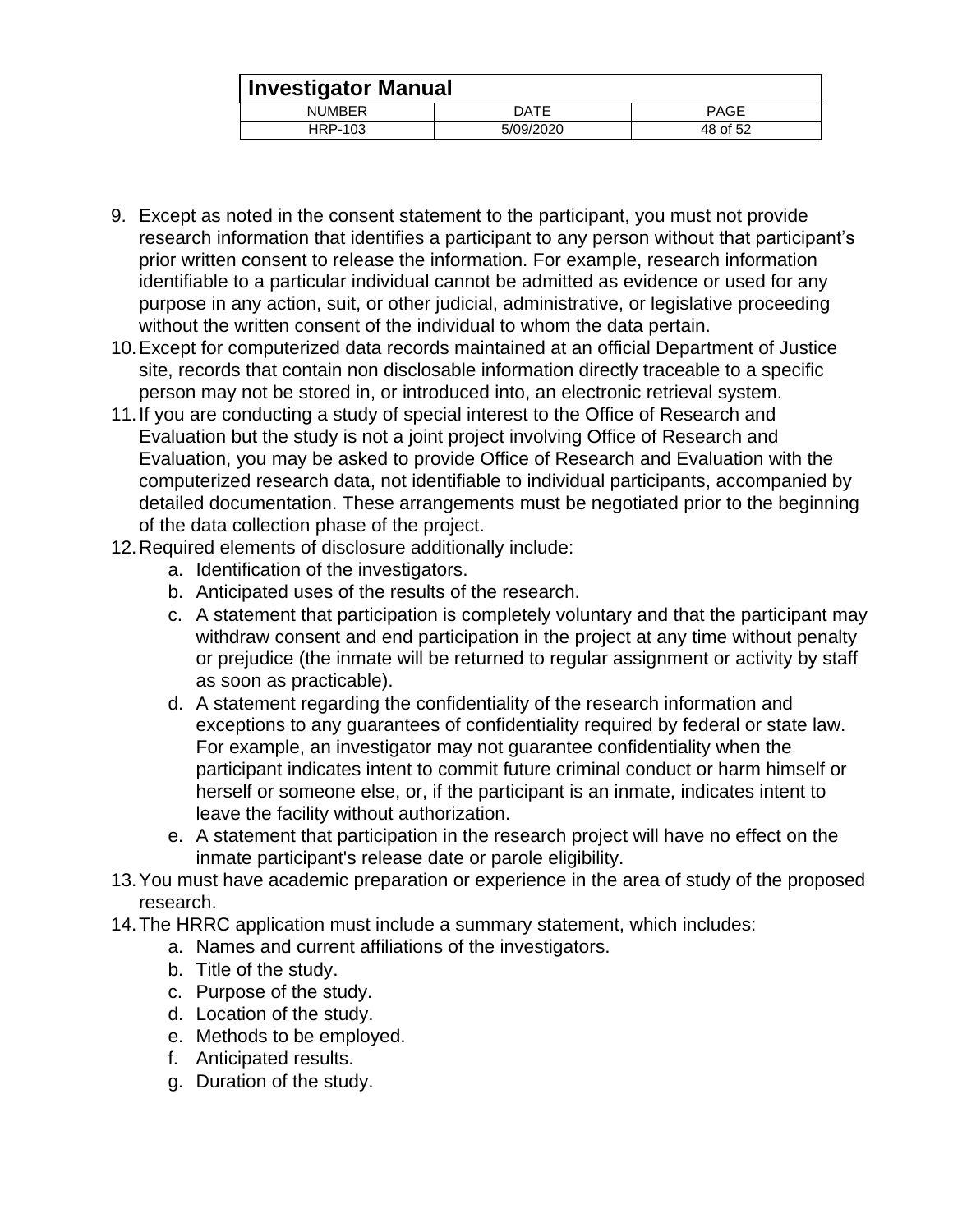|               | <b>Investigator Manual</b> |             |  |  |
|---------------|----------------------------|-------------|--|--|
| <b>NUMBER</b> | DATE                       | <b>PAGE</b> |  |  |
| HRP-103       | 5/09/2020                  | 48 of 52    |  |  |

- 9. Except as noted in the consent statement to the participant, you must not provide research information that identifies a participant to any person without that participant's prior written consent to release the information. For example, research information identifiable to a particular individual cannot be admitted as evidence or used for any purpose in any action, suit, or other judicial, administrative, or legislative proceeding without the written consent of the individual to whom the data pertain.
- 10.Except for computerized data records maintained at an official Department of Justice site, records that contain non disclosable information directly traceable to a specific person may not be stored in, or introduced into, an electronic retrieval system.
- 11.If you are conducting a study of special interest to the Office of Research and Evaluation but the study is not a joint project involving Office of Research and Evaluation, you may be asked to provide Office of Research and Evaluation with the computerized research data, not identifiable to individual participants, accompanied by detailed documentation. These arrangements must be negotiated prior to the beginning of the data collection phase of the project.
- 12.Required elements of disclosure additionally include:
	- a. Identification of the investigators.
	- b. Anticipated uses of the results of the research.
	- c. A statement that participation is completely voluntary and that the participant may withdraw consent and end participation in the project at any time without penalty or prejudice (the inmate will be returned to regular assignment or activity by staff as soon as practicable).
	- d. A statement regarding the confidentiality of the research information and exceptions to any guarantees of confidentiality required by federal or state law. For example, an investigator may not guarantee confidentiality when the participant indicates intent to commit future criminal conduct or harm himself or herself or someone else, or, if the participant is an inmate, indicates intent to leave the facility without authorization.
	- e. A statement that participation in the research project will have no effect on the inmate participant's release date or parole eligibility.
- 13.You must have academic preparation or experience in the area of study of the proposed research.
- 14.The HRRC application must include a summary statement, which includes:
	- a. Names and current affiliations of the investigators.
	- b. Title of the study.
	- c. Purpose of the study.
	- d. Location of the study.
	- e. Methods to be employed.
	- f. Anticipated results.
	- g. Duration of the study.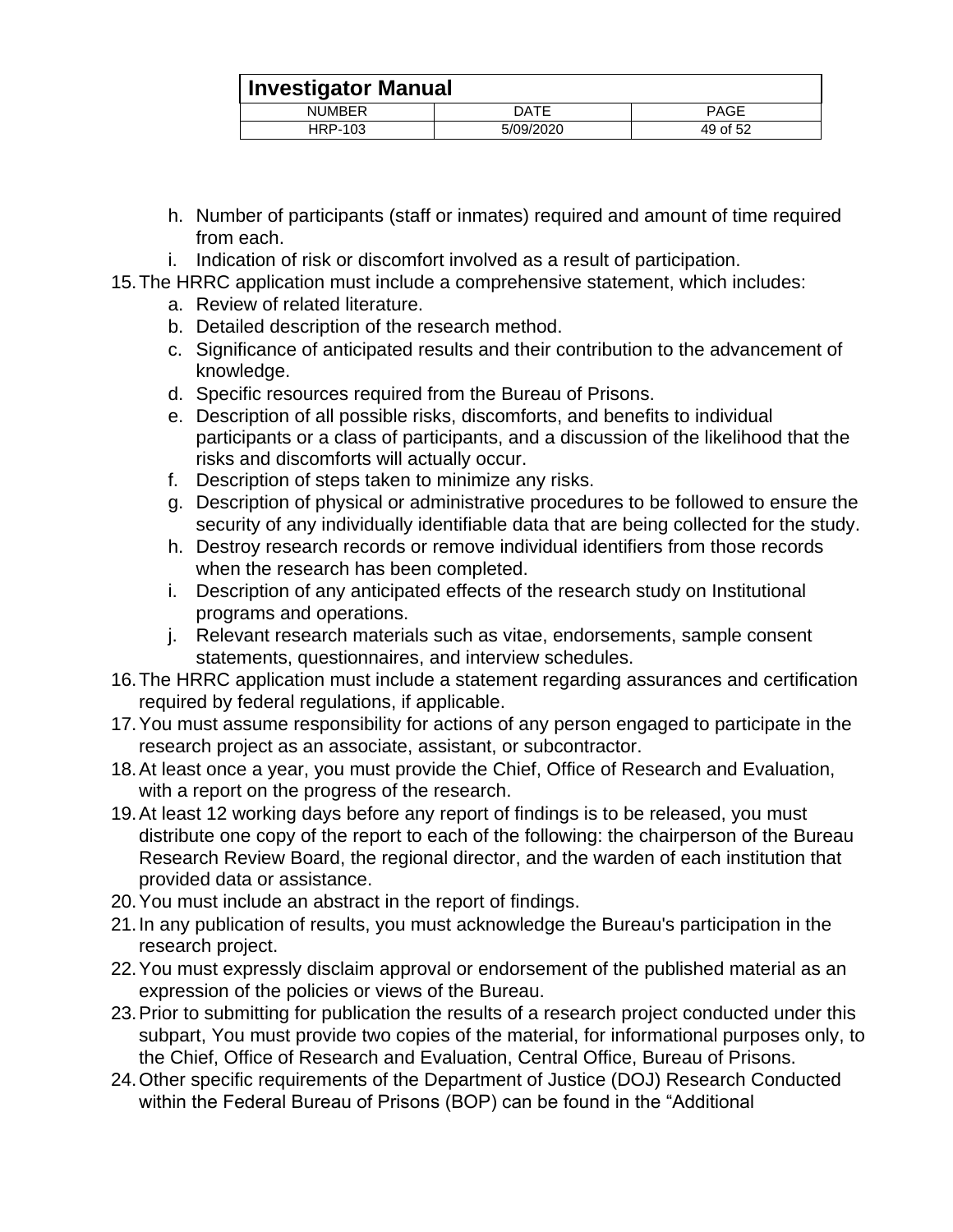| <b>Investigator Manual</b> |           |          |  |  |
|----------------------------|-----------|----------|--|--|
| <b>NUMBER</b>              | DATE      | PAGE     |  |  |
| HRP-103                    | 5/09/2020 | 49 of 52 |  |  |

- h. Number of participants (staff or inmates) required and amount of time required from each.
- i. Indication of risk or discomfort involved as a result of participation.
- 15.The HRRC application must include a comprehensive statement, which includes:
	- a. Review of related literature.
	- b. Detailed description of the research method.
	- c. Significance of anticipated results and their contribution to the advancement of knowledge.
	- d. Specific resources required from the Bureau of Prisons.
	- e. Description of all possible risks, discomforts, and benefits to individual participants or a class of participants, and a discussion of the likelihood that the risks and discomforts will actually occur.
	- f. Description of steps taken to minimize any risks.
	- g. Description of physical or administrative procedures to be followed to ensure the security of any individually identifiable data that are being collected for the study.
	- h. Destroy research records or remove individual identifiers from those records when the research has been completed.
	- i. Description of any anticipated effects of the research study on Institutional programs and operations.
	- j. Relevant research materials such as vitae, endorsements, sample consent statements, questionnaires, and interview schedules.
- 16.The HRRC application must include a statement regarding assurances and certification required by federal regulations, if applicable.
- 17.You must assume responsibility for actions of any person engaged to participate in the research project as an associate, assistant, or subcontractor.
- 18.At least once a year, you must provide the Chief, Office of Research and Evaluation, with a report on the progress of the research.
- 19.At least 12 working days before any report of findings is to be released, you must distribute one copy of the report to each of the following: the chairperson of the Bureau Research Review Board, the regional director, and the warden of each institution that provided data or assistance.
- 20.You must include an abstract in the report of findings.
- 21.In any publication of results, you must acknowledge the Bureau's participation in the research project.
- 22.You must expressly disclaim approval or endorsement of the published material as an expression of the policies or views of the Bureau.
- 23.Prior to submitting for publication the results of a research project conducted under this subpart, You must provide two copies of the material, for informational purposes only, to the Chief, Office of Research and Evaluation, Central Office, Bureau of Prisons.
- 24.Other specific requirements of the Department of Justice (DOJ) Research Conducted within the Federal Bureau of Prisons (BOP) can be found in the "Additional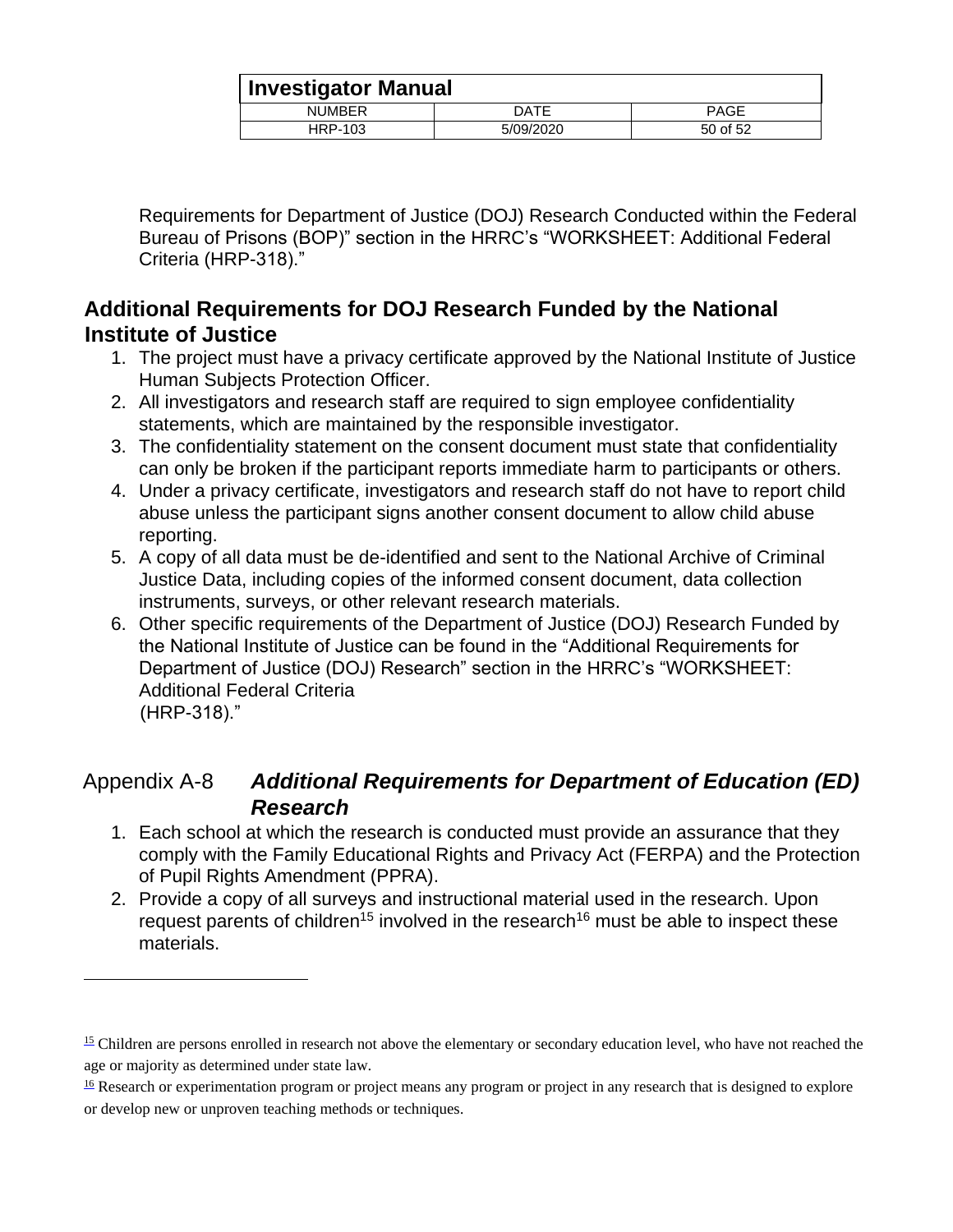|               | <b>Investigator Manual</b> |             |  |  |
|---------------|----------------------------|-------------|--|--|
| <b>NUMBER</b> | DATE                       | <b>PAGE</b> |  |  |
| HRP-103       | 5/09/2020                  | 50 of 52    |  |  |

Requirements for Department of Justice (DOJ) Research Conducted within the Federal Bureau of Prisons (BOP)" section in the HRRC's "WORKSHEET: Additional Federal Criteria (HRP-318)."

## <span id="page-49-0"></span>**Additional Requirements for DOJ Research Funded by the National Institute of Justice**

- 1. The project must have a privacy certificate approved by the National Institute of Justice Human Subjects Protection Officer.
- 2. All investigators and research staff are required to sign employee confidentiality statements, which are maintained by the responsible investigator.
- 3. The confidentiality statement on the consent document must state that confidentiality can only be broken if the participant reports immediate harm to participants or others.
- 4. Under a privacy certificate, investigators and research staff do not have to report child abuse unless the participant signs another consent document to allow child abuse reporting.
- 5. A copy of all data must be de-identified and sent to the National Archive of Criminal Justice Data, including copies of the informed consent document, data collection instruments, surveys, or other relevant research materials.
- 6. Other specific requirements of the Department of Justice (DOJ) Research Funded by the National Institute of Justice can be found in the "Additional Requirements for Department of Justice (DOJ) Research" section in the HRRC's "WORKSHEET: Additional Federal Criteria (HRP-318)."

## <span id="page-49-1"></span>Appendix A-8 *Additional Requirements for Department of Education (ED) Research*

- 1. Each school at which the research is conducted must provide an assurance that they comply with the Family Educational Rights and Privacy Act (FERPA) and the Protection of Pupil Rights Amendment (PPRA).
- 2. Provide a copy of all surveys and instructional material used in the research. Upon request parents of children<sup>15</sup> involved in the research<sup>16</sup> must be able to inspect these materials.

 $15$  Children are persons enrolled in research not above the elementary or secondary education level, who have not reached the age or majority as determined under state law.

 $\frac{16}{16}$  Research or experimentation program or project means any program or project in any research that is designed to explore or develop new or unproven teaching methods or techniques.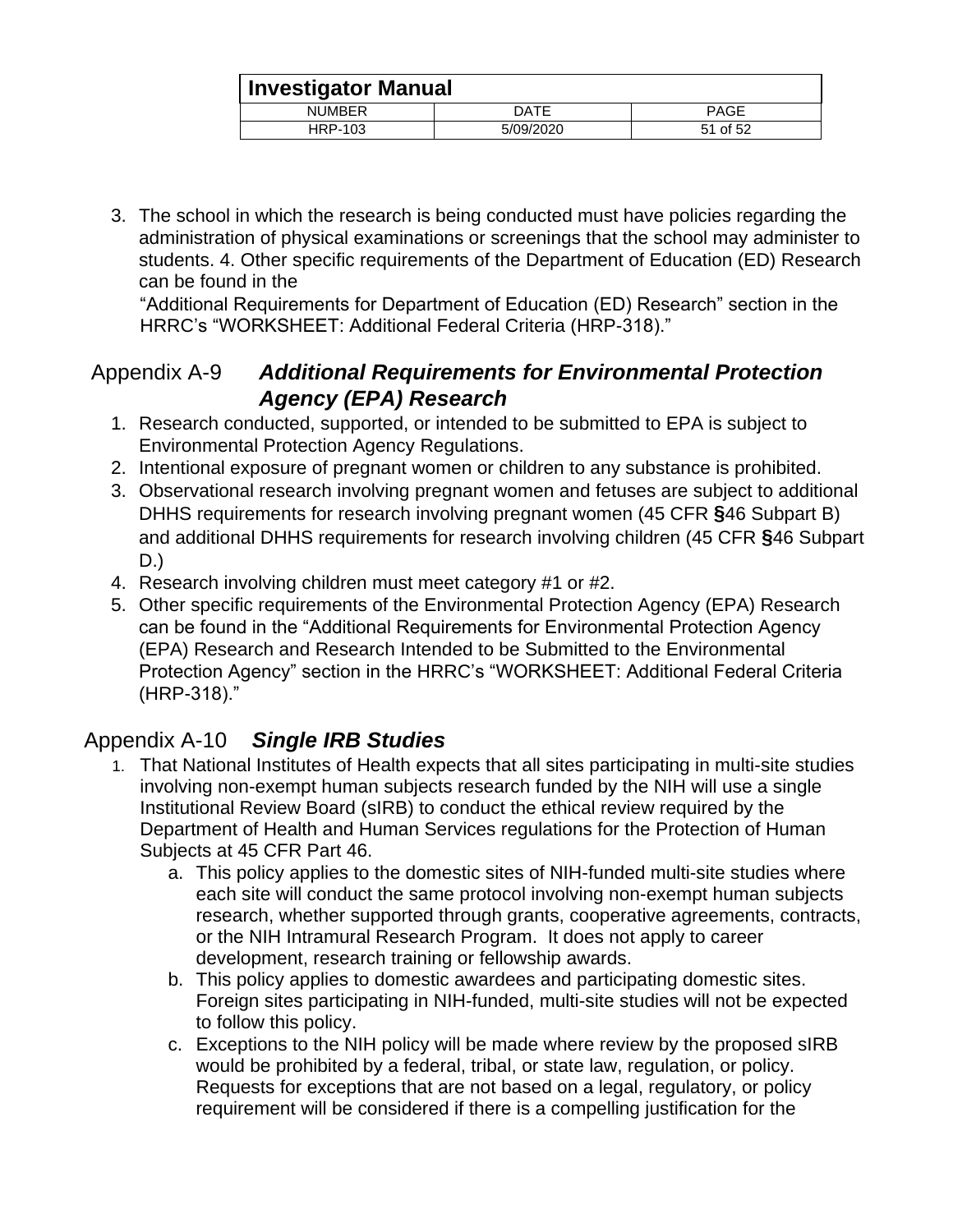|               | <b>Investigator Manual</b> |             |  |
|---------------|----------------------------|-------------|--|
| <b>NUMBER</b> | DATE                       | <b>PAGE</b> |  |
| HRP-103       | 5/09/2020                  | 51 of 52    |  |

3. The school in which the research is being conducted must have policies regarding the administration of physical examinations or screenings that the school may administer to students. 4. Other specific requirements of the Department of Education (ED) Research can be found in the

"Additional Requirements for Department of Education (ED) Research" section in the HRRC's "WORKSHEET: Additional Federal Criteria (HRP-318)."

## <span id="page-50-0"></span>Appendix A-9 *Additional Requirements for Environmental Protection Agency (EPA) Research*

- 1. Research conducted, supported, or intended to be submitted to EPA is subject to Environmental Protection Agency Regulations.
- 2. Intentional exposure of pregnant women or children to any substance is prohibited.
- 3. Observational research involving pregnant women and fetuses are subject to additional DHHS requirements for research involving pregnant women (45 CFR **§**46 Subpart B) and additional DHHS requirements for research involving children (45 CFR **§**46 Subpart D.)
- 4. Research involving children must meet category #1 or #2.
- 5. Other specific requirements of the Environmental Protection Agency (EPA) Research can be found in the "Additional Requirements for Environmental Protection Agency (EPA) Research and Research Intended to be Submitted to the Environmental Protection Agency" section in the HRRC's "WORKSHEET: Additional Federal Criteria (HRP-318)."

## <span id="page-50-1"></span>Appendix A-10 *Single IRB Studies*

- 1. That National Institutes of Health expects that all sites participating in multi-site studies involving non-exempt human subjects research funded by the NIH will use a single Institutional Review Board (sIRB) to conduct the ethical review required by the Department of Health and Human Services regulations for the Protection of Human Subjects at 45 CFR Part 46.
	- a. This policy applies to the domestic sites of NIH-funded multi-site studies where each site will conduct the same protocol involving non-exempt human subjects research, whether supported through grants, cooperative agreements, contracts, or the NIH Intramural Research Program. It does not apply to career development, research training or fellowship awards.
	- b. This policy applies to domestic awardees and participating domestic sites. Foreign sites participating in NIH-funded, multi-site studies will not be expected to follow this policy.
	- c. Exceptions to the NIH policy will be made where review by the proposed sIRB would be prohibited by a federal, tribal, or state law, regulation, or policy. Requests for exceptions that are not based on a legal, regulatory, or policy requirement will be considered if there is a compelling justification for the